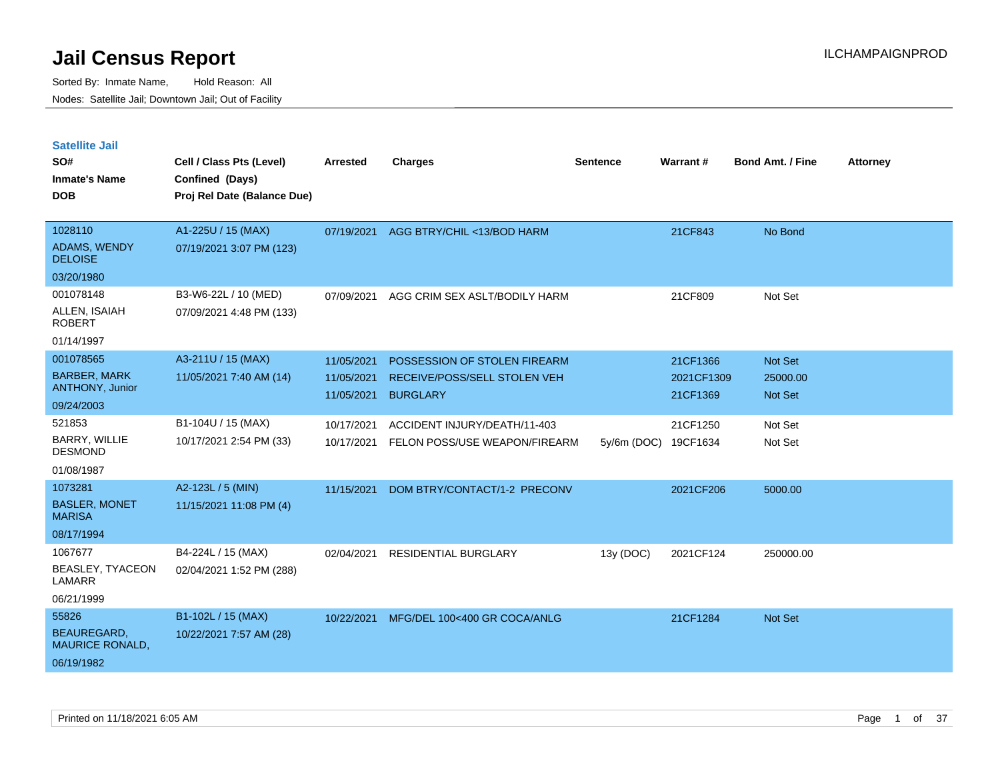| <b>Satellite Jail</b>                         |                             |            |                               |               |                 |                         |                 |
|-----------------------------------------------|-----------------------------|------------|-------------------------------|---------------|-----------------|-------------------------|-----------------|
| SO#                                           | Cell / Class Pts (Level)    | Arrested   | <b>Charges</b>                | Sentence      | <b>Warrant#</b> | <b>Bond Amt. / Fine</b> | <b>Attorney</b> |
| <b>Inmate's Name</b>                          | Confined (Days)             |            |                               |               |                 |                         |                 |
| <b>DOB</b>                                    | Proj Rel Date (Balance Due) |            |                               |               |                 |                         |                 |
|                                               |                             |            |                               |               |                 |                         |                 |
| 1028110                                       | A1-225U / 15 (MAX)          | 07/19/2021 | AGG BTRY/CHIL <13/BOD HARM    |               | 21CF843         | No Bond                 |                 |
| <b>ADAMS, WENDY</b><br><b>DELOISE</b>         | 07/19/2021 3:07 PM (123)    |            |                               |               |                 |                         |                 |
| 03/20/1980                                    |                             |            |                               |               |                 |                         |                 |
| 001078148                                     | B3-W6-22L / 10 (MED)        | 07/09/2021 | AGG CRIM SEX ASLT/BODILY HARM |               | 21CF809         | Not Set                 |                 |
| ALLEN, ISAIAH<br><b>ROBERT</b>                | 07/09/2021 4:48 PM (133)    |            |                               |               |                 |                         |                 |
| 01/14/1997                                    |                             |            |                               |               |                 |                         |                 |
| 001078565                                     | A3-211U / 15 (MAX)          | 11/05/2021 | POSSESSION OF STOLEN FIREARM  |               | 21CF1366        | <b>Not Set</b>          |                 |
| <b>BARBER, MARK</b><br><b>ANTHONY, Junior</b> | 11/05/2021 7:40 AM (14)     | 11/05/2021 | RECEIVE/POSS/SELL STOLEN VEH  |               | 2021CF1309      | 25000.00                |                 |
| 09/24/2003                                    |                             | 11/05/2021 | <b>BURGLARY</b>               |               | 21CF1369        | <b>Not Set</b>          |                 |
| 521853                                        | B1-104U / 15 (MAX)          | 10/17/2021 | ACCIDENT INJURY/DEATH/11-403  |               | 21CF1250        | Not Set                 |                 |
| BARRY, WILLIE<br><b>DESMOND</b>               | 10/17/2021 2:54 PM (33)     | 10/17/2021 | FELON POSS/USE WEAPON/FIREARM | $5y/6m$ (DOC) | 19CF1634        | Not Set                 |                 |
| 01/08/1987                                    |                             |            |                               |               |                 |                         |                 |
| 1073281                                       | A2-123L / 5 (MIN)           | 11/15/2021 | DOM BTRY/CONTACT/1-2 PRECONV  |               | 2021CF206       | 5000.00                 |                 |
| <b>BASLER, MONET</b><br><b>MARISA</b>         | 11/15/2021 11:08 PM (4)     |            |                               |               |                 |                         |                 |
| 08/17/1994                                    |                             |            |                               |               |                 |                         |                 |
| 1067677                                       | B4-224L / 15 (MAX)          | 02/04/2021 | RESIDENTIAL BURGLARY          | 13y (DOC)     | 2021CF124       | 250000.00               |                 |
| BEASLEY, TYACEON<br>LAMARR                    | 02/04/2021 1:52 PM (288)    |            |                               |               |                 |                         |                 |
| 06/21/1999                                    |                             |            |                               |               |                 |                         |                 |
| 55826                                         | B1-102L / 15 (MAX)          | 10/22/2021 | MFG/DEL 100<400 GR COCA/ANLG  |               | 21CF1284        | Not Set                 |                 |
| <b>BEAUREGARD,</b><br><b>MAURICE RONALD,</b>  | 10/22/2021 7:57 AM (28)     |            |                               |               |                 |                         |                 |
| 06/19/1982                                    |                             |            |                               |               |                 |                         |                 |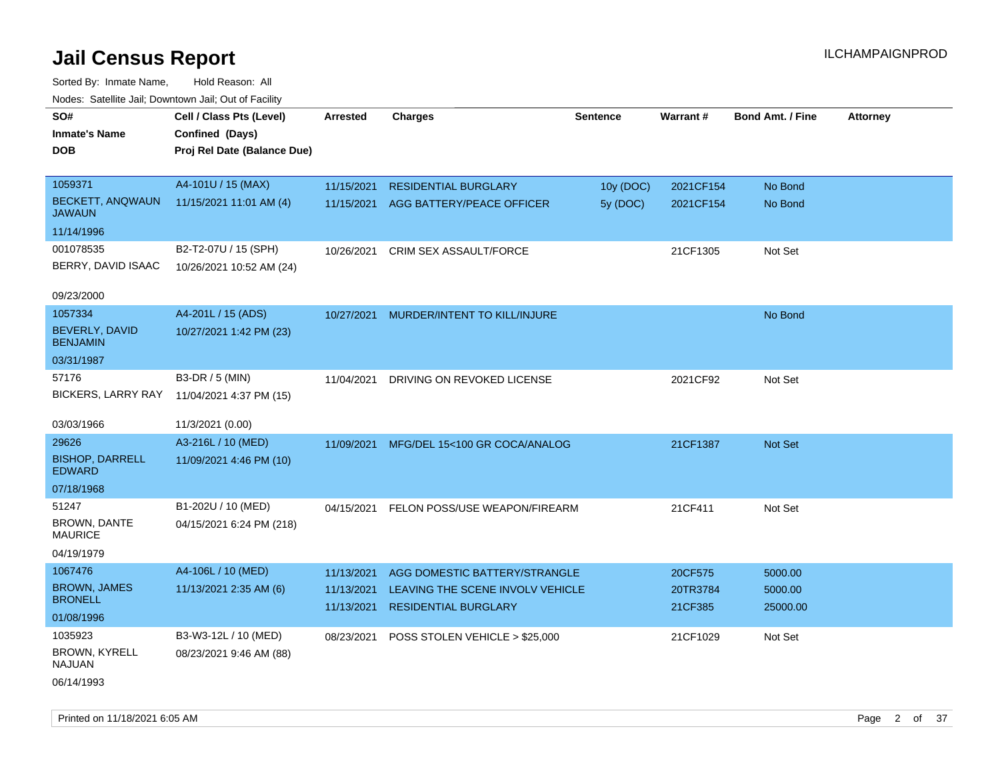| rouco. Calcinic Jan, Downtown Jan, Out of Facility |                             |                 |                                  |                 |                 |                         |                 |
|----------------------------------------------------|-----------------------------|-----------------|----------------------------------|-----------------|-----------------|-------------------------|-----------------|
| SO#                                                | Cell / Class Pts (Level)    | <b>Arrested</b> | <b>Charges</b>                   | <b>Sentence</b> | <b>Warrant#</b> | <b>Bond Amt. / Fine</b> | <b>Attorney</b> |
| <b>Inmate's Name</b>                               | Confined (Days)             |                 |                                  |                 |                 |                         |                 |
| <b>DOB</b>                                         | Proj Rel Date (Balance Due) |                 |                                  |                 |                 |                         |                 |
|                                                    |                             |                 |                                  |                 |                 |                         |                 |
| 1059371                                            | A4-101U / 15 (MAX)          | 11/15/2021      | <b>RESIDENTIAL BURGLARY</b>      | 10y (DOC)       | 2021CF154       | No Bond                 |                 |
| BECKETT, ANQWAUN<br><b>JAWAUN</b>                  | 11/15/2021 11:01 AM (4)     | 11/15/2021      | AGG BATTERY/PEACE OFFICER        | 5y (DOC)        | 2021CF154       | No Bond                 |                 |
| 11/14/1996                                         |                             |                 |                                  |                 |                 |                         |                 |
| 001078535                                          | B2-T2-07U / 15 (SPH)        | 10/26/2021      | CRIM SEX ASSAULT/FORCE           |                 | 21CF1305        | Not Set                 |                 |
| BERRY, DAVID ISAAC                                 | 10/26/2021 10:52 AM (24)    |                 |                                  |                 |                 |                         |                 |
| 09/23/2000                                         |                             |                 |                                  |                 |                 |                         |                 |
| 1057334                                            | A4-201L / 15 (ADS)          | 10/27/2021      | MURDER/INTENT TO KILL/INJURE     |                 |                 | No Bond                 |                 |
| <b>BEVERLY, DAVID</b><br><b>BENJAMIN</b>           | 10/27/2021 1:42 PM (23)     |                 |                                  |                 |                 |                         |                 |
| 03/31/1987                                         |                             |                 |                                  |                 |                 |                         |                 |
| 57176                                              | B3-DR / 5 (MIN)             | 11/04/2021      | DRIVING ON REVOKED LICENSE       |                 | 2021CF92        | Not Set                 |                 |
| <b>BICKERS, LARRY RAY</b>                          | 11/04/2021 4:37 PM (15)     |                 |                                  |                 |                 |                         |                 |
|                                                    |                             |                 |                                  |                 |                 |                         |                 |
| 03/03/1966                                         | 11/3/2021 (0.00)            |                 |                                  |                 |                 |                         |                 |
| 29626                                              | A3-216L / 10 (MED)          | 11/09/2021      | MFG/DEL 15<100 GR COCA/ANALOG    |                 | 21CF1387        | <b>Not Set</b>          |                 |
| <b>BISHOP, DARRELL</b><br><b>EDWARD</b>            | 11/09/2021 4:46 PM (10)     |                 |                                  |                 |                 |                         |                 |
| 07/18/1968                                         |                             |                 |                                  |                 |                 |                         |                 |
| 51247                                              | B1-202U / 10 (MED)          | 04/15/2021      | FELON POSS/USE WEAPON/FIREARM    |                 | 21CF411         | Not Set                 |                 |
| <b>BROWN, DANTE</b><br><b>MAURICE</b>              | 04/15/2021 6:24 PM (218)    |                 |                                  |                 |                 |                         |                 |
| 04/19/1979                                         |                             |                 |                                  |                 |                 |                         |                 |
| 1067476                                            | A4-106L / 10 (MED)          | 11/13/2021      | AGG DOMESTIC BATTERY/STRANGLE    |                 | 20CF575         | 5000.00                 |                 |
| <b>BROWN, JAMES</b>                                | 11/13/2021 2:35 AM (6)      | 11/13/2021      | LEAVING THE SCENE INVOLV VEHICLE |                 | 20TR3784        | 5000.00                 |                 |
| <b>BRONELL</b>                                     |                             | 11/13/2021      | <b>RESIDENTIAL BURGLARY</b>      |                 | 21CF385         | 25000.00                |                 |
| 01/08/1996                                         |                             |                 |                                  |                 |                 |                         |                 |
| 1035923                                            | B3-W3-12L / 10 (MED)        | 08/23/2021      | POSS STOLEN VEHICLE > \$25,000   |                 | 21CF1029        | Not Set                 |                 |
| BROWN, KYRELL<br><b>NAJUAN</b>                     | 08/23/2021 9:46 AM (88)     |                 |                                  |                 |                 |                         |                 |
| 06/14/1993                                         |                             |                 |                                  |                 |                 |                         |                 |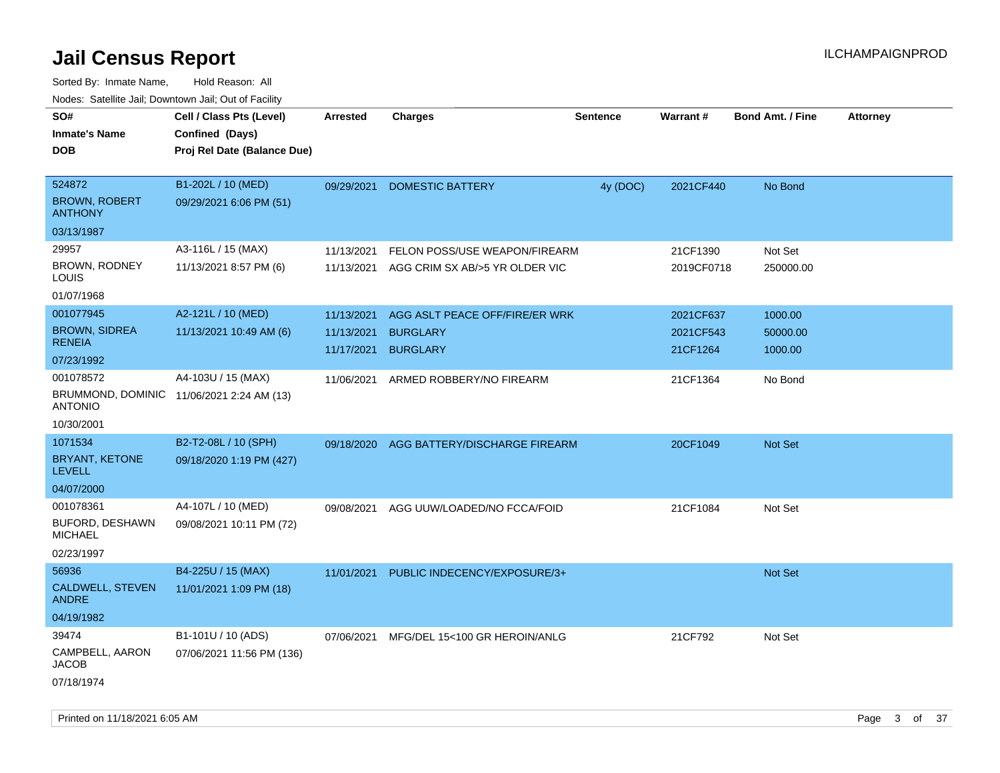| rougs. Calcing Jan, Downtown Jan, Out of Facility           |                             |                 |                                |                 |            |                         |                 |
|-------------------------------------------------------------|-----------------------------|-----------------|--------------------------------|-----------------|------------|-------------------------|-----------------|
| SO#                                                         | Cell / Class Pts (Level)    | <b>Arrested</b> | <b>Charges</b>                 | <b>Sentence</b> | Warrant#   | <b>Bond Amt. / Fine</b> | <b>Attorney</b> |
| <b>Inmate's Name</b>                                        | Confined (Days)             |                 |                                |                 |            |                         |                 |
| <b>DOB</b>                                                  | Proj Rel Date (Balance Due) |                 |                                |                 |            |                         |                 |
|                                                             |                             |                 |                                |                 |            |                         |                 |
| 524872                                                      | B1-202L / 10 (MED)          | 09/29/2021      | <b>DOMESTIC BATTERY</b>        | 4y (DOC)        | 2021CF440  | No Bond                 |                 |
| <b>BROWN, ROBERT</b><br><b>ANTHONY</b>                      | 09/29/2021 6:06 PM (51)     |                 |                                |                 |            |                         |                 |
| 03/13/1987                                                  |                             |                 |                                |                 |            |                         |                 |
| 29957                                                       | A3-116L / 15 (MAX)          | 11/13/2021      | FELON POSS/USE WEAPON/FIREARM  |                 | 21CF1390   | Not Set                 |                 |
| BROWN, RODNEY<br>LOUIS                                      | 11/13/2021 8:57 PM (6)      | 11/13/2021      | AGG CRIM SX AB/>5 YR OLDER VIC |                 | 2019CF0718 | 250000.00               |                 |
| 01/07/1968                                                  |                             |                 |                                |                 |            |                         |                 |
| 001077945                                                   | A2-121L / 10 (MED)          | 11/13/2021      | AGG ASLT PEACE OFF/FIRE/ER WRK |                 | 2021CF637  | 1000.00                 |                 |
| <b>BROWN, SIDREA</b>                                        | 11/13/2021 10:49 AM (6)     | 11/13/2021      | <b>BURGLARY</b>                |                 | 2021CF543  | 50000.00                |                 |
| <b>RENEIA</b>                                               |                             | 11/17/2021      | <b>BURGLARY</b>                |                 | 21CF1264   | 1000.00                 |                 |
| 07/23/1992                                                  |                             |                 |                                |                 |            |                         |                 |
| 001078572                                                   | A4-103U / 15 (MAX)          | 11/06/2021      | ARMED ROBBERY/NO FIREARM       |                 | 21CF1364   | No Bond                 |                 |
| BRUMMOND, DOMINIC 11/06/2021 2:24 AM (13)<br><b>ANTONIO</b> |                             |                 |                                |                 |            |                         |                 |
| 10/30/2001                                                  |                             |                 |                                |                 |            |                         |                 |
| 1071534                                                     | B2-T2-08L / 10 (SPH)        | 09/18/2020      | AGG BATTERY/DISCHARGE FIREARM  |                 | 20CF1049   | Not Set                 |                 |
| <b>BRYANT, KETONE</b><br><b>LEVELL</b>                      | 09/18/2020 1:19 PM (427)    |                 |                                |                 |            |                         |                 |
| 04/07/2000                                                  |                             |                 |                                |                 |            |                         |                 |
| 001078361                                                   | A4-107L / 10 (MED)          | 09/08/2021      | AGG UUW/LOADED/NO FCCA/FOID    |                 | 21CF1084   | Not Set                 |                 |
| BUFORD, DESHAWN<br><b>MICHAEL</b>                           | 09/08/2021 10:11 PM (72)    |                 |                                |                 |            |                         |                 |
| 02/23/1997                                                  |                             |                 |                                |                 |            |                         |                 |
| 56936                                                       | B4-225U / 15 (MAX)          | 11/01/2021      | PUBLIC INDECENCY/EXPOSURE/3+   |                 |            | Not Set                 |                 |
| CALDWELL, STEVEN<br><b>ANDRE</b>                            | 11/01/2021 1:09 PM (18)     |                 |                                |                 |            |                         |                 |
| 04/19/1982                                                  |                             |                 |                                |                 |            |                         |                 |
| 39474                                                       | B1-101U / 10 (ADS)          | 07/06/2021      | MFG/DEL 15<100 GR HEROIN/ANLG  |                 | 21CF792    | Not Set                 |                 |
| CAMPBELL, AARON<br><b>JACOB</b>                             | 07/06/2021 11:56 PM (136)   |                 |                                |                 |            |                         |                 |
| 07/18/1974                                                  |                             |                 |                                |                 |            |                         |                 |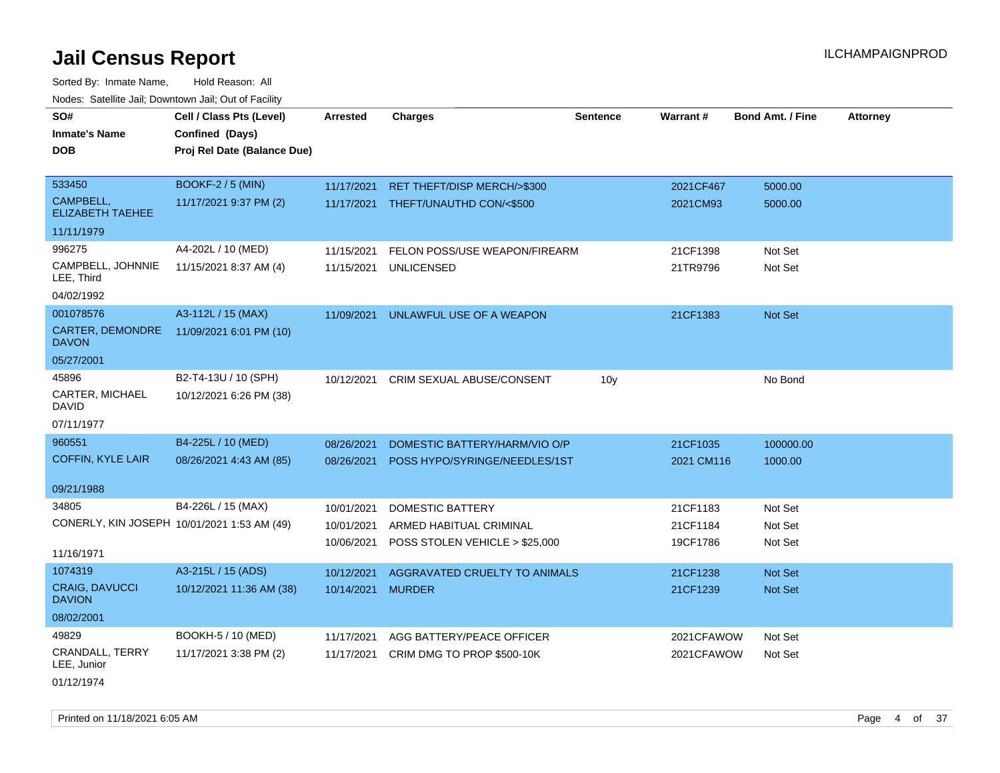Sorted By: Inmate Name, Hold Reason: All Nodes: Satellite Jail; Downtown Jail; Out of Facility

| SO#                                         | Cell / Class Pts (Level)    | <b>Arrested</b> | <b>Charges</b>                      | <b>Sentence</b> | <b>Warrant#</b> | <b>Bond Amt. / Fine</b> | <b>Attorney</b> |
|---------------------------------------------|-----------------------------|-----------------|-------------------------------------|-----------------|-----------------|-------------------------|-----------------|
| <b>Inmate's Name</b>                        | Confined (Days)             |                 |                                     |                 |                 |                         |                 |
| <b>DOB</b>                                  | Proj Rel Date (Balance Due) |                 |                                     |                 |                 |                         |                 |
|                                             |                             |                 |                                     |                 |                 |                         |                 |
| 533450                                      | <b>BOOKF-2 / 5 (MIN)</b>    | 11/17/2021      | RET THEFT/DISP MERCH/>\$300         |                 | 2021CF467       | 5000.00                 |                 |
| CAMPBELL,<br><b>ELIZABETH TAEHEE</b>        | 11/17/2021 9:37 PM (2)      |                 | 11/17/2021 THEFT/UNAUTHD CON/<\$500 |                 | 2021CM93        | 5000.00                 |                 |
| 11/11/1979                                  |                             |                 |                                     |                 |                 |                         |                 |
| 996275                                      | A4-202L / 10 (MED)          | 11/15/2021      | FELON POSS/USE WEAPON/FIREARM       |                 | 21CF1398        | Not Set                 |                 |
| CAMPBELL, JOHNNIE<br>LEE, Third             | 11/15/2021 8:37 AM (4)      | 11/15/2021      | <b>UNLICENSED</b>                   |                 | 21TR9796        | Not Set                 |                 |
| 04/02/1992                                  |                             |                 |                                     |                 |                 |                         |                 |
| 001078576                                   | A3-112L / 15 (MAX)          | 11/09/2021      | UNLAWFUL USE OF A WEAPON            |                 | 21CF1383        | <b>Not Set</b>          |                 |
| CARTER, DEMONDRE<br><b>DAVON</b>            | 11/09/2021 6:01 PM (10)     |                 |                                     |                 |                 |                         |                 |
| 05/27/2001                                  |                             |                 |                                     |                 |                 |                         |                 |
| 45896                                       | B2-T4-13U / 10 (SPH)        | 10/12/2021      | CRIM SEXUAL ABUSE/CONSENT           | 10 <sub>y</sub> |                 | No Bond                 |                 |
| CARTER, MICHAEL<br>DAVID                    | 10/12/2021 6:26 PM (38)     |                 |                                     |                 |                 |                         |                 |
| 07/11/1977                                  |                             |                 |                                     |                 |                 |                         |                 |
| 960551                                      | B4-225L / 10 (MED)          | 08/26/2021      | DOMESTIC BATTERY/HARM/VIO O/P       |                 | 21CF1035        | 100000.00               |                 |
| <b>COFFIN, KYLE LAIR</b>                    | 08/26/2021 4:43 AM (85)     | 08/26/2021      | POSS HYPO/SYRINGE/NEEDLES/1ST       |                 | 2021 CM116      | 1000.00                 |                 |
|                                             |                             |                 |                                     |                 |                 |                         |                 |
| 09/21/1988                                  |                             |                 |                                     |                 |                 |                         |                 |
| 34805                                       | B4-226L / 15 (MAX)          | 10/01/2021      | <b>DOMESTIC BATTERY</b>             |                 | 21CF1183        | Not Set                 |                 |
| CONERLY, KIN JOSEPH 10/01/2021 1:53 AM (49) |                             | 10/01/2021      | ARMED HABITUAL CRIMINAL             |                 | 21CF1184        | Not Set                 |                 |
|                                             |                             | 10/06/2021      | POSS STOLEN VEHICLE > \$25,000      |                 | 19CF1786        | Not Set                 |                 |
| 11/16/1971                                  |                             |                 |                                     |                 |                 |                         |                 |
| 1074319                                     | A3-215L / 15 (ADS)          | 10/12/2021      | AGGRAVATED CRUELTY TO ANIMALS       |                 | 21CF1238        | <b>Not Set</b>          |                 |
| <b>CRAIG, DAVUCCI</b><br><b>DAVION</b>      | 10/12/2021 11:36 AM (38)    | 10/14/2021      | <b>MURDER</b>                       |                 | 21CF1239        | <b>Not Set</b>          |                 |
| 08/02/2001                                  |                             |                 |                                     |                 |                 |                         |                 |
| 49829                                       | BOOKH-5 / 10 (MED)          | 11/17/2021      | AGG BATTERY/PEACE OFFICER           |                 | 2021CFAWOW      | Not Set                 |                 |
| CRANDALL, TERRY<br>LEE, Junior              | 11/17/2021 3:38 PM (2)      | 11/17/2021      | CRIM DMG TO PROP \$500-10K          |                 | 2021CFAWOW      | Not Set                 |                 |

01/12/1974

Printed on 11/18/2021 6:05 AM **Page 4 of 37** Page 4 of 37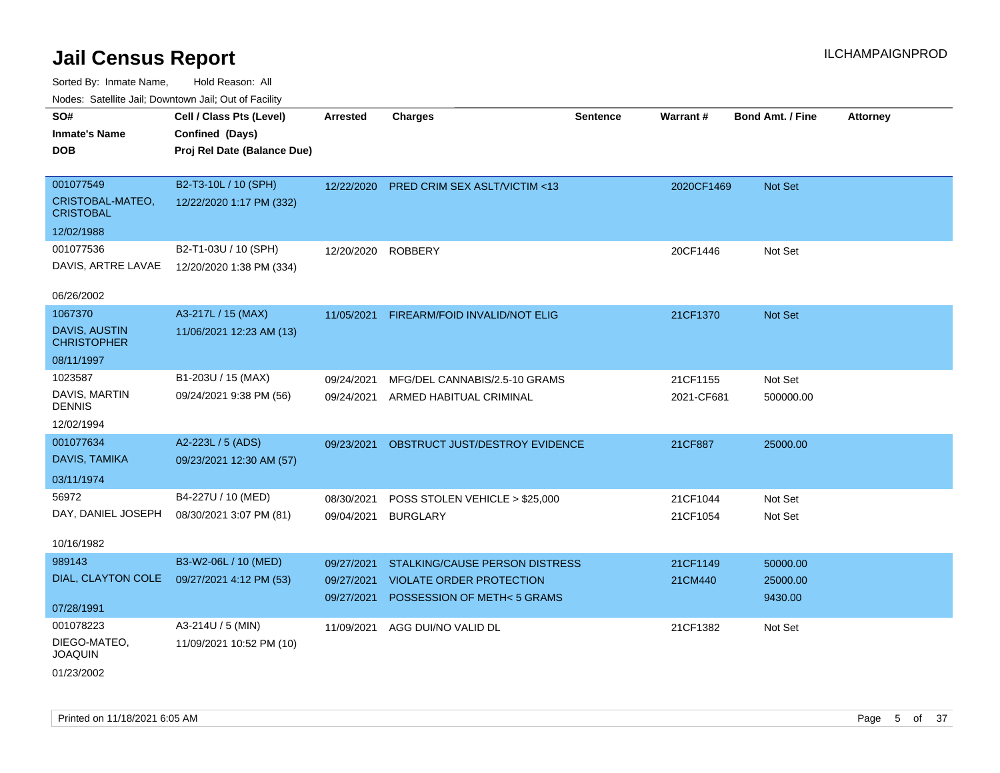| roaco. Catolino cali, Domntonn cali, Out of Facility |                             |            |                                 |                 |            |                         |                 |
|------------------------------------------------------|-----------------------------|------------|---------------------------------|-----------------|------------|-------------------------|-----------------|
| SO#                                                  | Cell / Class Pts (Level)    | Arrested   | <b>Charges</b>                  | <b>Sentence</b> | Warrant#   | <b>Bond Amt. / Fine</b> | <b>Attorney</b> |
| <b>Inmate's Name</b>                                 | Confined (Days)             |            |                                 |                 |            |                         |                 |
| <b>DOB</b>                                           | Proj Rel Date (Balance Due) |            |                                 |                 |            |                         |                 |
|                                                      |                             |            |                                 |                 |            |                         |                 |
| 001077549                                            | B2-T3-10L / 10 (SPH)        | 12/22/2020 | PRED CRIM SEX ASLT/VICTIM <13   |                 | 2020CF1469 | Not Set                 |                 |
| CRISTOBAL-MATEO,<br><b>CRISTOBAL</b>                 | 12/22/2020 1:17 PM (332)    |            |                                 |                 |            |                         |                 |
| 12/02/1988                                           |                             |            |                                 |                 |            |                         |                 |
| 001077536                                            | B2-T1-03U / 10 (SPH)        | 12/20/2020 | <b>ROBBERY</b>                  |                 | 20CF1446   | Not Set                 |                 |
| DAVIS, ARTRE LAVAE                                   | 12/20/2020 1:38 PM (334)    |            |                                 |                 |            |                         |                 |
|                                                      |                             |            |                                 |                 |            |                         |                 |
| 06/26/2002                                           |                             |            |                                 |                 |            |                         |                 |
| 1067370                                              | A3-217L / 15 (MAX)          | 11/05/2021 | FIREARM/FOID INVALID/NOT ELIG   |                 | 21CF1370   | Not Set                 |                 |
| <b>DAVIS, AUSTIN</b><br><b>CHRISTOPHER</b>           | 11/06/2021 12:23 AM (13)    |            |                                 |                 |            |                         |                 |
| 08/11/1997                                           |                             |            |                                 |                 |            |                         |                 |
| 1023587                                              | B1-203U / 15 (MAX)          | 09/24/2021 | MFG/DEL CANNABIS/2.5-10 GRAMS   |                 | 21CF1155   | Not Set                 |                 |
| DAVIS, MARTIN<br><b>DENNIS</b>                       | 09/24/2021 9:38 PM (56)     | 09/24/2021 | ARMED HABITUAL CRIMINAL         |                 | 2021-CF681 | 500000.00               |                 |
| 12/02/1994                                           |                             |            |                                 |                 |            |                         |                 |
| 001077634                                            | A2-223L / 5 (ADS)           | 09/23/2021 | OBSTRUCT JUST/DESTROY EVIDENCE  |                 | 21CF887    | 25000.00                |                 |
| DAVIS, TAMIKA                                        | 09/23/2021 12:30 AM (57)    |            |                                 |                 |            |                         |                 |
| 03/11/1974                                           |                             |            |                                 |                 |            |                         |                 |
| 56972                                                | B4-227U / 10 (MED)          | 08/30/2021 | POSS STOLEN VEHICLE > \$25,000  |                 | 21CF1044   | Not Set                 |                 |
| DAY, DANIEL JOSEPH                                   | 08/30/2021 3:07 PM (81)     | 09/04/2021 | <b>BURGLARY</b>                 |                 | 21CF1054   | Not Set                 |                 |
|                                                      |                             |            |                                 |                 |            |                         |                 |
| 10/16/1982                                           |                             |            |                                 |                 |            |                         |                 |
| 989143                                               | B3-W2-06L / 10 (MED)        | 09/27/2021 | STALKING/CAUSE PERSON DISTRESS  |                 | 21CF1149   | 50000.00                |                 |
| DIAL, CLAYTON COLE                                   | 09/27/2021 4:12 PM (53)     | 09/27/2021 | <b>VIOLATE ORDER PROTECTION</b> |                 | 21CM440    | 25000.00                |                 |
|                                                      |                             | 09/27/2021 | POSSESSION OF METH<5 GRAMS      |                 |            | 9430.00                 |                 |
| 07/28/1991                                           |                             |            |                                 |                 |            |                         |                 |
| 001078223                                            | A3-214U / 5 (MIN)           | 11/09/2021 | AGG DUI/NO VALID DL             |                 | 21CF1382   | Not Set                 |                 |
| DIEGO-MATEO,<br><b>JOAQUIN</b>                       | 11/09/2021 10:52 PM (10)    |            |                                 |                 |            |                         |                 |
| 01/23/2002                                           |                             |            |                                 |                 |            |                         |                 |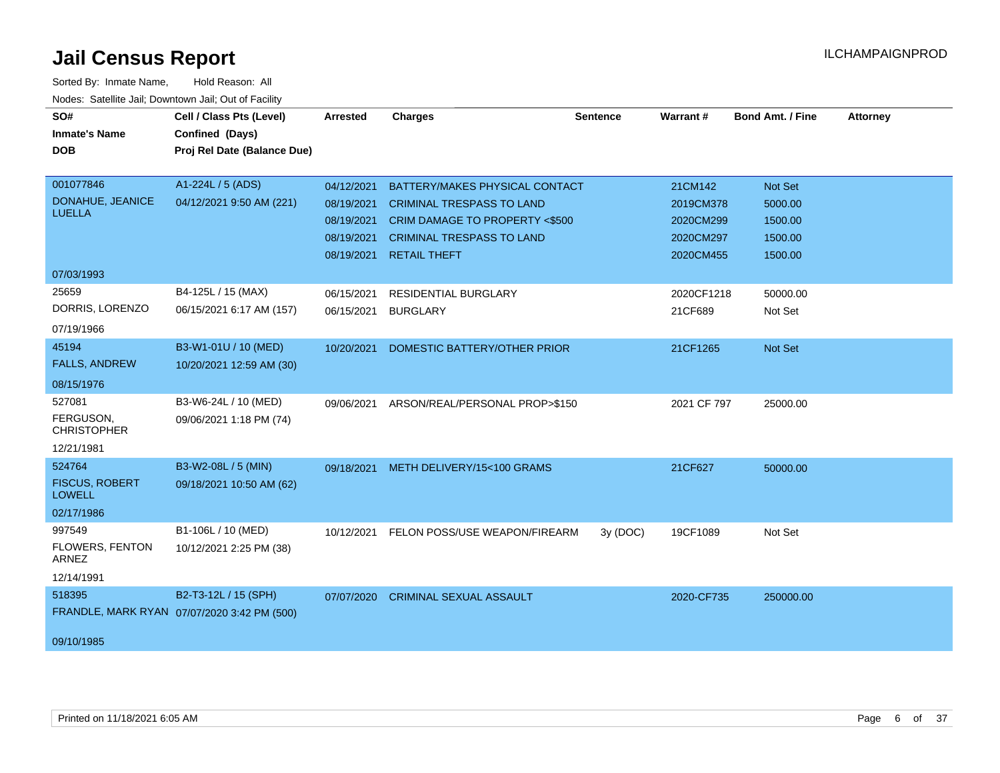| SO#<br><b>Inmate's Name</b><br><b>DOB</b>                      | Cell / Class Pts (Level)<br>Confined (Days)<br>Proj Rel Date (Balance Due) | <b>Arrested</b>                                                    | <b>Charges</b>                                                                                                                                                  | <b>Sentence</b> | Warrant#                                                    | Bond Amt. / Fine                                    | <b>Attorney</b> |
|----------------------------------------------------------------|----------------------------------------------------------------------------|--------------------------------------------------------------------|-----------------------------------------------------------------------------------------------------------------------------------------------------------------|-----------------|-------------------------------------------------------------|-----------------------------------------------------|-----------------|
| 001077846<br>DONAHUE, JEANICE<br><b>LUELLA</b>                 | A1-224L / 5 (ADS)<br>04/12/2021 9:50 AM (221)                              | 04/12/2021<br>08/19/2021<br>08/19/2021<br>08/19/2021<br>08/19/2021 | BATTERY/MAKES PHYSICAL CONTACT<br><b>CRIMINAL TRESPASS TO LAND</b><br>CRIM DAMAGE TO PROPERTY <\$500<br><b>CRIMINAL TRESPASS TO LAND</b><br><b>RETAIL THEFT</b> |                 | 21CM142<br>2019CM378<br>2020CM299<br>2020CM297<br>2020CM455 | Not Set<br>5000.00<br>1500.00<br>1500.00<br>1500.00 |                 |
| 07/03/1993<br>25659<br>DORRIS, LORENZO<br>07/19/1966           | B4-125L / 15 (MAX)<br>06/15/2021 6:17 AM (157)                             | 06/15/2021<br>06/15/2021                                           | <b>RESIDENTIAL BURGLARY</b><br><b>BURGLARY</b>                                                                                                                  |                 | 2020CF1218<br>21CF689                                       | 50000.00<br>Not Set                                 |                 |
| 45194<br><b>FALLS, ANDREW</b><br>08/15/1976                    | B3-W1-01U / 10 (MED)<br>10/20/2021 12:59 AM (30)                           | 10/20/2021                                                         | DOMESTIC BATTERY/OTHER PRIOR                                                                                                                                    |                 | 21CF1265                                                    | <b>Not Set</b>                                      |                 |
| 527081<br>FERGUSON,<br><b>CHRISTOPHER</b><br>12/21/1981        | B3-W6-24L / 10 (MED)<br>09/06/2021 1:18 PM (74)                            | 09/06/2021                                                         | ARSON/REAL/PERSONAL PROP>\$150                                                                                                                                  |                 | 2021 CF 797                                                 | 25000.00                                            |                 |
| 524764<br><b>FISCUS, ROBERT</b><br><b>LOWELL</b><br>02/17/1986 | B3-W2-08L / 5 (MIN)<br>09/18/2021 10:50 AM (62)                            |                                                                    | 09/18/2021 METH DELIVERY/15<100 GRAMS                                                                                                                           |                 | 21CF627                                                     | 50000.00                                            |                 |
| 997549<br>FLOWERS, FENTON<br><b>ARNEZ</b><br>12/14/1991        | B1-106L / 10 (MED)<br>10/12/2021 2:25 PM (38)                              | 10/12/2021                                                         | FELON POSS/USE WEAPON/FIREARM                                                                                                                                   | 3y(DOC)         | 19CF1089                                                    | Not Set                                             |                 |
| 518395<br>09/10/1985                                           | B2-T3-12L / 15 (SPH)<br>FRANDLE, MARK RYAN 07/07/2020 3:42 PM (500)        | 07/07/2020                                                         | <b>CRIMINAL SEXUAL ASSAULT</b>                                                                                                                                  |                 | 2020-CF735                                                  | 250000.00                                           |                 |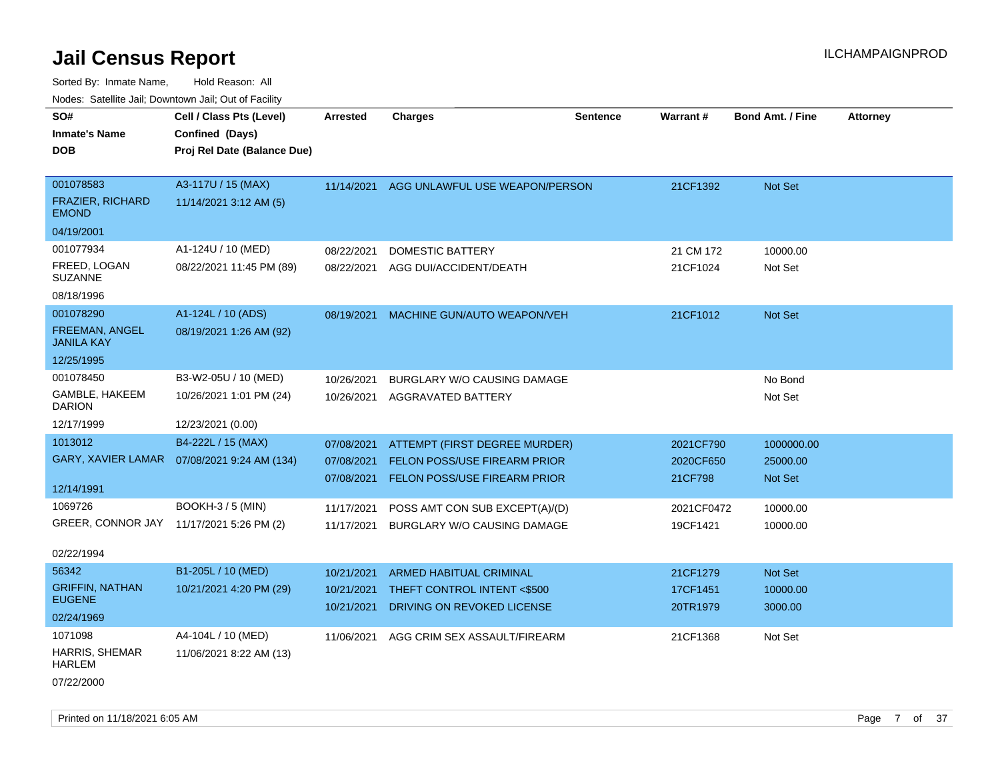| SO#                                        | Cell / Class Pts (Level)                     | <b>Arrested</b> | <b>Charges</b>                            | <b>Sentence</b> | Warrant#   | <b>Bond Amt. / Fine</b> | <b>Attorney</b> |
|--------------------------------------------|----------------------------------------------|-----------------|-------------------------------------------|-----------------|------------|-------------------------|-----------------|
| <b>Inmate's Name</b>                       | Confined (Days)                              |                 |                                           |                 |            |                         |                 |
| <b>DOB</b>                                 | Proj Rel Date (Balance Due)                  |                 |                                           |                 |            |                         |                 |
| 001078583                                  | A3-117U / 15 (MAX)                           |                 |                                           |                 |            |                         |                 |
| FRAZIER, RICHARD                           |                                              |                 | 11/14/2021 AGG UNLAWFUL USE WEAPON/PERSON |                 | 21CF1392   | Not Set                 |                 |
| <b>EMOND</b>                               | 11/14/2021 3:12 AM (5)                       |                 |                                           |                 |            |                         |                 |
| 04/19/2001                                 |                                              |                 |                                           |                 |            |                         |                 |
| 001077934                                  | A1-124U / 10 (MED)                           | 08/22/2021      | DOMESTIC BATTERY                          |                 | 21 CM 172  | 10000.00                |                 |
| FREED, LOGAN<br><b>SUZANNE</b>             | 08/22/2021 11:45 PM (89)                     | 08/22/2021      | AGG DUI/ACCIDENT/DEATH                    |                 | 21CF1024   | Not Set                 |                 |
| 08/18/1996                                 |                                              |                 |                                           |                 |            |                         |                 |
| 001078290                                  | A1-124L / 10 (ADS)                           | 08/19/2021      | MACHINE GUN/AUTO WEAPON/VEH               |                 | 21CF1012   | Not Set                 |                 |
| <b>FREEMAN, ANGEL</b><br><b>JANILA KAY</b> | 08/19/2021 1:26 AM (92)                      |                 |                                           |                 |            |                         |                 |
| 12/25/1995                                 |                                              |                 |                                           |                 |            |                         |                 |
| 001078450                                  | B3-W2-05U / 10 (MED)                         | 10/26/2021      | BURGLARY W/O CAUSING DAMAGE               |                 |            | No Bond                 |                 |
| GAMBLE, HAKEEM<br><b>DARION</b>            | 10/26/2021 1:01 PM (24)                      | 10/26/2021      | AGGRAVATED BATTERY                        |                 |            | Not Set                 |                 |
| 12/17/1999                                 | 12/23/2021 (0.00)                            |                 |                                           |                 |            |                         |                 |
| 1013012                                    | B4-222L / 15 (MAX)                           | 07/08/2021      | ATTEMPT (FIRST DEGREE MURDER)             |                 | 2021CF790  | 1000000.00              |                 |
|                                            | GARY, XAVIER LAMAR  07/08/2021 9:24 AM (134) | 07/08/2021      | <b>FELON POSS/USE FIREARM PRIOR</b>       |                 | 2020CF650  | 25000.00                |                 |
|                                            |                                              | 07/08/2021      | FELON POSS/USE FIREARM PRIOR              |                 | 21CF798    | <b>Not Set</b>          |                 |
| 12/14/1991                                 |                                              |                 |                                           |                 |            |                         |                 |
| 1069726                                    | <b>BOOKH-3/5 (MIN)</b>                       | 11/17/2021      | POSS AMT CON SUB EXCEPT(A)/(D)            |                 | 2021CF0472 | 10000.00                |                 |
| GREER, CONNOR JAY 11/17/2021 5:26 PM (2)   |                                              | 11/17/2021      | <b>BURGLARY W/O CAUSING DAMAGE</b>        |                 | 19CF1421   | 10000.00                |                 |
| 02/22/1994                                 |                                              |                 |                                           |                 |            |                         |                 |
| 56342                                      | B1-205L / 10 (MED)                           | 10/21/2021      | ARMED HABITUAL CRIMINAL                   |                 | 21CF1279   | <b>Not Set</b>          |                 |
| <b>GRIFFIN, NATHAN</b>                     | 10/21/2021 4:20 PM (29)                      | 10/21/2021      | THEFT CONTROL INTENT <\$500               |                 | 17CF1451   | 10000.00                |                 |
| <b>EUGENE</b>                              |                                              | 10/21/2021      | DRIVING ON REVOKED LICENSE                |                 | 20TR1979   | 3000.00                 |                 |
| 02/24/1969                                 |                                              |                 |                                           |                 |            |                         |                 |
| 1071098                                    | A4-104L / 10 (MED)                           | 11/06/2021      | AGG CRIM SEX ASSAULT/FIREARM              |                 | 21CF1368   | Not Set                 |                 |
| <b>HARRIS, SHEMAR</b><br><b>HARLEM</b>     | 11/06/2021 8:22 AM (13)                      |                 |                                           |                 |            |                         |                 |
| 07/22/2000                                 |                                              |                 |                                           |                 |            |                         |                 |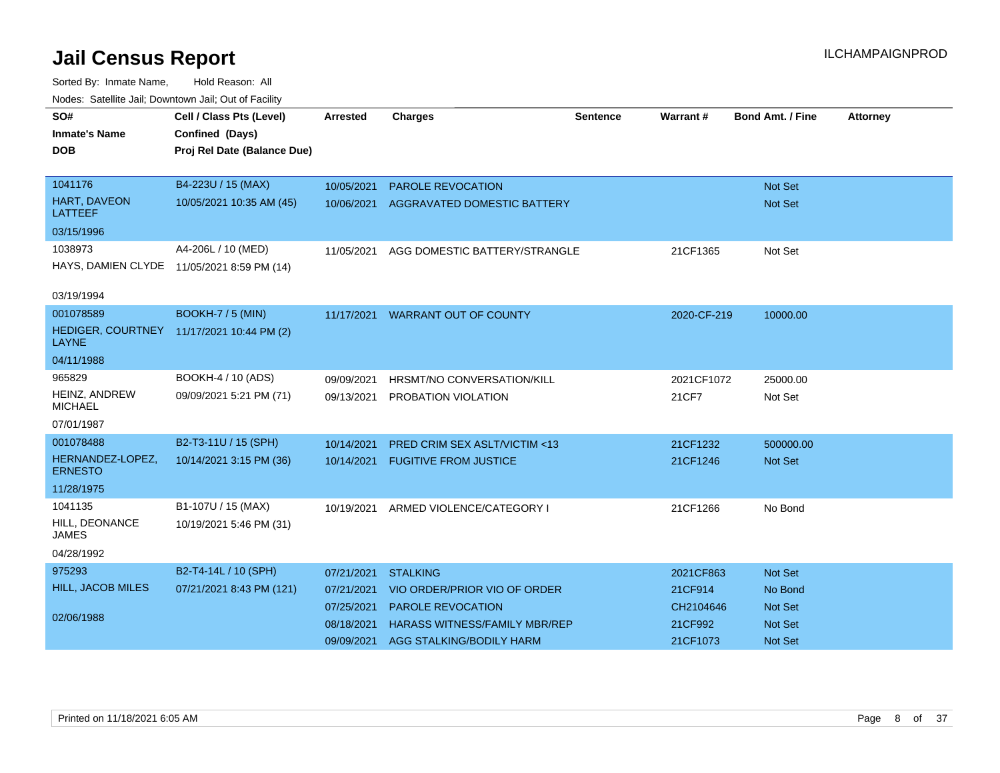| SO#                                                       |                             |                 |                                      |                 | Warrant#    | <b>Bond Amt. / Fine</b> |                 |
|-----------------------------------------------------------|-----------------------------|-----------------|--------------------------------------|-----------------|-------------|-------------------------|-----------------|
|                                                           | Cell / Class Pts (Level)    | <b>Arrested</b> | <b>Charges</b>                       | <b>Sentence</b> |             |                         | <b>Attorney</b> |
| <b>Inmate's Name</b>                                      | Confined (Days)             |                 |                                      |                 |             |                         |                 |
| <b>DOB</b>                                                | Proj Rel Date (Balance Due) |                 |                                      |                 |             |                         |                 |
|                                                           |                             |                 |                                      |                 |             |                         |                 |
| 1041176                                                   | B4-223U / 15 (MAX)          | 10/05/2021      | <b>PAROLE REVOCATION</b>             |                 |             | <b>Not Set</b>          |                 |
| <b>HART, DAVEON</b><br><b>LATTEEF</b>                     | 10/05/2021 10:35 AM (45)    | 10/06/2021      | AGGRAVATED DOMESTIC BATTERY          |                 |             | Not Set                 |                 |
| 03/15/1996                                                |                             |                 |                                      |                 |             |                         |                 |
| 1038973                                                   | A4-206L / 10 (MED)          | 11/05/2021      | AGG DOMESTIC BATTERY/STRANGLE        |                 | 21CF1365    | Not Set                 |                 |
| HAYS, DAMIEN CLYDE 11/05/2021 8:59 PM (14)                |                             |                 |                                      |                 |             |                         |                 |
|                                                           |                             |                 |                                      |                 |             |                         |                 |
| 03/19/1994                                                |                             |                 |                                      |                 |             |                         |                 |
| 001078589                                                 | BOOKH-7 / 5 (MIN)           |                 | 11/17/2021 WARRANT OUT OF COUNTY     |                 | 2020-CF-219 | 10000.00                |                 |
| HEDIGER, COURTNEY 11/17/2021 10:44 PM (2)<br><b>LAYNE</b> |                             |                 |                                      |                 |             |                         |                 |
| 04/11/1988                                                |                             |                 |                                      |                 |             |                         |                 |
| 965829                                                    | BOOKH-4 / 10 (ADS)          | 09/09/2021      | HRSMT/NO CONVERSATION/KILL           |                 | 2021CF1072  | 25000.00                |                 |
| HEINZ, ANDREW<br><b>MICHAEL</b>                           | 09/09/2021 5:21 PM (71)     | 09/13/2021      | PROBATION VIOLATION                  |                 | 21 CF 7     | Not Set                 |                 |
| 07/01/1987                                                |                             |                 |                                      |                 |             |                         |                 |
| 001078488                                                 | B2-T3-11U / 15 (SPH)        | 10/14/2021      | PRED CRIM SEX ASLT/VICTIM <13        |                 | 21CF1232    | 500000.00               |                 |
| HERNANDEZ-LOPEZ,<br><b>ERNESTO</b>                        | 10/14/2021 3:15 PM (36)     | 10/14/2021      | <b>FUGITIVE FROM JUSTICE</b>         |                 | 21CF1246    | Not Set                 |                 |
| 11/28/1975                                                |                             |                 |                                      |                 |             |                         |                 |
| 1041135                                                   | B1-107U / 15 (MAX)          | 10/19/2021      | ARMED VIOLENCE/CATEGORY I            |                 | 21CF1266    | No Bond                 |                 |
| HILL, DEONANCE<br><b>JAMES</b>                            | 10/19/2021 5:46 PM (31)     |                 |                                      |                 |             |                         |                 |
| 04/28/1992                                                |                             |                 |                                      |                 |             |                         |                 |
| 975293                                                    | B2-T4-14L / 10 (SPH)        | 07/21/2021      | <b>STALKING</b>                      |                 | 2021CF863   | <b>Not Set</b>          |                 |
| <b>HILL, JACOB MILES</b>                                  | 07/21/2021 8:43 PM (121)    | 07/21/2021      | VIO ORDER/PRIOR VIO OF ORDER         |                 | 21CF914     | No Bond                 |                 |
|                                                           |                             | 07/25/2021      | PAROLE REVOCATION                    |                 | CH2104646   | Not Set                 |                 |
| 02/06/1988                                                |                             |                 |                                      |                 |             |                         |                 |
|                                                           |                             | 08/18/2021      | <b>HARASS WITNESS/FAMILY MBR/REP</b> |                 | 21CF992     | <b>Not Set</b>          |                 |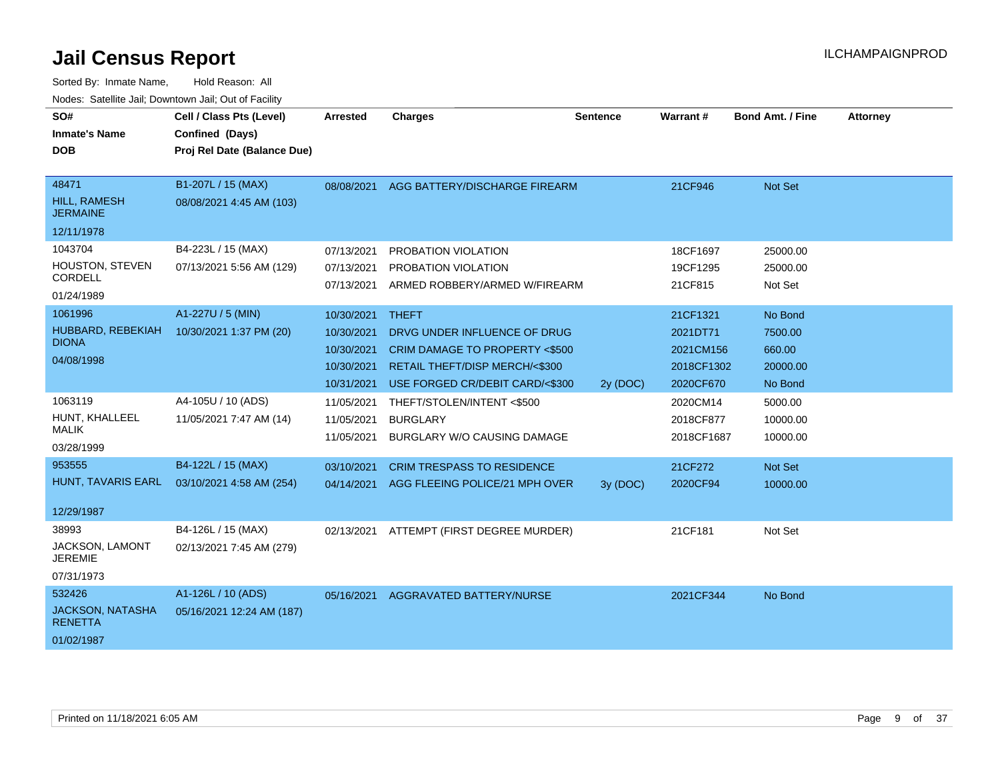| SO#<br><b>Inmate's Name</b><br><b>DOB</b>                         | Cell / Class Pts (Level)<br>Confined (Days)<br>Proj Rel Date (Balance Due) | Arrested                                                           | <b>Charges</b>                                                                                                                                      | Sentence | <b>Warrant#</b>                                              | <b>Bond Amt. / Fine</b>                             | <b>Attorney</b> |
|-------------------------------------------------------------------|----------------------------------------------------------------------------|--------------------------------------------------------------------|-----------------------------------------------------------------------------------------------------------------------------------------------------|----------|--------------------------------------------------------------|-----------------------------------------------------|-----------------|
| 48471<br><b>HILL, RAMESH</b><br><b>JERMAINE</b><br>12/11/1978     | B1-207L / 15 (MAX)<br>08/08/2021 4:45 AM (103)                             | 08/08/2021                                                         | AGG BATTERY/DISCHARGE FIREARM                                                                                                                       |          | 21CF946                                                      | Not Set                                             |                 |
| 1043704<br><b>HOUSTON, STEVEN</b><br><b>CORDELL</b><br>01/24/1989 | B4-223L / 15 (MAX)<br>07/13/2021 5:56 AM (129)                             | 07/13/2021<br>07/13/2021<br>07/13/2021                             | PROBATION VIOLATION<br>PROBATION VIOLATION<br>ARMED ROBBERY/ARMED W/FIREARM                                                                         |          | 18CF1697<br>19CF1295<br>21CF815                              | 25000.00<br>25000.00<br>Not Set                     |                 |
| 1061996<br>HUBBARD, REBEKIAH<br><b>DIONA</b><br>04/08/1998        | A1-227U / 5 (MIN)<br>10/30/2021 1:37 PM (20)                               | 10/30/2021<br>10/30/2021<br>10/30/2021<br>10/30/2021<br>10/31/2021 | <b>THEFT</b><br>DRVG UNDER INFLUENCE OF DRUG<br>CRIM DAMAGE TO PROPERTY <\$500<br>RETAIL THEFT/DISP MERCH/<\$300<br>USE FORGED CR/DEBIT CARD/<\$300 | 2y (DOC) | 21CF1321<br>2021DT71<br>2021CM156<br>2018CF1302<br>2020CF670 | No Bond<br>7500.00<br>660.00<br>20000.00<br>No Bond |                 |
| 1063119<br>HUNT, KHALLEEL<br><b>MALIK</b><br>03/28/1999           | A4-105U / 10 (ADS)<br>11/05/2021 7:47 AM (14)                              | 11/05/2021<br>11/05/2021<br>11/05/2021                             | THEFT/STOLEN/INTENT <\$500<br><b>BURGLARY</b><br>BURGLARY W/O CAUSING DAMAGE                                                                        |          | 2020CM14<br>2018CF877<br>2018CF1687                          | 5000.00<br>10000.00<br>10000.00                     |                 |
| 953555<br>HUNT, TAVARIS EARL<br>12/29/1987                        | B4-122L / 15 (MAX)<br>03/10/2021 4:58 AM (254)                             | 03/10/2021                                                         | <b>CRIM TRESPASS TO RESIDENCE</b><br>04/14/2021 AGG FLEEING POLICE/21 MPH OVER                                                                      | 3y (DOC) | 21CF272<br>2020CF94                                          | <b>Not Set</b><br>10000.00                          |                 |
| 38993<br>JACKSON, LAMONT<br><b>JEREMIE</b><br>07/31/1973          | B4-126L / 15 (MAX)<br>02/13/2021 7:45 AM (279)                             | 02/13/2021                                                         | ATTEMPT (FIRST DEGREE MURDER)                                                                                                                       |          | 21CF181                                                      | Not Set                                             |                 |
| 532426<br><b>JACKSON, NATASHA</b><br><b>RENETTA</b><br>01/02/1987 | A1-126L / 10 (ADS)<br>05/16/2021 12:24 AM (187)                            | 05/16/2021                                                         | AGGRAVATED BATTERY/NURSE                                                                                                                            |          | 2021CF344                                                    | No Bond                                             |                 |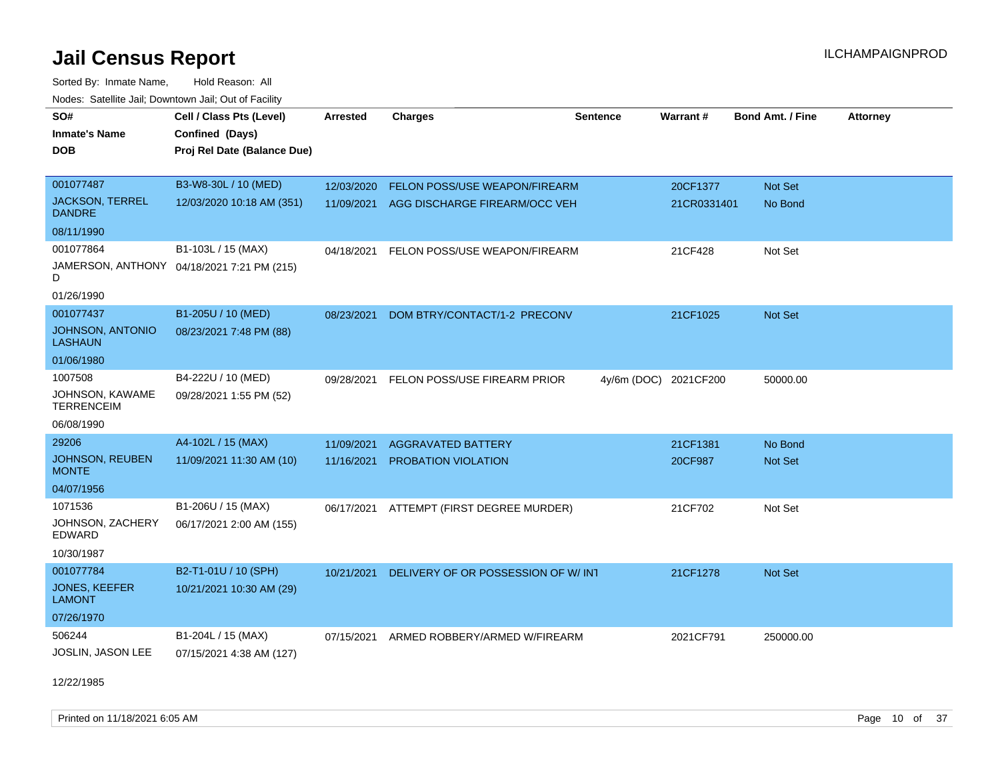Sorted By: Inmate Name, Hold Reason: All Nodes: Satellite Jail; Downtown Jail; Out of Facility

| SO#                                     | Cell / Class Pts (Level)                   | Arrested   | <b>Charges</b>                     | <b>Sentence</b> | Warrant#    | <b>Bond Amt. / Fine</b> | <b>Attorney</b> |
|-----------------------------------------|--------------------------------------------|------------|------------------------------------|-----------------|-------------|-------------------------|-----------------|
| <b>Inmate's Name</b>                    | Confined (Days)                            |            |                                    |                 |             |                         |                 |
| <b>DOB</b>                              | Proj Rel Date (Balance Due)                |            |                                    |                 |             |                         |                 |
|                                         |                                            |            |                                    |                 |             |                         |                 |
| 001077487                               | B3-W8-30L / 10 (MED)                       | 12/03/2020 | FELON POSS/USE WEAPON/FIREARM      |                 | 20CF1377    | Not Set                 |                 |
| <b>JACKSON, TERREL</b><br><b>DANDRE</b> | 12/03/2020 10:18 AM (351)                  | 11/09/2021 | AGG DISCHARGE FIREARM/OCC VEH      |                 | 21CR0331401 | No Bond                 |                 |
| 08/11/1990                              |                                            |            |                                    |                 |             |                         |                 |
| 001077864                               | B1-103L / 15 (MAX)                         | 04/18/2021 | FELON POSS/USE WEAPON/FIREARM      |                 | 21CF428     | Not Set                 |                 |
| D                                       | JAMERSON, ANTHONY 04/18/2021 7:21 PM (215) |            |                                    |                 |             |                         |                 |
| 01/26/1990                              |                                            |            |                                    |                 |             |                         |                 |
| 001077437                               | B1-205U / 10 (MED)                         | 08/23/2021 | DOM BTRY/CONTACT/1-2 PRECONV       |                 | 21CF1025    | <b>Not Set</b>          |                 |
| JOHNSON, ANTONIO<br><b>LASHAUN</b>      | 08/23/2021 7:48 PM (88)                    |            |                                    |                 |             |                         |                 |
| 01/06/1980                              |                                            |            |                                    |                 |             |                         |                 |
| 1007508                                 | B4-222U / 10 (MED)                         | 09/28/2021 | FELON POSS/USE FIREARM PRIOR       | $4y/6m$ (DOC)   | 2021CF200   | 50000.00                |                 |
| JOHNSON, KAWAME<br><b>TERRENCEIM</b>    | 09/28/2021 1:55 PM (52)                    |            |                                    |                 |             |                         |                 |
| 06/08/1990                              |                                            |            |                                    |                 |             |                         |                 |
| 29206                                   | A4-102L / 15 (MAX)                         | 11/09/2021 | <b>AGGRAVATED BATTERY</b>          |                 | 21CF1381    | No Bond                 |                 |
| JOHNSON, REUBEN<br><b>MONTE</b>         | 11/09/2021 11:30 AM (10)                   | 11/16/2021 | PROBATION VIOLATION                |                 | 20CF987     | Not Set                 |                 |
| 04/07/1956                              |                                            |            |                                    |                 |             |                         |                 |
| 1071536                                 | B1-206U / 15 (MAX)                         | 06/17/2021 | ATTEMPT (FIRST DEGREE MURDER)      |                 | 21CF702     | Not Set                 |                 |
| JOHNSON, ZACHERY<br>EDWARD              | 06/17/2021 2:00 AM (155)                   |            |                                    |                 |             |                         |                 |
| 10/30/1987                              |                                            |            |                                    |                 |             |                         |                 |
| 001077784                               | B2-T1-01U / 10 (SPH)                       | 10/21/2021 | DELIVERY OF OR POSSESSION OF W/INT |                 | 21CF1278    | Not Set                 |                 |
| <b>JONES, KEEFER</b><br><b>LAMONT</b>   | 10/21/2021 10:30 AM (29)                   |            |                                    |                 |             |                         |                 |
| 07/26/1970                              |                                            |            |                                    |                 |             |                         |                 |
| 506244                                  | B1-204L / 15 (MAX)                         | 07/15/2021 | ARMED ROBBERY/ARMED W/FIREARM      |                 | 2021CF791   | 250000.00               |                 |
| JOSLIN, JASON LEE                       | 07/15/2021 4:38 AM (127)                   |            |                                    |                 |             |                         |                 |

12/22/1985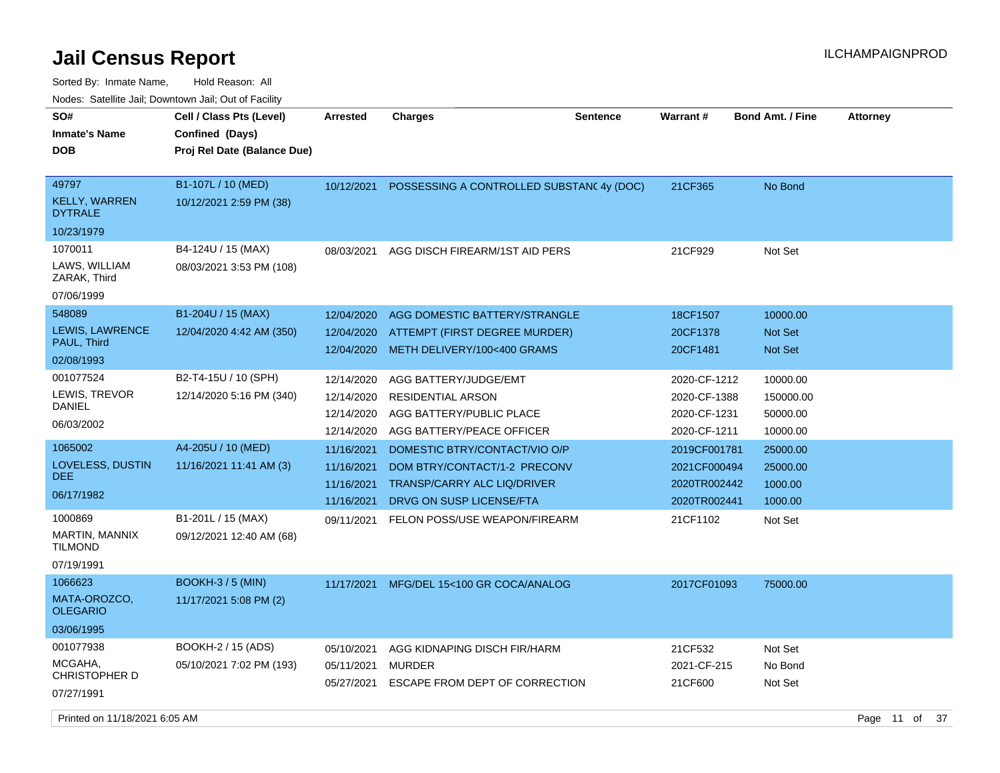| SO#<br><b>Inmate's Name</b><br><b>DOB</b>                  | Cell / Class Pts (Level)<br>Confined (Days)<br>Proj Rel Date (Balance Due) | Arrested                                             | <b>Charges</b>                                                                                                                  | Sentence | Warrant#                                                     | <b>Bond Amt. / Fine</b>                    | <b>Attorney</b> |  |
|------------------------------------------------------------|----------------------------------------------------------------------------|------------------------------------------------------|---------------------------------------------------------------------------------------------------------------------------------|----------|--------------------------------------------------------------|--------------------------------------------|-----------------|--|
| 49797<br><b>KELLY, WARREN</b><br><b>DYTRALE</b>            | B1-107L / 10 (MED)<br>10/12/2021 2:59 PM (38)                              | 10/12/2021                                           | POSSESSING A CONTROLLED SUBSTAN(4y (DOC)                                                                                        |          | 21CF365                                                      | No Bond                                    |                 |  |
| 10/23/1979                                                 |                                                                            |                                                      |                                                                                                                                 |          |                                                              |                                            |                 |  |
| 1070011<br>LAWS, WILLIAM<br>ZARAK, Third                   | B4-124U / 15 (MAX)<br>08/03/2021 3:53 PM (108)                             | 08/03/2021                                           | AGG DISCH FIREARM/1ST AID PERS                                                                                                  |          | 21CF929                                                      | Not Set                                    |                 |  |
| 07/06/1999                                                 |                                                                            |                                                      |                                                                                                                                 |          |                                                              |                                            |                 |  |
| 548089<br>LEWIS, LAWRENCE<br>PAUL, Third<br>02/08/1993     | B1-204U / 15 (MAX)<br>12/04/2020 4:42 AM (350)                             | 12/04/2020<br>12/04/2020<br>12/04/2020               | AGG DOMESTIC BATTERY/STRANGLE<br>ATTEMPT (FIRST DEGREE MURDER)<br>METH DELIVERY/100<400 GRAMS                                   |          | 18CF1507<br>20CF1378<br>20CF1481                             | 10000.00<br><b>Not Set</b><br>Not Set      |                 |  |
| 001077524                                                  | B2-T4-15U / 10 (SPH)                                                       | 12/14/2020                                           | AGG BATTERY/JUDGE/EMT                                                                                                           |          | 2020-CF-1212                                                 | 10000.00                                   |                 |  |
| LEWIS, TREVOR<br>DANIEL<br>06/03/2002                      | 12/14/2020 5:16 PM (340)                                                   | 12/14/2020<br>12/14/2020                             | <b>RESIDENTIAL ARSON</b><br>AGG BATTERY/PUBLIC PLACE                                                                            |          | 2020-CF-1388<br>2020-CF-1231                                 | 150000.00<br>50000.00                      |                 |  |
|                                                            |                                                                            | 12/14/2020                                           | AGG BATTERY/PEACE OFFICER                                                                                                       |          | 2020-CF-1211                                                 | 10000.00                                   |                 |  |
| 1065002<br>LOVELESS, DUSTIN<br>DEE.<br>06/17/1982          | A4-205U / 10 (MED)<br>11/16/2021 11:41 AM (3)                              | 11/16/2021<br>11/16/2021<br>11/16/2021<br>11/16/2021 | DOMESTIC BTRY/CONTACT/VIO O/P<br>DOM BTRY/CONTACT/1-2 PRECONV<br><b>TRANSP/CARRY ALC LIQ/DRIVER</b><br>DRVG ON SUSP LICENSE/FTA |          | 2019CF001781<br>2021CF000494<br>2020TR002442<br>2020TR002441 | 25000.00<br>25000.00<br>1000.00<br>1000.00 |                 |  |
| 1000869<br>MARTIN, MANNIX<br><b>TILMOND</b><br>07/19/1991  | B1-201L / 15 (MAX)<br>09/12/2021 12:40 AM (68)                             | 09/11/2021                                           | FELON POSS/USE WEAPON/FIREARM                                                                                                   |          | 21CF1102                                                     | Not Set                                    |                 |  |
| 1066623                                                    | <b>BOOKH-3 / 5 (MIN)</b>                                                   | 11/17/2021                                           | MFG/DEL 15<100 GR COCA/ANALOG                                                                                                   |          | 2017CF01093                                                  | 75000.00                                   |                 |  |
| MATA-OROZCO,<br><b>OLEGARIO</b>                            | 11/17/2021 5:08 PM (2)                                                     |                                                      |                                                                                                                                 |          |                                                              |                                            |                 |  |
| 03/06/1995                                                 |                                                                            |                                                      |                                                                                                                                 |          |                                                              |                                            |                 |  |
| 001077938<br>MCGAHA,<br><b>CHRISTOPHER D</b><br>07/27/1991 | BOOKH-2 / 15 (ADS)<br>05/10/2021 7:02 PM (193)                             | 05/10/2021<br>05/11/2021<br>05/27/2021               | AGG KIDNAPING DISCH FIR/HARM<br><b>MURDER</b><br>ESCAPE FROM DEPT OF CORRECTION                                                 |          | 21CF532<br>2021-CF-215<br>21CF600                            | Not Set<br>No Bond<br>Not Set              |                 |  |
| Printed on 11/18/2021 6:05 AM                              |                                                                            |                                                      |                                                                                                                                 |          |                                                              |                                            | Page 11 of 37   |  |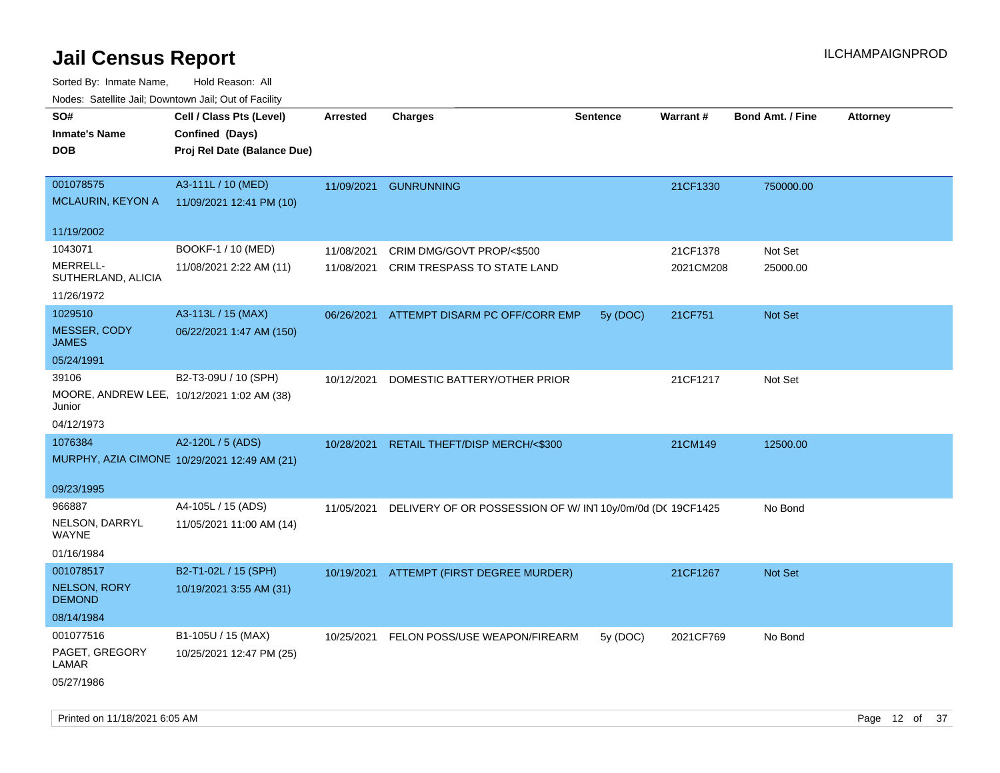| ivoues. Salellite Jali, Downtown Jali, Out of Facility |                                              |                 |                                                                       |                 |           |                         |                 |
|--------------------------------------------------------|----------------------------------------------|-----------------|-----------------------------------------------------------------------|-----------------|-----------|-------------------------|-----------------|
| SO#                                                    | Cell / Class Pts (Level)                     | <b>Arrested</b> | <b>Charges</b>                                                        | <b>Sentence</b> | Warrant#  | <b>Bond Amt. / Fine</b> | <b>Attorney</b> |
| <b>Inmate's Name</b>                                   | Confined (Days)                              |                 |                                                                       |                 |           |                         |                 |
| <b>DOB</b>                                             | Proj Rel Date (Balance Due)                  |                 |                                                                       |                 |           |                         |                 |
|                                                        |                                              |                 |                                                                       |                 |           |                         |                 |
| 001078575                                              | A3-111L / 10 (MED)                           |                 | 11/09/2021 GUNRUNNING                                                 |                 | 21CF1330  | 750000.00               |                 |
| MCLAURIN, KEYON A                                      | 11/09/2021 12:41 PM (10)                     |                 |                                                                       |                 |           |                         |                 |
|                                                        |                                              |                 |                                                                       |                 |           |                         |                 |
| 11/19/2002                                             |                                              |                 |                                                                       |                 |           |                         |                 |
| 1043071                                                | BOOKF-1 / 10 (MED)                           | 11/08/2021      | CRIM DMG/GOVT PROP/<\$500                                             |                 | 21CF1378  | Not Set                 |                 |
| MERRELL-                                               | 11/08/2021 2:22 AM (11)                      | 11/08/2021      | <b>CRIM TRESPASS TO STATE LAND</b>                                    |                 | 2021CM208 | 25000.00                |                 |
| SUTHERLAND, ALICIA                                     |                                              |                 |                                                                       |                 |           |                         |                 |
| 11/26/1972                                             |                                              |                 |                                                                       |                 |           |                         |                 |
| 1029510                                                | A3-113L / 15 (MAX)                           | 06/26/2021      | ATTEMPT DISARM PC OFF/CORR EMP                                        | 5y (DOC)        | 21CF751   | Not Set                 |                 |
| MESSER, CODY<br><b>JAMES</b>                           | 06/22/2021 1:47 AM (150)                     |                 |                                                                       |                 |           |                         |                 |
| 05/24/1991                                             |                                              |                 |                                                                       |                 |           |                         |                 |
| 39106                                                  | B2-T3-09U / 10 (SPH)                         | 10/12/2021      | DOMESTIC BATTERY/OTHER PRIOR                                          |                 | 21CF1217  | Not Set                 |                 |
| MOORE, ANDREW LEE, 10/12/2021 1:02 AM (38)             |                                              |                 |                                                                       |                 |           |                         |                 |
| Junior                                                 |                                              |                 |                                                                       |                 |           |                         |                 |
| 04/12/1973                                             |                                              |                 |                                                                       |                 |           |                         |                 |
| 1076384                                                | A2-120L / 5 (ADS)                            |                 | 10/28/2021 RETAIL THEFT/DISP MERCH/<\$300                             |                 | 21CM149   | 12500.00                |                 |
|                                                        | MURPHY, AZIA CIMONE 10/29/2021 12:49 AM (21) |                 |                                                                       |                 |           |                         |                 |
|                                                        |                                              |                 |                                                                       |                 |           |                         |                 |
| 09/23/1995                                             |                                              |                 |                                                                       |                 |           |                         |                 |
| 966887                                                 | A4-105L / 15 (ADS)                           |                 | 11/05/2021 DELIVERY OF OR POSSESSION OF W/ IN1 10y/0m/0d (DC 19CF1425 |                 |           | No Bond                 |                 |
| NELSON, DARRYL<br>WAYNE                                | 11/05/2021 11:00 AM (14)                     |                 |                                                                       |                 |           |                         |                 |
|                                                        |                                              |                 |                                                                       |                 |           |                         |                 |
| 01/16/1984                                             |                                              |                 |                                                                       |                 |           |                         |                 |
| 001078517                                              | B2-T1-02L / 15 (SPH)                         |                 | 10/19/2021 ATTEMPT (FIRST DEGREE MURDER)                              |                 | 21CF1267  | Not Set                 |                 |
| NELSON, RORY<br><b>DEMOND</b>                          | 10/19/2021 3:55 AM (31)                      |                 |                                                                       |                 |           |                         |                 |
| 08/14/1984                                             |                                              |                 |                                                                       |                 |           |                         |                 |
| 001077516                                              | B1-105U / 15 (MAX)                           |                 | 10/25/2021 FELON POSS/USE WEAPON/FIREARM                              | 5y (DOC)        | 2021CF769 | No Bond                 |                 |
| PAGET, GREGORY                                         | 10/25/2021 12:47 PM (25)                     |                 |                                                                       |                 |           |                         |                 |
| LAMAR                                                  |                                              |                 |                                                                       |                 |           |                         |                 |
| 05/27/1986                                             |                                              |                 |                                                                       |                 |           |                         |                 |
|                                                        |                                              |                 |                                                                       |                 |           |                         |                 |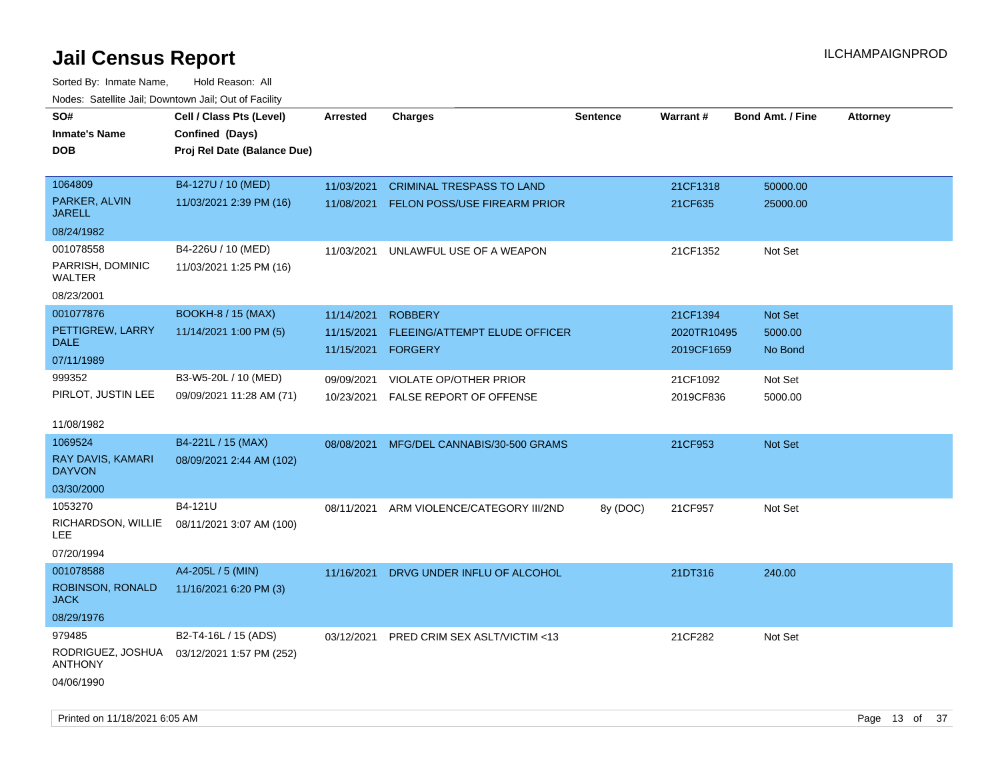| rougs. Calcing Jan, Downtown Jan, Out of Facility |                                            |                    |                                          |                 |                 |                         |                 |
|---------------------------------------------------|--------------------------------------------|--------------------|------------------------------------------|-----------------|-----------------|-------------------------|-----------------|
| SO#                                               | Cell / Class Pts (Level)                   | <b>Arrested</b>    | <b>Charges</b>                           | <b>Sentence</b> | <b>Warrant#</b> | <b>Bond Amt. / Fine</b> | <b>Attorney</b> |
| <b>Inmate's Name</b>                              | Confined (Days)                            |                    |                                          |                 |                 |                         |                 |
| <b>DOB</b>                                        | Proj Rel Date (Balance Due)                |                    |                                          |                 |                 |                         |                 |
|                                                   |                                            |                    |                                          |                 |                 |                         |                 |
| 1064809                                           | B4-127U / 10 (MED)                         | 11/03/2021         | <b>CRIMINAL TRESPASS TO LAND</b>         |                 | 21CF1318        | 50000.00                |                 |
| PARKER, ALVIN<br><b>JARELL</b>                    | 11/03/2021 2:39 PM (16)                    |                    | 11/08/2021 FELON POSS/USE FIREARM PRIOR  |                 | 21CF635         | 25000.00                |                 |
| 08/24/1982                                        |                                            |                    |                                          |                 |                 |                         |                 |
| 001078558                                         | B4-226U / 10 (MED)                         | 11/03/2021         | UNLAWFUL USE OF A WEAPON                 |                 | 21CF1352        | Not Set                 |                 |
| PARRISH, DOMINIC<br>WALTER                        | 11/03/2021 1:25 PM (16)                    |                    |                                          |                 |                 |                         |                 |
| 08/23/2001                                        |                                            |                    |                                          |                 |                 |                         |                 |
| 001077876                                         | <b>BOOKH-8 / 15 (MAX)</b>                  | 11/14/2021         | <b>ROBBERY</b>                           |                 | 21CF1394        | Not Set                 |                 |
| PETTIGREW, LARRY                                  | 11/14/2021 1:00 PM (5)                     | 11/15/2021         | FLEEING/ATTEMPT ELUDE OFFICER            |                 | 2020TR10495     | 5000.00                 |                 |
| <b>DALE</b>                                       |                                            | 11/15/2021 FORGERY |                                          |                 | 2019CF1659      | No Bond                 |                 |
| 07/11/1989                                        |                                            |                    |                                          |                 |                 |                         |                 |
| 999352                                            | B3-W5-20L / 10 (MED)                       | 09/09/2021         | VIOLATE OP/OTHER PRIOR                   |                 | 21CF1092        | Not Set                 |                 |
| PIRLOT, JUSTIN LEE                                | 09/09/2021 11:28 AM (71)                   | 10/23/2021         | <b>FALSE REPORT OF OFFENSE</b>           |                 | 2019CF836       | 5000.00                 |                 |
|                                                   |                                            |                    |                                          |                 |                 |                         |                 |
| 11/08/1982                                        |                                            |                    |                                          |                 |                 |                         |                 |
| 1069524                                           | B4-221L / 15 (MAX)                         | 08/08/2021         | MFG/DEL CANNABIS/30-500 GRAMS            |                 | 21CF953         | Not Set                 |                 |
| RAY DAVIS, KAMARI<br><b>DAYVON</b>                | 08/09/2021 2:44 AM (102)                   |                    |                                          |                 |                 |                         |                 |
| 03/30/2000                                        |                                            |                    |                                          |                 |                 |                         |                 |
| 1053270                                           | B4-121U                                    | 08/11/2021         | ARM VIOLENCE/CATEGORY III/2ND            | 8y (DOC)        | 21CF957         | Not Set                 |                 |
| RICHARDSON, WILLIE<br>LEE.                        | 08/11/2021 3:07 AM (100)                   |                    |                                          |                 |                 |                         |                 |
| 07/20/1994                                        |                                            |                    |                                          |                 |                 |                         |                 |
| 001078588                                         | A4-205L / 5 (MIN)                          | 11/16/2021         | DRVG UNDER INFLU OF ALCOHOL              |                 | 21DT316         | 240.00                  |                 |
| ROBINSON, RONALD<br><b>JACK</b>                   | 11/16/2021 6:20 PM (3)                     |                    |                                          |                 |                 |                         |                 |
| 08/29/1976                                        |                                            |                    |                                          |                 |                 |                         |                 |
| 979485                                            | B2-T4-16L / 15 (ADS)                       |                    | 03/12/2021 PRED CRIM SEX ASLT/VICTIM <13 |                 | 21CF282         | Not Set                 |                 |
| <b>ANTHONY</b>                                    | RODRIGUEZ, JOSHUA 03/12/2021 1:57 PM (252) |                    |                                          |                 |                 |                         |                 |
| 04/06/1990                                        |                                            |                    |                                          |                 |                 |                         |                 |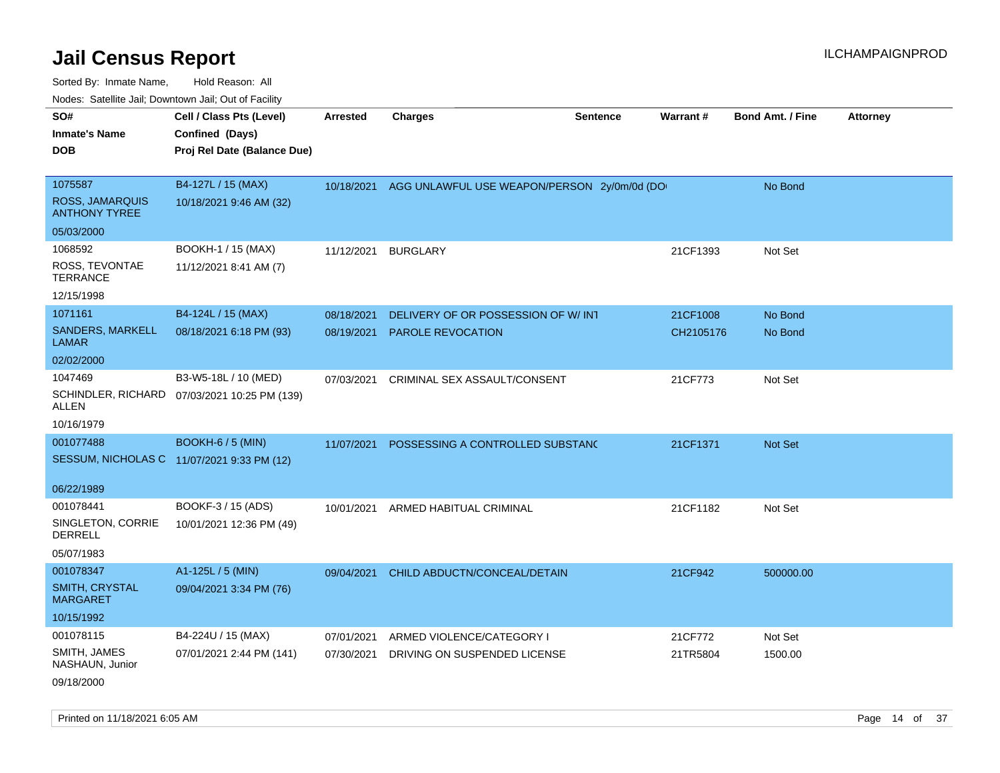| SO#<br><b>Inmate's Name</b><br><b>DOB</b> | Cell / Class Pts (Level)<br>Confined (Days)<br>Proj Rel Date (Balance Due) | <b>Arrested</b> | <b>Charges</b>                                         | <b>Sentence</b> | Warrant#  | <b>Bond Amt. / Fine</b> | <b>Attorney</b> |
|-------------------------------------------|----------------------------------------------------------------------------|-----------------|--------------------------------------------------------|-----------------|-----------|-------------------------|-----------------|
|                                           |                                                                            |                 |                                                        |                 |           |                         |                 |
| 1075587<br><b>ROSS, JAMARQUIS</b>         | B4-127L / 15 (MAX)                                                         |                 | 10/18/2021 AGG UNLAWFUL USE WEAPON/PERSON 2y/0m/0d (DO |                 |           | No Bond                 |                 |
| <b>ANTHONY TYREE</b>                      | 10/18/2021 9:46 AM (32)                                                    |                 |                                                        |                 |           |                         |                 |
| 05/03/2000                                |                                                                            |                 |                                                        |                 |           |                         |                 |
| 1068592                                   | BOOKH-1 / 15 (MAX)                                                         | 11/12/2021      | <b>BURGLARY</b>                                        |                 | 21CF1393  | Not Set                 |                 |
| ROSS, TEVONTAE<br><b>TERRANCE</b>         | 11/12/2021 8:41 AM (7)                                                     |                 |                                                        |                 |           |                         |                 |
| 12/15/1998                                |                                                                            |                 |                                                        |                 |           |                         |                 |
| 1071161                                   | B4-124L / 15 (MAX)                                                         | 08/18/2021      | DELIVERY OF OR POSSESSION OF W/ INT                    |                 | 21CF1008  | No Bond                 |                 |
| SANDERS, MARKELL<br><b>LAMAR</b>          | 08/18/2021 6:18 PM (93)                                                    | 08/19/2021      | <b>PAROLE REVOCATION</b>                               |                 | CH2105176 | No Bond                 |                 |
| 02/02/2000                                |                                                                            |                 |                                                        |                 |           |                         |                 |
| 1047469                                   | B3-W5-18L / 10 (MED)                                                       | 07/03/2021      | <b>CRIMINAL SEX ASSAULT/CONSENT</b>                    |                 | 21CF773   | Not Set                 |                 |
| ALLEN                                     | SCHINDLER, RICHARD 07/03/2021 10:25 PM (139)                               |                 |                                                        |                 |           |                         |                 |
| 10/16/1979                                |                                                                            |                 |                                                        |                 |           |                         |                 |
| 001077488                                 | <b>BOOKH-6 / 5 (MIN)</b>                                                   | 11/07/2021      | POSSESSING A CONTROLLED SUBSTANC                       |                 | 21CF1371  | Not Set                 |                 |
|                                           | SESSUM, NICHOLAS C 11/07/2021 9:33 PM (12)                                 |                 |                                                        |                 |           |                         |                 |
| 06/22/1989                                |                                                                            |                 |                                                        |                 |           |                         |                 |
| 001078441                                 | BOOKF-3 / 15 (ADS)                                                         | 10/01/2021      | ARMED HABITUAL CRIMINAL                                |                 | 21CF1182  | Not Set                 |                 |
| SINGLETON, CORRIE<br><b>DERRELL</b>       | 10/01/2021 12:36 PM (49)                                                   |                 |                                                        |                 |           |                         |                 |
| 05/07/1983                                |                                                                            |                 |                                                        |                 |           |                         |                 |
| 001078347                                 | A1-125L / 5 (MIN)                                                          | 09/04/2021      | CHILD ABDUCTN/CONCEAL/DETAIN                           |                 | 21CF942   | 500000.00               |                 |
| <b>SMITH, CRYSTAL</b><br><b>MARGARET</b>  | 09/04/2021 3:34 PM (76)                                                    |                 |                                                        |                 |           |                         |                 |
| 10/15/1992                                |                                                                            |                 |                                                        |                 |           |                         |                 |
| 001078115                                 | B4-224U / 15 (MAX)                                                         | 07/01/2021      | ARMED VIOLENCE/CATEGORY I                              |                 | 21CF772   | Not Set                 |                 |
| SMITH, JAMES<br>NASHAUN, Junior           | 07/01/2021 2:44 PM (141)                                                   | 07/30/2021      | DRIVING ON SUSPENDED LICENSE                           |                 | 21TR5804  | 1500.00                 |                 |
| 09/18/2000                                |                                                                            |                 |                                                        |                 |           |                         |                 |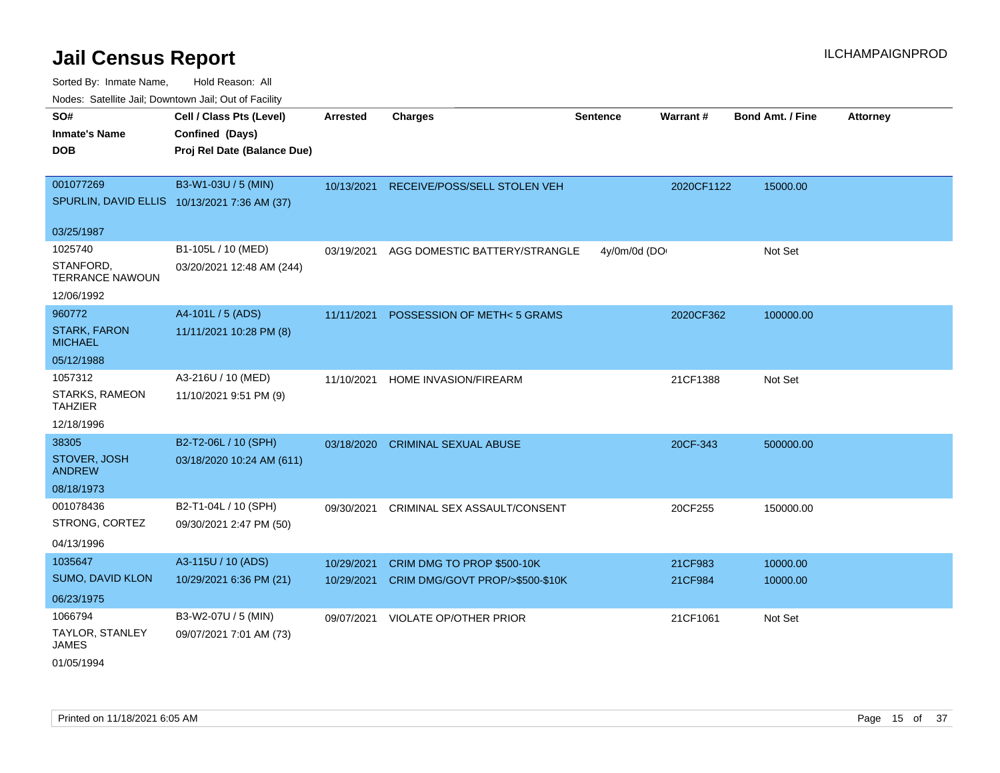Sorted Node:

| Sorted By: Inmate Name,                               | Hold Reason: All                             |                 |                                 |                 |            |                         |          |
|-------------------------------------------------------|----------------------------------------------|-----------------|---------------------------------|-----------------|------------|-------------------------|----------|
| Nodes: Satellite Jail; Downtown Jail; Out of Facility |                                              |                 |                                 |                 |            |                         |          |
| SO#                                                   | Cell / Class Pts (Level)                     | <b>Arrested</b> | <b>Charges</b>                  | <b>Sentence</b> | Warrant#   | <b>Bond Amt. / Fine</b> | Attorney |
| <b>Inmate's Name</b>                                  | Confined (Days)                              |                 |                                 |                 |            |                         |          |
| <b>DOB</b>                                            | Proj Rel Date (Balance Due)                  |                 |                                 |                 |            |                         |          |
|                                                       |                                              |                 |                                 |                 |            |                         |          |
| 001077269                                             | B3-W1-03U / 5 (MIN)                          | 10/13/2021      | RECEIVE/POSS/SELL STOLEN VEH    |                 | 2020CF1122 | 15000.00                |          |
|                                                       | SPURLIN, DAVID ELLIS 10/13/2021 7:36 AM (37) |                 |                                 |                 |            |                         |          |
| 03/25/1987                                            |                                              |                 |                                 |                 |            |                         |          |
| 1025740                                               | B1-105L / 10 (MED)                           | 03/19/2021      | AGG DOMESTIC BATTERY/STRANGLE   | 4y/0m/0d (DO    |            | Not Set                 |          |
| STANFORD,<br><b>TERRANCE NAWOUN</b>                   | 03/20/2021 12:48 AM (244)                    |                 |                                 |                 |            |                         |          |
| 12/06/1992                                            |                                              |                 |                                 |                 |            |                         |          |
| 960772                                                | A4-101L / 5 (ADS)                            | 11/11/2021      | POSSESSION OF METH<5 GRAMS      |                 | 2020CF362  | 100000.00               |          |
| <b>STARK, FARON</b><br><b>MICHAEL</b>                 | 11/11/2021 10:28 PM (8)                      |                 |                                 |                 |            |                         |          |
| 05/12/1988                                            |                                              |                 |                                 |                 |            |                         |          |
| 1057312                                               | A3-216U / 10 (MED)                           | 11/10/2021      | HOME INVASION/FIREARM           |                 | 21CF1388   | Not Set                 |          |
| STARKS, RAMEON<br><b>TAHZIER</b>                      | 11/10/2021 9:51 PM (9)                       |                 |                                 |                 |            |                         |          |
| 12/18/1996                                            |                                              |                 |                                 |                 |            |                         |          |
| 38305                                                 | B2-T2-06L / 10 (SPH)                         | 03/18/2020      | <b>CRIMINAL SEXUAL ABUSE</b>    |                 | 20CF-343   | 500000.00               |          |
| STOVER, JOSH<br><b>ANDREW</b>                         | 03/18/2020 10:24 AM (611)                    |                 |                                 |                 |            |                         |          |
| 08/18/1973                                            |                                              |                 |                                 |                 |            |                         |          |
| 001078436                                             | B2-T1-04L / 10 (SPH)                         | 09/30/2021      | CRIMINAL SEX ASSAULT/CONSENT    |                 | 20CF255    | 150000.00               |          |
| STRONG, CORTEZ                                        | 09/30/2021 2:47 PM (50)                      |                 |                                 |                 |            |                         |          |
| 04/13/1996                                            |                                              |                 |                                 |                 |            |                         |          |
| 1035647                                               | A3-115U / 10 (ADS)                           | 10/29/2021      | CRIM DMG TO PROP \$500-10K      |                 | 21CF983    | 10000.00                |          |
| SUMO, DAVID KLON                                      | 10/29/2021 6:36 PM (21)                      | 10/29/2021      | CRIM DMG/GOVT PROP/>\$500-\$10K |                 | 21CF984    | 10000.00                |          |
| 06/23/1975                                            |                                              |                 |                                 |                 |            |                         |          |
| 1066794                                               | B3-W2-07U / 5 (MIN)                          | 09/07/2021      | VIOLATE OP/OTHER PRIOR          |                 | 21CF1061   | Not Set                 |          |
| <b>TAYLOR, STANLEY</b><br><b>JAMES</b>                | 09/07/2021 7:01 AM (73)                      |                 |                                 |                 |            |                         |          |

01/05/1994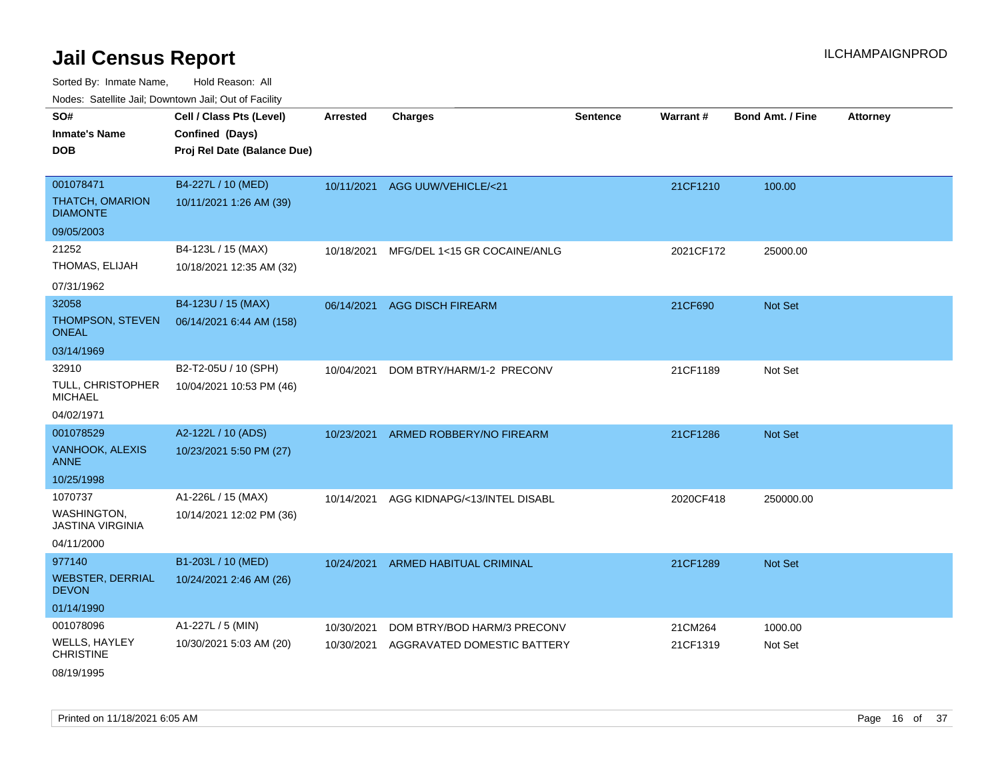| Nodes: Satellite Jail; Downtown Jail; Out of Facility |                             |                 |                              |                 |                 |                  |                 |
|-------------------------------------------------------|-----------------------------|-----------------|------------------------------|-----------------|-----------------|------------------|-----------------|
| SO#                                                   | Cell / Class Pts (Level)    | <b>Arrested</b> | <b>Charges</b>               | <b>Sentence</b> | <b>Warrant#</b> | Bond Amt. / Fine | <b>Attorney</b> |
| <b>Inmate's Name</b>                                  | Confined (Days)             |                 |                              |                 |                 |                  |                 |
| <b>DOB</b>                                            | Proj Rel Date (Balance Due) |                 |                              |                 |                 |                  |                 |
|                                                       |                             |                 |                              |                 |                 |                  |                 |
| 001078471                                             | B4-227L / 10 (MED)          | 10/11/2021      | AGG UUW/VEHICLE/<21          |                 | 21CF1210        | 100.00           |                 |
| <b>THATCH, OMARION</b><br><b>DIAMONTE</b>             | 10/11/2021 1:26 AM (39)     |                 |                              |                 |                 |                  |                 |
| 09/05/2003                                            |                             |                 |                              |                 |                 |                  |                 |
| 21252                                                 | B4-123L / 15 (MAX)          | 10/18/2021      | MFG/DEL 1<15 GR COCAINE/ANLG |                 | 2021CF172       | 25000.00         |                 |
| THOMAS, ELIJAH                                        | 10/18/2021 12:35 AM (32)    |                 |                              |                 |                 |                  |                 |
| 07/31/1962                                            |                             |                 |                              |                 |                 |                  |                 |
| 32058                                                 | B4-123U / 15 (MAX)          | 06/14/2021      | <b>AGG DISCH FIREARM</b>     |                 | 21CF690         | Not Set          |                 |
| THOMPSON, STEVEN<br><b>ONEAL</b>                      | 06/14/2021 6:44 AM (158)    |                 |                              |                 |                 |                  |                 |
| 03/14/1969                                            |                             |                 |                              |                 |                 |                  |                 |
| 32910                                                 | B2-T2-05U / 10 (SPH)        | 10/04/2021      | DOM BTRY/HARM/1-2 PRECONV    |                 | 21CF1189        | Not Set          |                 |
| TULL, CHRISTOPHER<br><b>MICHAEL</b>                   | 10/04/2021 10:53 PM (46)    |                 |                              |                 |                 |                  |                 |
| 04/02/1971                                            |                             |                 |                              |                 |                 |                  |                 |
| 001078529                                             | A2-122L / 10 (ADS)          | 10/23/2021      | ARMED ROBBERY/NO FIREARM     |                 | 21CF1286        | Not Set          |                 |
| VANHOOK, ALEXIS<br><b>ANNE</b>                        | 10/23/2021 5:50 PM (27)     |                 |                              |                 |                 |                  |                 |
| 10/25/1998                                            |                             |                 |                              |                 |                 |                  |                 |
| 1070737                                               | A1-226L / 15 (MAX)          | 10/14/2021      | AGG KIDNAPG/<13/INTEL DISABL |                 | 2020CF418       | 250000.00        |                 |
| WASHINGTON,<br><b>JASTINA VIRGINIA</b>                | 10/14/2021 12:02 PM (36)    |                 |                              |                 |                 |                  |                 |
| 04/11/2000                                            |                             |                 |                              |                 |                 |                  |                 |
| 977140                                                | B1-203L / 10 (MED)          | 10/24/2021      | ARMED HABITUAL CRIMINAL      |                 | 21CF1289        | Not Set          |                 |
| <b>WEBSTER, DERRIAL</b><br><b>DEVON</b>               | 10/24/2021 2:46 AM (26)     |                 |                              |                 |                 |                  |                 |
| 01/14/1990                                            |                             |                 |                              |                 |                 |                  |                 |
| 001078096                                             | A1-227L / 5 (MIN)           | 10/30/2021      | DOM BTRY/BOD HARM/3 PRECONV  |                 | 21CM264         | 1000.00          |                 |
| <b>WELLS, HAYLEY</b><br><b>CHRISTINE</b>              | 10/30/2021 5:03 AM (20)     | 10/30/2021      | AGGRAVATED DOMESTIC BATTERY  |                 | 21CF1319        | Not Set          |                 |
| 08/19/1995                                            |                             |                 |                              |                 |                 |                  |                 |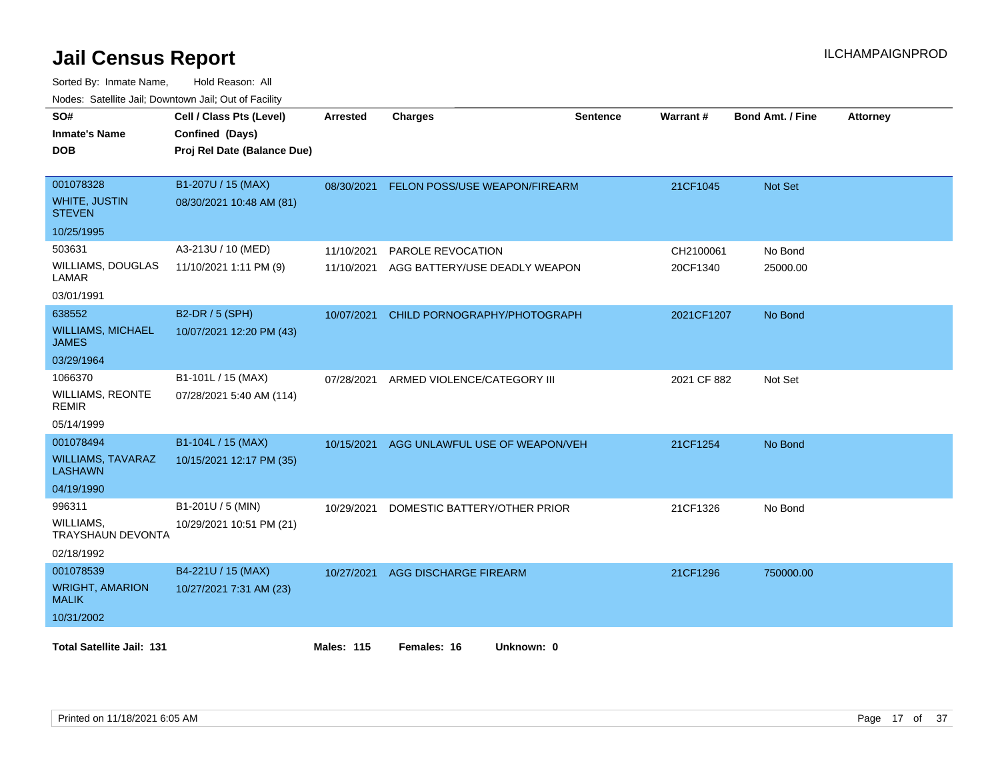| SO#<br><b>Inmate's Name</b><br><b>DOB</b>          | Cell / Class Pts (Level)<br>Confined (Days)<br>Proj Rel Date (Balance Due) | <b>Arrested</b>   | <b>Charges</b>                 | Sentence | <b>Warrant#</b> | <b>Bond Amt. / Fine</b> | <b>Attorney</b> |
|----------------------------------------------------|----------------------------------------------------------------------------|-------------------|--------------------------------|----------|-----------------|-------------------------|-----------------|
| 001078328<br><b>WHITE, JUSTIN</b><br><b>STEVEN</b> | B1-207U / 15 (MAX)<br>08/30/2021 10:48 AM (81)                             | 08/30/2021        | FELON POSS/USE WEAPON/FIREARM  |          | 21CF1045        | Not Set                 |                 |
| 10/25/1995                                         |                                                                            |                   |                                |          |                 |                         |                 |
| 503631                                             | A3-213U / 10 (MED)                                                         | 11/10/2021        | <b>PAROLE REVOCATION</b>       |          | CH2100061       | No Bond                 |                 |
| <b>WILLIAMS, DOUGLAS</b><br>LAMAR                  | 11/10/2021 1:11 PM (9)                                                     | 11/10/2021        | AGG BATTERY/USE DEADLY WEAPON  |          | 20CF1340        | 25000.00                |                 |
| 03/01/1991                                         |                                                                            |                   |                                |          |                 |                         |                 |
| 638552                                             | B2-DR / 5 (SPH)                                                            | 10/07/2021        | CHILD PORNOGRAPHY/PHOTOGRAPH   |          | 2021CF1207      | No Bond                 |                 |
| <b>WILLIAMS, MICHAEL</b><br><b>JAMES</b>           | 10/07/2021 12:20 PM (43)                                                   |                   |                                |          |                 |                         |                 |
| 03/29/1964                                         |                                                                            |                   |                                |          |                 |                         |                 |
| 1066370                                            | B1-101L / 15 (MAX)                                                         | 07/28/2021        | ARMED VIOLENCE/CATEGORY III    |          | 2021 CF 882     | Not Set                 |                 |
| <b>WILLIAMS, REONTE</b><br><b>REMIR</b>            | 07/28/2021 5:40 AM (114)                                                   |                   |                                |          |                 |                         |                 |
| 05/14/1999                                         |                                                                            |                   |                                |          |                 |                         |                 |
| 001078494                                          | B1-104L / 15 (MAX)                                                         | 10/15/2021        | AGG UNLAWFUL USE OF WEAPON/VEH |          | 21CF1254        | No Bond                 |                 |
| <b>WILLIAMS, TAVARAZ</b><br><b>LASHAWN</b>         | 10/15/2021 12:17 PM (35)                                                   |                   |                                |          |                 |                         |                 |
| 04/19/1990                                         |                                                                            |                   |                                |          |                 |                         |                 |
| 996311                                             | B1-201U / 5 (MIN)                                                          | 10/29/2021        | DOMESTIC BATTERY/OTHER PRIOR   |          | 21CF1326        | No Bond                 |                 |
| WILLIAMS,<br><b>TRAYSHAUN DEVONTA</b>              | 10/29/2021 10:51 PM (21)                                                   |                   |                                |          |                 |                         |                 |
| 02/18/1992                                         |                                                                            |                   |                                |          |                 |                         |                 |
| 001078539                                          | B4-221U / 15 (MAX)                                                         | 10/27/2021        | <b>AGG DISCHARGE FIREARM</b>   |          | 21CF1296        | 750000.00               |                 |
| <b>WRIGHT, AMARION</b><br><b>MALIK</b>             | 10/27/2021 7:31 AM (23)                                                    |                   |                                |          |                 |                         |                 |
| 10/31/2002                                         |                                                                            |                   |                                |          |                 |                         |                 |
| <b>Total Satellite Jail: 131</b>                   |                                                                            | <b>Males: 115</b> | Females: 16<br>Unknown: 0      |          |                 |                         |                 |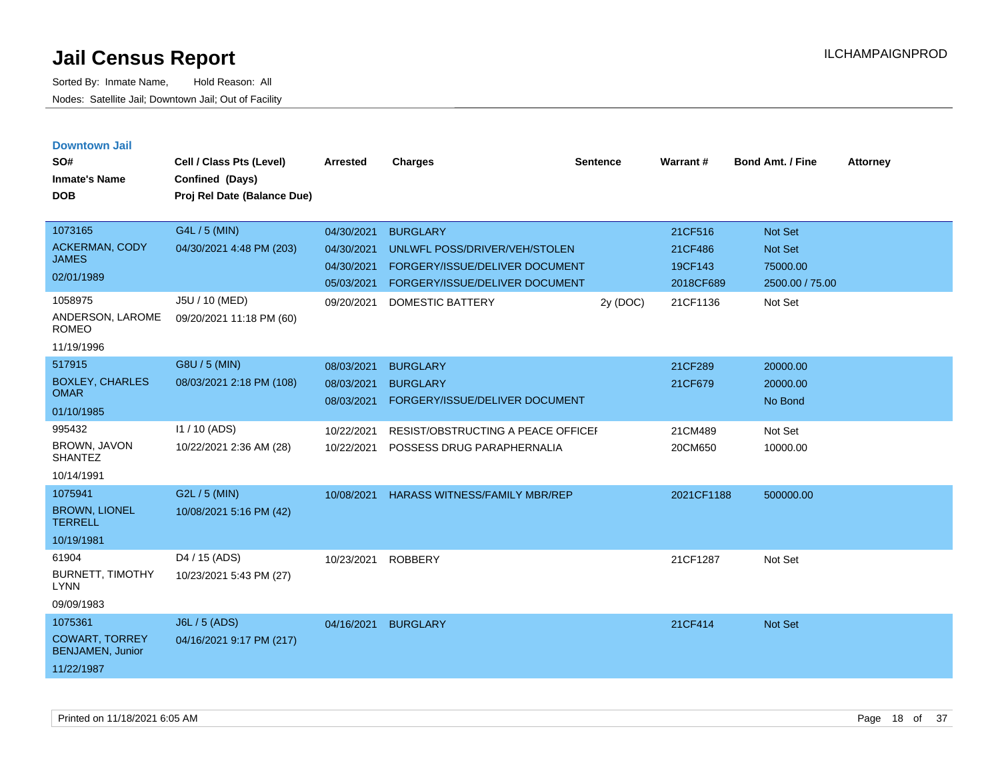| <b>Downtown Jail</b><br>SO#<br><b>Inmate's Name</b><br><b>DOB</b>         | Cell / Class Pts (Level)<br>Confined (Days)<br>Proj Rel Date (Balance Due) | Arrested                                                           | <b>Charges</b>                                                                                                                           | <b>Sentence</b> | Warrant#                                               | <b>Bond Amt. / Fine</b>                                                    | <b>Attorney</b> |
|---------------------------------------------------------------------------|----------------------------------------------------------------------------|--------------------------------------------------------------------|------------------------------------------------------------------------------------------------------------------------------------------|-----------------|--------------------------------------------------------|----------------------------------------------------------------------------|-----------------|
| 1073165<br><b>ACKERMAN, CODY</b><br>JAMES<br>02/01/1989<br>1058975        | G4L / 5 (MIN)<br>04/30/2021 4:48 PM (203)<br>J5U / 10 (MED)                | 04/30/2021<br>04/30/2021<br>04/30/2021<br>05/03/2021<br>09/20/2021 | <b>BURGLARY</b><br>UNLWFL POSS/DRIVER/VEH/STOLEN<br>FORGERY/ISSUE/DELIVER DOCUMENT<br>FORGERY/ISSUE/DELIVER DOCUMENT<br>DOMESTIC BATTERY | 2y (DOC)        | 21CF516<br>21CF486<br>19CF143<br>2018CF689<br>21CF1136 | <b>Not Set</b><br><b>Not Set</b><br>75000.00<br>2500.00 / 75.00<br>Not Set |                 |
| ANDERSON, LAROME<br><b>ROMEO</b><br>11/19/1996                            | 09/20/2021 11:18 PM (60)                                                   |                                                                    |                                                                                                                                          |                 |                                                        |                                                                            |                 |
| 517915<br><b>BOXLEY, CHARLES</b><br><b>OMAR</b><br>01/10/1985             | G8U / 5 (MIN)<br>08/03/2021 2:18 PM (108)                                  | 08/03/2021<br>08/03/2021<br>08/03/2021                             | <b>BURGLARY</b><br><b>BURGLARY</b><br>FORGERY/ISSUE/DELIVER DOCUMENT                                                                     |                 | 21CF289<br>21CF679                                     | 20000.00<br>20000.00<br>No Bond                                            |                 |
| 995432<br><b>BROWN, JAVON</b><br><b>SHANTEZ</b><br>10/14/1991             | I1 / 10 (ADS)<br>10/22/2021 2:36 AM (28)                                   | 10/22/2021<br>10/22/2021                                           | RESIST/OBSTRUCTING A PEACE OFFICEF<br>POSSESS DRUG PARAPHERNALIA                                                                         |                 | 21CM489<br>20CM650                                     | Not Set<br>10000.00                                                        |                 |
| 1075941<br><b>BROWN, LIONEL</b><br><b>TERRELL</b><br>10/19/1981           | G2L / 5 (MIN)<br>10/08/2021 5:16 PM (42)                                   | 10/08/2021                                                         | <b>HARASS WITNESS/FAMILY MBR/REP</b>                                                                                                     |                 | 2021CF1188                                             | 500000.00                                                                  |                 |
| 61904<br><b>BURNETT, TIMOTHY</b><br><b>LYNN</b><br>09/09/1983             | D4 / 15 (ADS)<br>10/23/2021 5:43 PM (27)                                   | 10/23/2021                                                         | <b>ROBBERY</b>                                                                                                                           |                 | 21CF1287                                               | Not Set                                                                    |                 |
| 1075361<br><b>COWART, TORREY</b><br><b>BENJAMEN, Junior</b><br>11/22/1987 | J6L / 5 (ADS)<br>04/16/2021 9:17 PM (217)                                  | 04/16/2021                                                         | <b>BURGLARY</b>                                                                                                                          |                 | 21CF414                                                | <b>Not Set</b>                                                             |                 |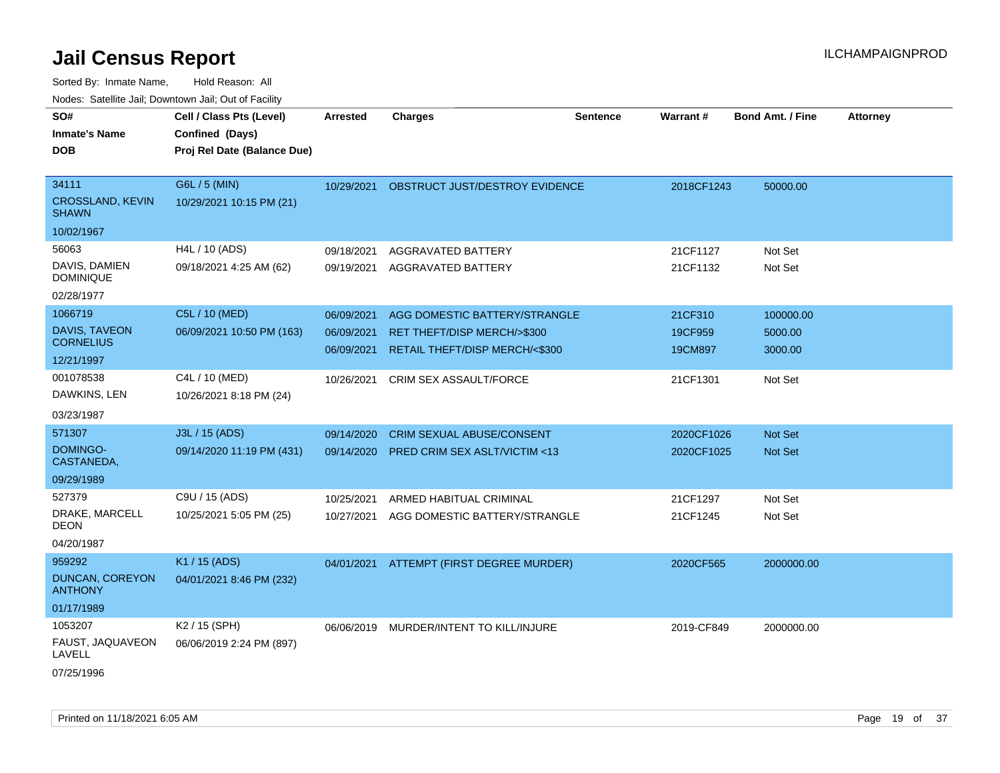Sorted By: Inmate Name, Hold Reason: All

|                                          | Nodes: Satellite Jail; Downtown Jail; Out of Facility |                 |                                  |                 |            |                  |                 |
|------------------------------------------|-------------------------------------------------------|-----------------|----------------------------------|-----------------|------------|------------------|-----------------|
| SO#                                      | Cell / Class Pts (Level)                              | <b>Arrested</b> | <b>Charges</b>                   | <b>Sentence</b> | Warrant#   | Bond Amt. / Fine | <b>Attorney</b> |
| <b>Inmate's Name</b>                     | Confined (Days)                                       |                 |                                  |                 |            |                  |                 |
| <b>DOB</b>                               | Proj Rel Date (Balance Due)                           |                 |                                  |                 |            |                  |                 |
|                                          |                                                       |                 |                                  |                 |            |                  |                 |
| 34111                                    | G6L / 5 (MIN)                                         | 10/29/2021      | OBSTRUCT JUST/DESTROY EVIDENCE   |                 | 2018CF1243 | 50000.00         |                 |
| <b>CROSSLAND, KEVIN</b><br><b>SHAWN</b>  | 10/29/2021 10:15 PM (21)                              |                 |                                  |                 |            |                  |                 |
| 10/02/1967                               |                                                       |                 |                                  |                 |            |                  |                 |
| 56063                                    | H4L / 10 (ADS)                                        | 09/18/2021      | AGGRAVATED BATTERY               |                 | 21CF1127   | Not Set          |                 |
| DAVIS, DAMIEN<br><b>DOMINIQUE</b>        | 09/18/2021 4:25 AM (62)                               | 09/19/2021      | AGGRAVATED BATTERY               |                 | 21CF1132   | Not Set          |                 |
| 02/28/1977                               |                                                       |                 |                                  |                 |            |                  |                 |
| 1066719                                  | C5L / 10 (MED)                                        | 06/09/2021      | AGG DOMESTIC BATTERY/STRANGLE    |                 | 21CF310    | 100000.00        |                 |
| <b>DAVIS, TAVEON</b>                     | 06/09/2021 10:50 PM (163)                             | 06/09/2021      | RET THEFT/DISP MERCH/>\$300      |                 | 19CF959    | 5000.00          |                 |
| <b>CORNELIUS</b>                         |                                                       | 06/09/2021      | RETAIL THEFT/DISP MERCH/<\$300   |                 | 19CM897    | 3000.00          |                 |
| 12/21/1997                               |                                                       |                 |                                  |                 |            |                  |                 |
| 001078538                                | C4L / 10 (MED)                                        | 10/26/2021      | CRIM SEX ASSAULT/FORCE           |                 | 21CF1301   | Not Set          |                 |
| DAWKINS, LEN                             | 10/26/2021 8:18 PM (24)                               |                 |                                  |                 |            |                  |                 |
| 03/23/1987                               |                                                       |                 |                                  |                 |            |                  |                 |
| 571307                                   | J3L / 15 (ADS)                                        | 09/14/2020      | <b>CRIM SEXUAL ABUSE/CONSENT</b> |                 | 2020CF1026 | <b>Not Set</b>   |                 |
| DOMINGO-<br>CASTANEDA,                   | 09/14/2020 11:19 PM (431)                             | 09/14/2020      | PRED CRIM SEX ASLT/VICTIM <13    |                 | 2020CF1025 | Not Set          |                 |
| 09/29/1989                               |                                                       |                 |                                  |                 |            |                  |                 |
| 527379                                   | C9U / 15 (ADS)                                        | 10/25/2021      | ARMED HABITUAL CRIMINAL          |                 | 21CF1297   | Not Set          |                 |
| DRAKE, MARCELL<br><b>DEON</b>            | 10/25/2021 5:05 PM (25)                               | 10/27/2021      | AGG DOMESTIC BATTERY/STRANGLE    |                 | 21CF1245   | Not Set          |                 |
| 04/20/1987                               |                                                       |                 |                                  |                 |            |                  |                 |
| 959292                                   | K1 / 15 (ADS)                                         | 04/01/2021      | ATTEMPT (FIRST DEGREE MURDER)    |                 | 2020CF565  | 2000000.00       |                 |
| <b>DUNCAN, COREYON</b><br><b>ANTHONY</b> | 04/01/2021 8:46 PM (232)                              |                 |                                  |                 |            |                  |                 |
| 01/17/1989                               |                                                       |                 |                                  |                 |            |                  |                 |
| 1053207                                  | K2 / 15 (SPH)                                         | 06/06/2019      | MURDER/INTENT TO KILL/INJURE     |                 | 2019-CF849 | 2000000.00       |                 |
| FAUST, JAQUAVEON<br>LAVELL               | 06/06/2019 2:24 PM (897)                              |                 |                                  |                 |            |                  |                 |
|                                          |                                                       |                 |                                  |                 |            |                  |                 |

07/25/1996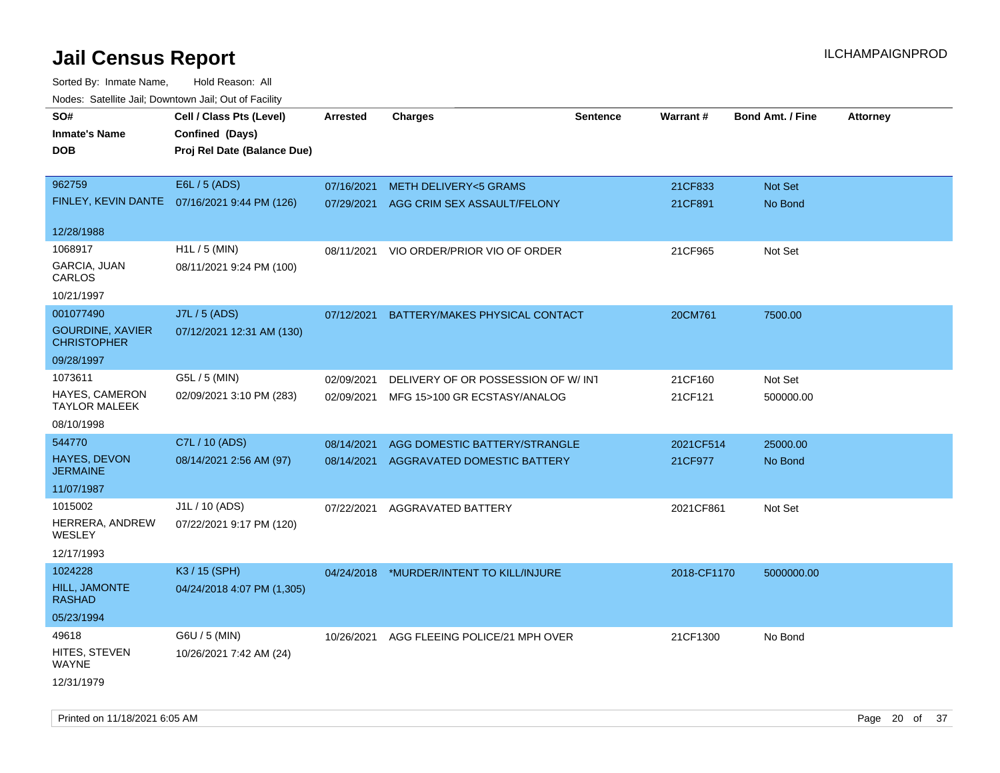| rougs. Calcinic Jan, Downtown Jan, Out of Facility |                                              |                 |                                          |                 |             |                         |                 |
|----------------------------------------------------|----------------------------------------------|-----------------|------------------------------------------|-----------------|-------------|-------------------------|-----------------|
| SO#                                                | Cell / Class Pts (Level)                     | <b>Arrested</b> | <b>Charges</b>                           | <b>Sentence</b> | Warrant#    | <b>Bond Amt. / Fine</b> | <b>Attorney</b> |
| <b>Inmate's Name</b>                               | Confined (Days)                              |                 |                                          |                 |             |                         |                 |
| <b>DOB</b>                                         | Proj Rel Date (Balance Due)                  |                 |                                          |                 |             |                         |                 |
|                                                    |                                              |                 |                                          |                 |             |                         |                 |
| 962759                                             | E6L / 5 (ADS)                                | 07/16/2021      | <b>METH DELIVERY&lt;5 GRAMS</b>          |                 | 21CF833     | Not Set                 |                 |
|                                                    | FINLEY, KEVIN DANTE 07/16/2021 9:44 PM (126) | 07/29/2021      | AGG CRIM SEX ASSAULT/FELONY              |                 | 21CF891     | No Bond                 |                 |
|                                                    |                                              |                 |                                          |                 |             |                         |                 |
| 12/28/1988                                         |                                              |                 |                                          |                 |             |                         |                 |
| 1068917                                            | H1L / 5 (MIN)                                | 08/11/2021      | VIO ORDER/PRIOR VIO OF ORDER             |                 | 21CF965     | Not Set                 |                 |
| GARCIA, JUAN<br>CARLOS                             | 08/11/2021 9:24 PM (100)                     |                 |                                          |                 |             |                         |                 |
| 10/21/1997                                         |                                              |                 |                                          |                 |             |                         |                 |
| 001077490                                          | J7L / 5 (ADS)                                | 07/12/2021      | BATTERY/MAKES PHYSICAL CONTACT           |                 | 20CM761     | 7500.00                 |                 |
| <b>GOURDINE, XAVIER</b><br><b>CHRISTOPHER</b>      | 07/12/2021 12:31 AM (130)                    |                 |                                          |                 |             |                         |                 |
| 09/28/1997                                         |                                              |                 |                                          |                 |             |                         |                 |
| 1073611                                            | G5L / 5 (MIN)                                | 02/09/2021      | DELIVERY OF OR POSSESSION OF W/INT       |                 | 21CF160     | Not Set                 |                 |
| <b>HAYES, CAMERON</b>                              | 02/09/2021 3:10 PM (283)                     | 02/09/2021      | MFG 15>100 GR ECSTASY/ANALOG             |                 | 21CF121     | 500000.00               |                 |
| <b>TAYLOR MALEEK</b>                               |                                              |                 |                                          |                 |             |                         |                 |
| 08/10/1998                                         |                                              |                 |                                          |                 |             |                         |                 |
| 544770                                             | C7L / 10 (ADS)                               | 08/14/2021      | AGG DOMESTIC BATTERY/STRANGLE            |                 | 2021CF514   | 25000.00                |                 |
| <b>HAYES, DEVON</b><br><b>JERMAINE</b>             | 08/14/2021 2:56 AM (97)                      | 08/14/2021      | AGGRAVATED DOMESTIC BATTERY              |                 | 21CF977     | No Bond                 |                 |
| 11/07/1987                                         |                                              |                 |                                          |                 |             |                         |                 |
| 1015002                                            | J1L / 10 (ADS)                               | 07/22/2021      | AGGRAVATED BATTERY                       |                 | 2021CF861   | Not Set                 |                 |
| HERRERA, ANDREW<br>WESLEY                          | 07/22/2021 9:17 PM (120)                     |                 |                                          |                 |             |                         |                 |
| 12/17/1993                                         |                                              |                 |                                          |                 |             |                         |                 |
| 1024228                                            | K3 / 15 (SPH)                                |                 | 04/24/2018 *MURDER/INTENT TO KILL/INJURE |                 | 2018-CF1170 | 5000000.00              |                 |
| HILL, JAMONTE<br><b>RASHAD</b>                     | 04/24/2018 4:07 PM (1,305)                   |                 |                                          |                 |             |                         |                 |
| 05/23/1994                                         |                                              |                 |                                          |                 |             |                         |                 |
| 49618                                              | G6U / 5 (MIN)                                | 10/26/2021      | AGG FLEEING POLICE/21 MPH OVER           |                 | 21CF1300    | No Bond                 |                 |
| HITES, STEVEN<br>WAYNE                             | 10/26/2021 7:42 AM (24)                      |                 |                                          |                 |             |                         |                 |
| 12/31/1979                                         |                                              |                 |                                          |                 |             |                         |                 |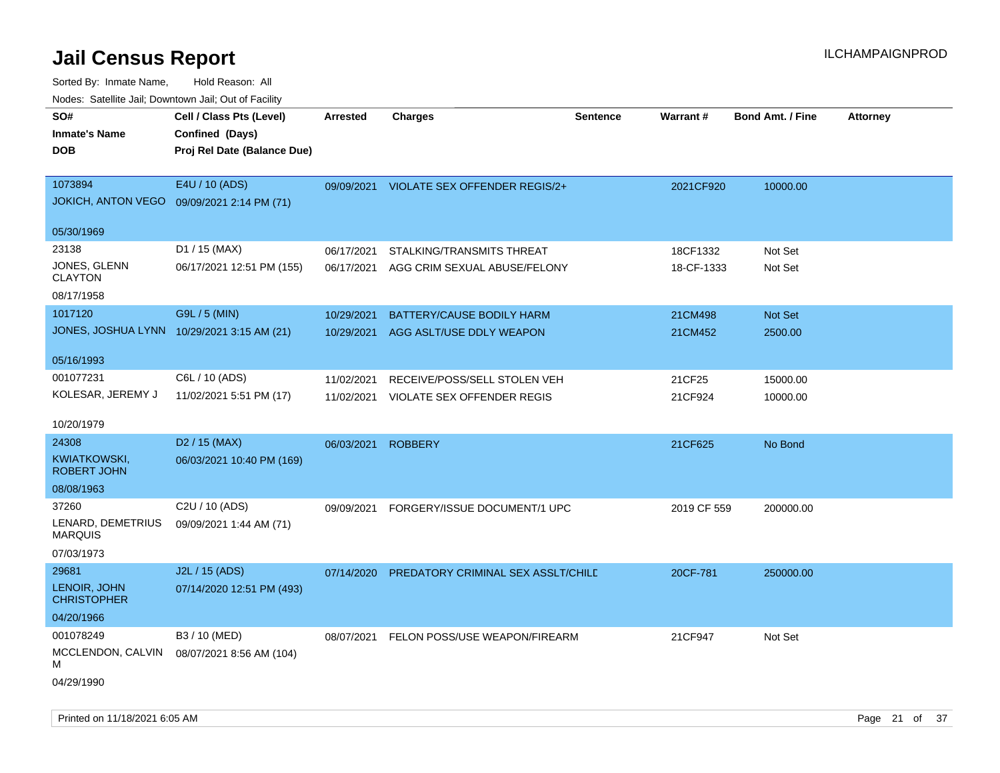| SO#<br><b>Inmate's Name</b>                | Cell / Class Pts (Level)<br>Confined (Days) | <b>Arrested</b> | <b>Charges</b>                     | <b>Sentence</b> | <b>Warrant#</b> | <b>Bond Amt. / Fine</b> | Attorney |
|--------------------------------------------|---------------------------------------------|-----------------|------------------------------------|-----------------|-----------------|-------------------------|----------|
| <b>DOB</b>                                 | Proj Rel Date (Balance Due)                 |                 |                                    |                 |                 |                         |          |
| 1073894<br><b>JOKICH, ANTON VEGO</b>       | E4U / 10 (ADS)<br>09/09/2021 2:14 PM (71)   | 09/09/2021      | VIOLATE SEX OFFENDER REGIS/2+      |                 | 2021CF920       | 10000.00                |          |
| 05/30/1969                                 |                                             |                 |                                    |                 |                 |                         |          |
| 23138                                      | D1 / 15 (MAX)                               | 06/17/2021      | STALKING/TRANSMITS THREAT          |                 | 18CF1332        | Not Set                 |          |
| JONES, GLENN<br><b>CLAYTON</b>             | 06/17/2021 12:51 PM (155)                   | 06/17/2021      | AGG CRIM SEXUAL ABUSE/FELONY       |                 | 18-CF-1333      | Not Set                 |          |
| 08/17/1958                                 |                                             |                 |                                    |                 |                 |                         |          |
| 1017120                                    | G9L / 5 (MIN)                               | 10/29/2021      | BATTERY/CAUSE BODILY HARM          |                 | 21CM498         | Not Set                 |          |
| JONES, JOSHUA LYNN 10/29/2021 3:15 AM (21) |                                             | 10/29/2021      | AGG ASLT/USE DDLY WEAPON           |                 | 21CM452         | 2500.00                 |          |
| 05/16/1993                                 |                                             |                 |                                    |                 |                 |                         |          |
| 001077231                                  | C6L / 10 (ADS)                              | 11/02/2021      | RECEIVE/POSS/SELL STOLEN VEH       |                 | 21CF25          | 15000.00                |          |
| KOLESAR, JEREMY J                          | 11/02/2021 5:51 PM (17)                     | 11/02/2021      | VIOLATE SEX OFFENDER REGIS         |                 | 21CF924         | 10000.00                |          |
| 10/20/1979                                 |                                             |                 |                                    |                 |                 |                         |          |
| 24308                                      | D <sub>2</sub> / 15 (MAX)                   | 06/03/2021      | <b>ROBBERY</b>                     |                 | 21CF625         | No Bond                 |          |
| KWIATKOWSKI,<br><b>ROBERT JOHN</b>         | 06/03/2021 10:40 PM (169)                   |                 |                                    |                 |                 |                         |          |
| 08/08/1963                                 |                                             |                 |                                    |                 |                 |                         |          |
| 37260                                      | C2U / 10 (ADS)                              | 09/09/2021      | FORGERY/ISSUE DOCUMENT/1 UPC       |                 | 2019 CF 559     | 200000.00               |          |
| LENARD, DEMETRIUS<br><b>MARQUIS</b>        | 09/09/2021 1:44 AM (71)                     |                 |                                    |                 |                 |                         |          |
| 07/03/1973                                 |                                             |                 |                                    |                 |                 |                         |          |
| 29681                                      | J2L / 15 (ADS)                              | 07/14/2020      | PREDATORY CRIMINAL SEX ASSLT/CHILE |                 | 20CF-781        | 250000.00               |          |
| LENOIR, JOHN<br><b>CHRISTOPHER</b>         | 07/14/2020 12:51 PM (493)                   |                 |                                    |                 |                 |                         |          |
| 04/20/1966                                 |                                             |                 |                                    |                 |                 |                         |          |
| 001078249                                  | B3 / 10 (MED)                               | 08/07/2021      | FELON POSS/USE WEAPON/FIREARM      |                 | 21CF947         | Not Set                 |          |
| MCCLENDON, CALVIN<br>М                     | 08/07/2021 8:56 AM (104)                    |                 |                                    |                 |                 |                         |          |
| 04/29/1990                                 |                                             |                 |                                    |                 |                 |                         |          |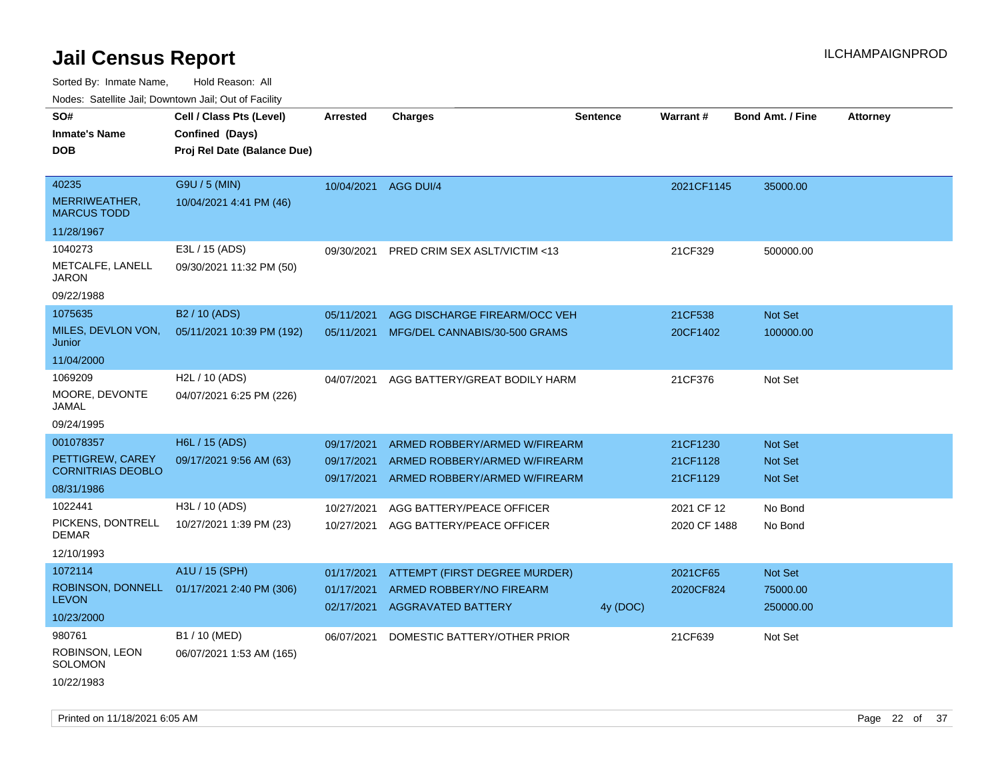| Nuuts. Saltiille Jali, Duwilluwii Jali, Oul of Facility |                             |            |                                         |                 |              |                         |                 |
|---------------------------------------------------------|-----------------------------|------------|-----------------------------------------|-----------------|--------------|-------------------------|-----------------|
| SO#                                                     | Cell / Class Pts (Level)    | Arrested   | <b>Charges</b>                          | <b>Sentence</b> | Warrant#     | <b>Bond Amt. / Fine</b> | <b>Attorney</b> |
| <b>Inmate's Name</b>                                    | Confined (Days)             |            |                                         |                 |              |                         |                 |
| <b>DOB</b>                                              | Proj Rel Date (Balance Due) |            |                                         |                 |              |                         |                 |
|                                                         |                             |            |                                         |                 |              |                         |                 |
| 40235                                                   | G9U / 5 (MIN)               | 10/04/2021 | AGG DUI/4                               |                 | 2021CF1145   | 35000.00                |                 |
| MERRIWEATHER,<br><b>MARCUS TODD</b>                     | 10/04/2021 4:41 PM (46)     |            |                                         |                 |              |                         |                 |
| 11/28/1967                                              |                             |            |                                         |                 |              |                         |                 |
| 1040273                                                 | E3L / 15 (ADS)              | 09/30/2021 | <b>PRED CRIM SEX ASLT/VICTIM &lt;13</b> |                 | 21CF329      | 500000.00               |                 |
| METCALFE, LANELL<br>JARON                               | 09/30/2021 11:32 PM (50)    |            |                                         |                 |              |                         |                 |
| 09/22/1988                                              |                             |            |                                         |                 |              |                         |                 |
| 1075635                                                 | B <sub>2</sub> / 10 (ADS)   | 05/11/2021 | AGG DISCHARGE FIREARM/OCC VEH           |                 | 21CF538      | Not Set                 |                 |
| MILES, DEVLON VON,<br>Junior                            | 05/11/2021 10:39 PM (192)   | 05/11/2021 | MFG/DEL CANNABIS/30-500 GRAMS           |                 | 20CF1402     | 100000.00               |                 |
| 11/04/2000                                              |                             |            |                                         |                 |              |                         |                 |
| 1069209                                                 | H2L / 10 (ADS)              | 04/07/2021 | AGG BATTERY/GREAT BODILY HARM           |                 | 21CF376      | Not Set                 |                 |
| MOORE, DEVONTE<br>JAMAL                                 | 04/07/2021 6:25 PM (226)    |            |                                         |                 |              |                         |                 |
| 09/24/1995                                              |                             |            |                                         |                 |              |                         |                 |
| 001078357                                               | H6L / 15 (ADS)              | 09/17/2021 | ARMED ROBBERY/ARMED W/FIREARM           |                 | 21CF1230     | <b>Not Set</b>          |                 |
| PETTIGREW, CAREY<br><b>CORNITRIAS DEOBLO</b>            | 09/17/2021 9:56 AM (63)     | 09/17/2021 | ARMED ROBBERY/ARMED W/FIREARM           |                 | 21CF1128     | <b>Not Set</b>          |                 |
| 08/31/1986                                              |                             | 09/17/2021 | ARMED ROBBERY/ARMED W/FIREARM           |                 | 21CF1129     | Not Set                 |                 |
| 1022441                                                 | H3L / 10 (ADS)              | 10/27/2021 | AGG BATTERY/PEACE OFFICER               |                 | 2021 CF 12   | No Bond                 |                 |
| PICKENS, DONTRELL<br><b>DEMAR</b>                       | 10/27/2021 1:39 PM (23)     | 10/27/2021 | AGG BATTERY/PEACE OFFICER               |                 | 2020 CF 1488 | No Bond                 |                 |
| 12/10/1993                                              |                             |            |                                         |                 |              |                         |                 |
| 1072114                                                 | A1U / 15 (SPH)              | 01/17/2021 | ATTEMPT (FIRST DEGREE MURDER)           |                 | 2021CF65     | Not Set                 |                 |
| ROBINSON, DONNELL                                       | 01/17/2021 2:40 PM (306)    | 01/17/2021 | ARMED ROBBERY/NO FIREARM                |                 | 2020CF824    | 75000.00                |                 |
| <b>LEVON</b>                                            |                             | 02/17/2021 | <b>AGGRAVATED BATTERY</b>               | 4y (DOC)        |              | 250000.00               |                 |
| 10/23/2000                                              |                             |            |                                         |                 |              |                         |                 |
| 980761                                                  | B1 / 10 (MED)               | 06/07/2021 | DOMESTIC BATTERY/OTHER PRIOR            |                 | 21CF639      | Not Set                 |                 |
| ROBINSON, LEON<br>SOLOMON                               | 06/07/2021 1:53 AM (165)    |            |                                         |                 |              |                         |                 |
| 10/22/1983                                              |                             |            |                                         |                 |              |                         |                 |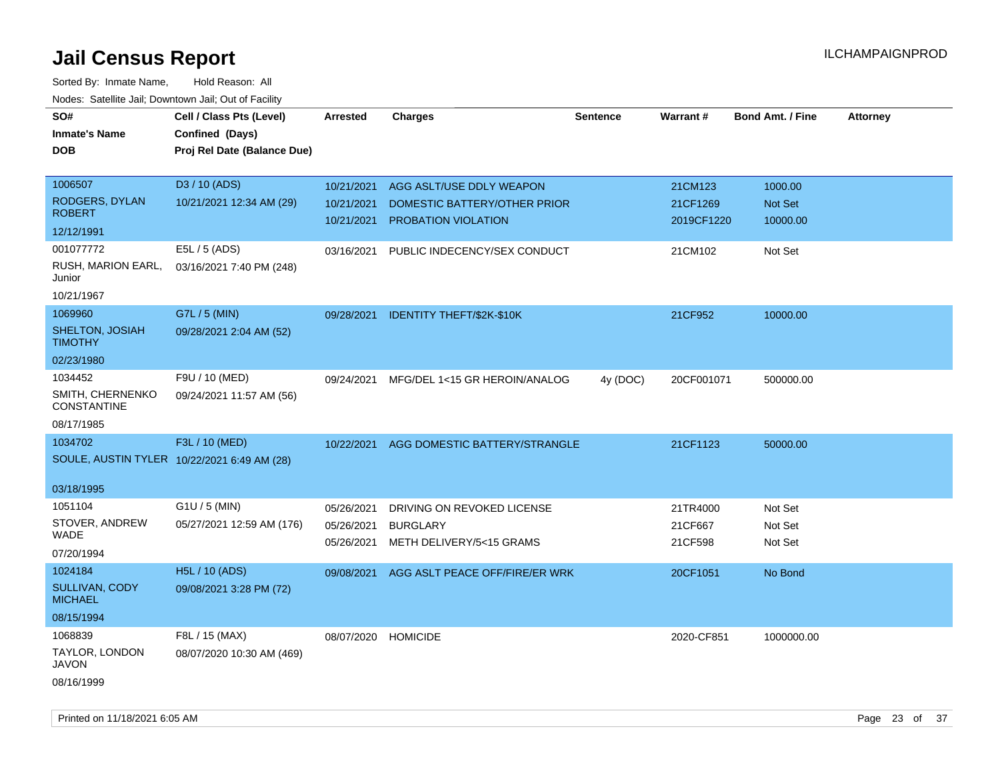Sorted By: Inmate Name, Hold Reason: All Nodes: Satellite Jail; Downtown Jail; Out of Facility

| roaco. Catolino dall, Downtown dall, Out of Fability |                                             |                     |                                           |                 |            |                         |                 |
|------------------------------------------------------|---------------------------------------------|---------------------|-------------------------------------------|-----------------|------------|-------------------------|-----------------|
| SO#                                                  | Cell / Class Pts (Level)                    | <b>Arrested</b>     | <b>Charges</b>                            | <b>Sentence</b> | Warrant#   | <b>Bond Amt. / Fine</b> | <b>Attorney</b> |
| <b>Inmate's Name</b>                                 | Confined (Days)                             |                     |                                           |                 |            |                         |                 |
| <b>DOB</b>                                           | Proj Rel Date (Balance Due)                 |                     |                                           |                 |            |                         |                 |
|                                                      |                                             |                     |                                           |                 |            |                         |                 |
| 1006507                                              | D3 / 10 (ADS)                               | 10/21/2021          | AGG ASLT/USE DDLY WEAPON                  |                 | 21CM123    | 1000.00                 |                 |
| RODGERS, DYLAN                                       | 10/21/2021 12:34 AM (29)                    | 10/21/2021          | DOMESTIC BATTERY/OTHER PRIOR              |                 | 21CF1269   | Not Set                 |                 |
| <b>ROBERT</b>                                        |                                             | 10/21/2021          | <b>PROBATION VIOLATION</b>                |                 | 2019CF1220 | 10000.00                |                 |
| 12/12/1991                                           |                                             |                     |                                           |                 |            |                         |                 |
| 001077772                                            | E5L / 5 (ADS)                               | 03/16/2021          | PUBLIC INDECENCY/SEX CONDUCT              |                 | 21CM102    | Not Set                 |                 |
| RUSH, MARION EARL,<br>Junior                         | 03/16/2021 7:40 PM (248)                    |                     |                                           |                 |            |                         |                 |
| 10/21/1967                                           |                                             |                     |                                           |                 |            |                         |                 |
| 1069960                                              | G7L / 5 (MIN)                               |                     | 09/28/2021 IDENTITY THEFT/\$2K-\$10K      |                 | 21CF952    | 10000.00                |                 |
| SHELTON, JOSIAH<br><b>TIMOTHY</b>                    | 09/28/2021 2:04 AM (52)                     |                     |                                           |                 |            |                         |                 |
| 02/23/1980                                           |                                             |                     |                                           |                 |            |                         |                 |
| 1034452                                              | F9U / 10 (MED)                              | 09/24/2021          | MFG/DEL 1<15 GR HEROIN/ANALOG             | 4y (DOC)        | 20CF001071 | 500000.00               |                 |
| SMITH, CHERNENKO<br><b>CONSTANTINE</b>               | 09/24/2021 11:57 AM (56)                    |                     |                                           |                 |            |                         |                 |
| 08/17/1985                                           |                                             |                     |                                           |                 |            |                         |                 |
| 1034702                                              | F3L / 10 (MED)                              | 10/22/2021          | AGG DOMESTIC BATTERY/STRANGLE             |                 | 21CF1123   | 50000.00                |                 |
|                                                      | SOULE, AUSTIN TYLER 10/22/2021 6:49 AM (28) |                     |                                           |                 |            |                         |                 |
|                                                      |                                             |                     |                                           |                 |            |                         |                 |
| 03/18/1995                                           |                                             |                     |                                           |                 |            |                         |                 |
| 1051104                                              | $G1U / 5$ (MIN)                             | 05/26/2021          | DRIVING ON REVOKED LICENSE                |                 | 21TR4000   | Not Set                 |                 |
| STOVER, ANDREW                                       | 05/27/2021 12:59 AM (176)                   | 05/26/2021          | <b>BURGLARY</b>                           |                 | 21CF667    | Not Set                 |                 |
| WADE                                                 |                                             | 05/26/2021          | METH DELIVERY/5<15 GRAMS                  |                 | 21CF598    | Not Set                 |                 |
| 07/20/1994                                           |                                             |                     |                                           |                 |            |                         |                 |
| 1024184                                              | <b>H5L / 10 (ADS)</b>                       |                     | 09/08/2021 AGG ASLT PEACE OFF/FIRE/ER WRK |                 | 20CF1051   | No Bond                 |                 |
| SULLIVAN, CODY<br><b>MICHAEL</b>                     | 09/08/2021 3:28 PM (72)                     |                     |                                           |                 |            |                         |                 |
| 08/15/1994                                           |                                             |                     |                                           |                 |            |                         |                 |
| 1068839                                              | F8L / 15 (MAX)                              | 08/07/2020 HOMICIDE |                                           |                 | 2020-CF851 | 1000000.00              |                 |
| TAYLOR, LONDON<br><b>JAVON</b>                       | 08/07/2020 10:30 AM (469)                   |                     |                                           |                 |            |                         |                 |
| 08/16/1999                                           |                                             |                     |                                           |                 |            |                         |                 |

Printed on 11/18/2021 6:05 AM Page 23 of 37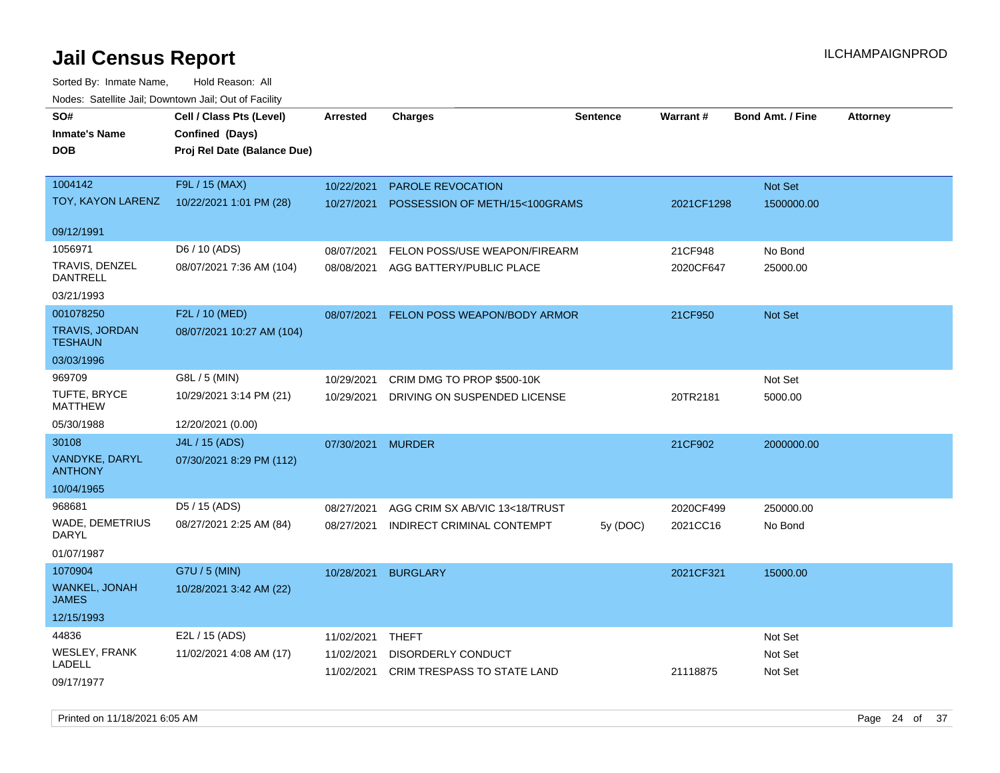| SO#                                     | Cell / Class Pts (Level)    | Arrested   | <b>Charges</b>                 | Sentence | <b>Warrant#</b> | <b>Bond Amt. / Fine</b> | <b>Attorney</b> |
|-----------------------------------------|-----------------------------|------------|--------------------------------|----------|-----------------|-------------------------|-----------------|
| <b>Inmate's Name</b>                    | Confined (Days)             |            |                                |          |                 |                         |                 |
| <b>DOB</b>                              | Proj Rel Date (Balance Due) |            |                                |          |                 |                         |                 |
|                                         |                             |            |                                |          |                 |                         |                 |
| 1004142                                 | F9L / 15 (MAX)              | 10/22/2021 | PAROLE REVOCATION              |          |                 | Not Set                 |                 |
| TOY, KAYON LARENZ                       | 10/22/2021 1:01 PM (28)     | 10/27/2021 | POSSESSION OF METH/15<100GRAMS |          | 2021CF1298      | 1500000.00              |                 |
|                                         |                             |            |                                |          |                 |                         |                 |
| 09/12/1991                              |                             |            |                                |          |                 |                         |                 |
| 1056971                                 | D6 / 10 (ADS)               | 08/07/2021 | FELON POSS/USE WEAPON/FIREARM  |          | 21CF948         | No Bond                 |                 |
| TRAVIS, DENZEL<br><b>DANTRELL</b>       | 08/07/2021 7:36 AM (104)    | 08/08/2021 | AGG BATTERY/PUBLIC PLACE       |          | 2020CF647       | 25000.00                |                 |
| 03/21/1993                              |                             |            |                                |          |                 |                         |                 |
| 001078250                               | F2L / 10 (MED)              | 08/07/2021 | FELON POSS WEAPON/BODY ARMOR   |          | 21CF950         | <b>Not Set</b>          |                 |
| <b>TRAVIS, JORDAN</b><br><b>TESHAUN</b> | 08/07/2021 10:27 AM (104)   |            |                                |          |                 |                         |                 |
| 03/03/1996                              |                             |            |                                |          |                 |                         |                 |
| 969709                                  | G8L / 5 (MIN)               | 10/29/2021 | CRIM DMG TO PROP \$500-10K     |          |                 | Not Set                 |                 |
| <b>TUFTE, BRYCE</b><br><b>MATTHEW</b>   | 10/29/2021 3:14 PM (21)     | 10/29/2021 | DRIVING ON SUSPENDED LICENSE   |          | 20TR2181        | 5000.00                 |                 |
| 05/30/1988                              | 12/20/2021 (0.00)           |            |                                |          |                 |                         |                 |
| 30108                                   | J4L / 15 (ADS)              |            |                                |          |                 |                         |                 |
| VANDYKE, DARYL                          | 07/30/2021 8:29 PM (112)    | 07/30/2021 | <b>MURDER</b>                  |          | 21CF902         | 2000000.00              |                 |
| <b>ANTHONY</b>                          |                             |            |                                |          |                 |                         |                 |
| 10/04/1965                              |                             |            |                                |          |                 |                         |                 |
| 968681                                  | D5 / 15 (ADS)               | 08/27/2021 | AGG CRIM SX AB/VIC 13<18/TRUST |          | 2020CF499       | 250000.00               |                 |
| WADE, DEMETRIUS<br><b>DARYL</b>         | 08/27/2021 2:25 AM (84)     | 08/27/2021 | INDIRECT CRIMINAL CONTEMPT     | 5y (DOC) | 2021CC16        | No Bond                 |                 |
| 01/07/1987                              |                             |            |                                |          |                 |                         |                 |
| 1070904                                 | G7U / 5 (MIN)               | 10/28/2021 | <b>BURGLARY</b>                |          | 2021CF321       | 15000.00                |                 |
| WANKEL, JONAH<br><b>JAMES</b>           | 10/28/2021 3:42 AM (22)     |            |                                |          |                 |                         |                 |
| 12/15/1993                              |                             |            |                                |          |                 |                         |                 |
| 44836                                   | E2L / 15 (ADS)              | 11/02/2021 | THEFT                          |          |                 | Not Set                 |                 |
| <b>WESLEY, FRANK</b>                    | 11/02/2021 4:08 AM (17)     | 11/02/2021 | DISORDERLY CONDUCT             |          |                 | Not Set                 |                 |
| LADELL                                  |                             | 11/02/2021 | CRIM TRESPASS TO STATE LAND    |          | 21118875        | Not Set                 |                 |
| 09/17/1977                              |                             |            |                                |          |                 |                         |                 |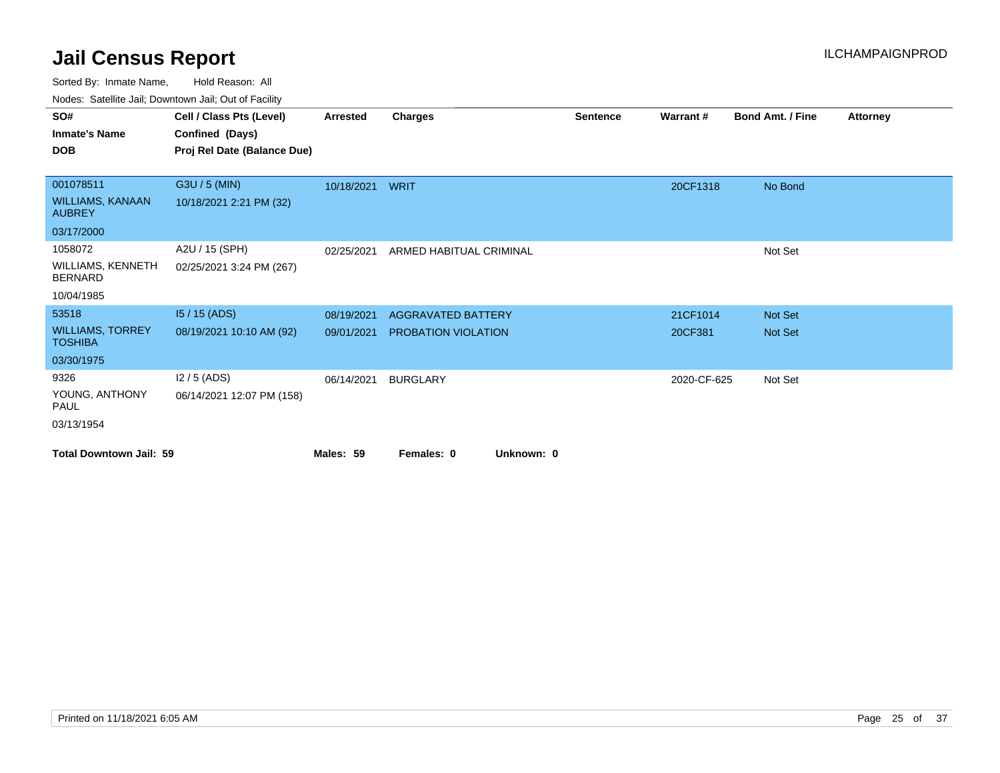Sorted By: Inmate Name, Hold Reason: All

|  | Nodes: Satellite Jail; Downtown Jail; Out of Facility |  |  |  |
|--|-------------------------------------------------------|--|--|--|
|--|-------------------------------------------------------|--|--|--|

| SO#<br><b>Inmate's Name</b><br><b>DOB</b>                           | Cell / Class Pts (Level)<br>Confined (Days)<br>Proj Rel Date (Balance Due) | <b>Arrested</b>          | Charges                                          | <b>Sentence</b> | Warrant#            | <b>Bond Amt. / Fine</b> | Attorney |
|---------------------------------------------------------------------|----------------------------------------------------------------------------|--------------------------|--------------------------------------------------|-----------------|---------------------|-------------------------|----------|
| 001078511<br><b>WILLIAMS, KANAAN</b><br><b>AUBREY</b><br>03/17/2000 | G3U / 5 (MIN)<br>10/18/2021 2:21 PM (32)                                   | 10/18/2021 WRIT          |                                                  |                 | 20CF1318            | No Bond                 |          |
| 1058072<br>WILLIAMS, KENNETH<br><b>BERNARD</b><br>10/04/1985        | A2U / 15 (SPH)<br>02/25/2021 3:24 PM (267)                                 | 02/25/2021               | ARMED HABITUAL CRIMINAL                          |                 |                     | Not Set                 |          |
| 53518<br><b>WILLIAMS, TORREY</b><br><b>TOSHIBA</b><br>03/30/1975    | $15/15$ (ADS)<br>08/19/2021 10:10 AM (92)                                  | 08/19/2021<br>09/01/2021 | <b>AGGRAVATED BATTERY</b><br>PROBATION VIOLATION |                 | 21CF1014<br>20CF381 | Not Set<br>Not Set      |          |
| 9326<br>YOUNG, ANTHONY<br><b>PAUL</b><br>03/13/1954                 | $12/5$ (ADS)<br>06/14/2021 12:07 PM (158)                                  | 06/14/2021               | <b>BURGLARY</b>                                  |                 | 2020-CF-625         | Not Set                 |          |
| <b>Total Downtown Jail: 59</b>                                      |                                                                            | Males: 59                | Females: 0<br>Unknown: 0                         |                 |                     |                         |          |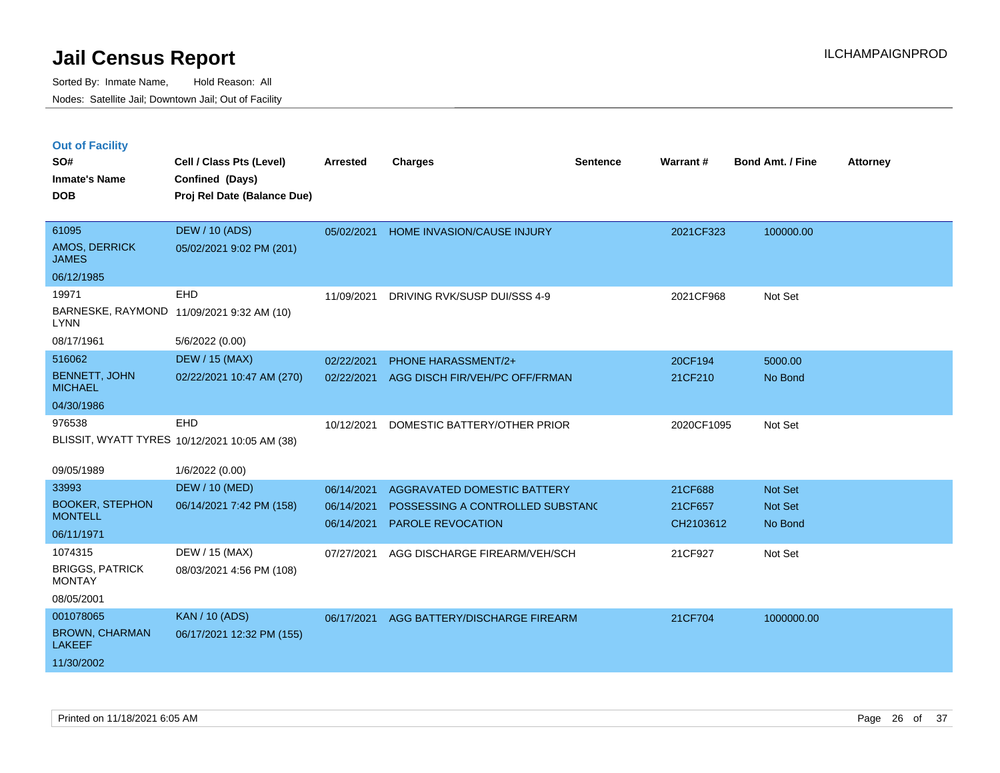| <b>Out of Facility</b> |  |  |
|------------------------|--|--|
|                        |  |  |

| SO#<br><b>Inmate's Name</b><br><b>DOB</b> | Cell / Class Pts (Level)<br>Confined (Days)<br>Proj Rel Date (Balance Due) | <b>Arrested</b> | <b>Charges</b>                   | <b>Sentence</b> | <b>Warrant#</b> | Bond Amt. / Fine | <b>Attorney</b> |
|-------------------------------------------|----------------------------------------------------------------------------|-----------------|----------------------------------|-----------------|-----------------|------------------|-----------------|
| 61095<br>AMOS, DERRICK<br><b>JAMES</b>    | <b>DEW / 10 (ADS)</b><br>05/02/2021 9:02 PM (201)                          | 05/02/2021      | HOME INVASION/CAUSE INJURY       |                 | 2021CF323       | 100000.00        |                 |
| 06/12/1985                                |                                                                            |                 |                                  |                 |                 |                  |                 |
| 19971                                     | <b>EHD</b>                                                                 | 11/09/2021      | DRIVING RVK/SUSP DUI/SSS 4-9     |                 | 2021CF968       | Not Set          |                 |
| <b>LYNN</b>                               | BARNESKE, RAYMOND 11/09/2021 9:32 AM (10)                                  |                 |                                  |                 |                 |                  |                 |
| 08/17/1961                                | 5/6/2022 (0.00)                                                            |                 |                                  |                 |                 |                  |                 |
| 516062                                    | <b>DEW / 15 (MAX)</b>                                                      | 02/22/2021      | <b>PHONE HARASSMENT/2+</b>       |                 | 20CF194         | 5000.00          |                 |
| <b>BENNETT, JOHN</b><br><b>MICHAEL</b>    | 02/22/2021 10:47 AM (270)                                                  | 02/22/2021      | AGG DISCH FIR/VEH/PC OFF/FRMAN   |                 | 21CF210         | No Bond          |                 |
| 04/30/1986                                |                                                                            |                 |                                  |                 |                 |                  |                 |
| 976538                                    | EHD                                                                        | 10/12/2021      | DOMESTIC BATTERY/OTHER PRIOR     |                 | 2020CF1095      | Not Set          |                 |
|                                           | BLISSIT, WYATT TYRES 10/12/2021 10:05 AM (38)                              |                 |                                  |                 |                 |                  |                 |
| 09/05/1989                                | 1/6/2022 (0.00)                                                            |                 |                                  |                 |                 |                  |                 |
| 33993                                     | <b>DEW / 10 (MED)</b>                                                      | 06/14/2021      | AGGRAVATED DOMESTIC BATTERY      |                 | 21CF688         | Not Set          |                 |
| <b>BOOKER, STEPHON</b>                    | 06/14/2021 7:42 PM (158)                                                   | 06/14/2021      | POSSESSING A CONTROLLED SUBSTAND |                 | 21CF657         | Not Set          |                 |
| <b>MONTELL</b>                            |                                                                            | 06/14/2021      | PAROLE REVOCATION                |                 | CH2103612       | No Bond          |                 |
| 06/11/1971                                |                                                                            |                 |                                  |                 |                 |                  |                 |
| 1074315                                   | DEW / 15 (MAX)                                                             | 07/27/2021      | AGG DISCHARGE FIREARM/VEH/SCH    |                 | 21CF927         | Not Set          |                 |
| <b>BRIGGS, PATRICK</b><br><b>MONTAY</b>   | 08/03/2021 4:56 PM (108)                                                   |                 |                                  |                 |                 |                  |                 |
| 08/05/2001                                |                                                                            |                 |                                  |                 |                 |                  |                 |
| 001078065                                 | <b>KAN / 10 (ADS)</b>                                                      | 06/17/2021      | AGG BATTERY/DISCHARGE FIREARM    |                 | 21CF704         | 1000000.00       |                 |
| <b>BROWN, CHARMAN</b><br><b>LAKEEF</b>    | 06/17/2021 12:32 PM (155)                                                  |                 |                                  |                 |                 |                  |                 |
| 11/30/2002                                |                                                                            |                 |                                  |                 |                 |                  |                 |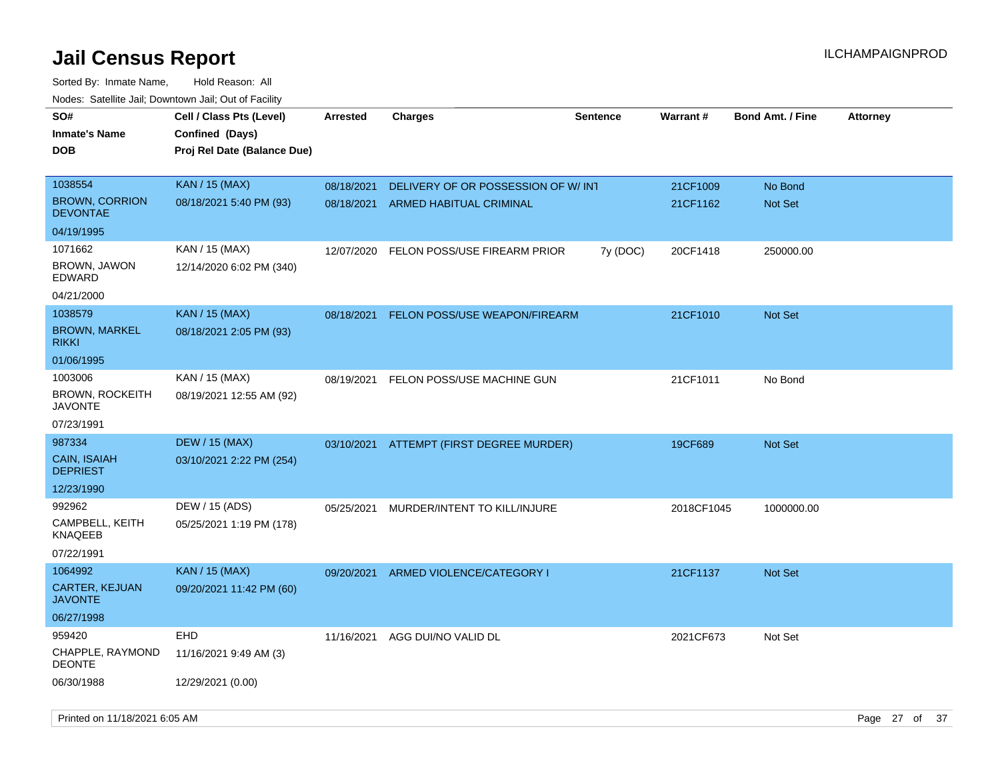| roaco. Oatomto dan, Downtown dan, Oat or Fability |                                                                            |                 |                                    |                 |            |                         |                 |
|---------------------------------------------------|----------------------------------------------------------------------------|-----------------|------------------------------------|-----------------|------------|-------------------------|-----------------|
| SO#<br><b>Inmate's Name</b><br><b>DOB</b>         | Cell / Class Pts (Level)<br>Confined (Days)<br>Proj Rel Date (Balance Due) | <b>Arrested</b> | <b>Charges</b>                     | <b>Sentence</b> | Warrant#   | <b>Bond Amt. / Fine</b> | <b>Attorney</b> |
|                                                   |                                                                            |                 |                                    |                 |            |                         |                 |
| 1038554                                           | <b>KAN / 15 (MAX)</b>                                                      | 08/18/2021      | DELIVERY OF OR POSSESSION OF W/INT |                 | 21CF1009   | No Bond                 |                 |
| <b>BROWN, CORRION</b><br>DEVONTAE                 | 08/18/2021 5:40 PM (93)                                                    | 08/18/2021      | ARMED HABITUAL CRIMINAL            |                 | 21CF1162   | Not Set                 |                 |
| 04/19/1995                                        |                                                                            |                 |                                    |                 |            |                         |                 |
| 1071662                                           | KAN / 15 (MAX)                                                             | 12/07/2020      | FELON POSS/USE FIREARM PRIOR       | 7y (DOC)        | 20CF1418   | 250000.00               |                 |
| BROWN, JAWON<br>EDWARD                            | 12/14/2020 6:02 PM (340)                                                   |                 |                                    |                 |            |                         |                 |
| 04/21/2000                                        |                                                                            |                 |                                    |                 |            |                         |                 |
| 1038579                                           | <b>KAN / 15 (MAX)</b>                                                      | 08/18/2021      | FELON POSS/USE WEAPON/FIREARM      |                 | 21CF1010   | <b>Not Set</b>          |                 |
| <b>BROWN, MARKEL</b><br>rikki                     | 08/18/2021 2:05 PM (93)                                                    |                 |                                    |                 |            |                         |                 |
| 01/06/1995                                        |                                                                            |                 |                                    |                 |            |                         |                 |
| 1003006                                           | KAN / 15 (MAX)                                                             | 08/19/2021      | FELON POSS/USE MACHINE GUN         |                 | 21CF1011   | No Bond                 |                 |
| <b>BROWN, ROCKEITH</b><br><b>JAVONTE</b>          | 08/19/2021 12:55 AM (92)                                                   |                 |                                    |                 |            |                         |                 |
| 07/23/1991                                        |                                                                            |                 |                                    |                 |            |                         |                 |
| 987334                                            | <b>DEW / 15 (MAX)</b>                                                      | 03/10/2021      | ATTEMPT (FIRST DEGREE MURDER)      |                 | 19CF689    | <b>Not Set</b>          |                 |
| CAIN, ISAIAH<br>DEPRIEST                          | 03/10/2021 2:22 PM (254)                                                   |                 |                                    |                 |            |                         |                 |
| 12/23/1990                                        |                                                                            |                 |                                    |                 |            |                         |                 |
| 992962                                            | DEW / 15 (ADS)                                                             | 05/25/2021      | MURDER/INTENT TO KILL/INJURE       |                 | 2018CF1045 | 1000000.00              |                 |
| CAMPBELL, KEITH<br><b>KNAQEEB</b>                 | 05/25/2021 1:19 PM (178)                                                   |                 |                                    |                 |            |                         |                 |
| 07/22/1991                                        |                                                                            |                 |                                    |                 |            |                         |                 |
| 1064992                                           | KAN / 15 (MAX)                                                             | 09/20/2021      | ARMED VIOLENCE/CATEGORY I          |                 | 21CF1137   | <b>Not Set</b>          |                 |
| CARTER, KEJUAN<br><b>JAVONTE</b>                  | 09/20/2021 11:42 PM (60)                                                   |                 |                                    |                 |            |                         |                 |
| 06/27/1998                                        |                                                                            |                 |                                    |                 |            |                         |                 |
| 959420                                            | <b>EHD</b>                                                                 | 11/16/2021      | AGG DUI/NO VALID DL                |                 | 2021CF673  | Not Set                 |                 |
| CHAPPLE, RAYMOND<br>DEONTE                        | 11/16/2021 9:49 AM (3)                                                     |                 |                                    |                 |            |                         |                 |
| 06/30/1988                                        | 12/29/2021 (0.00)                                                          |                 |                                    |                 |            |                         |                 |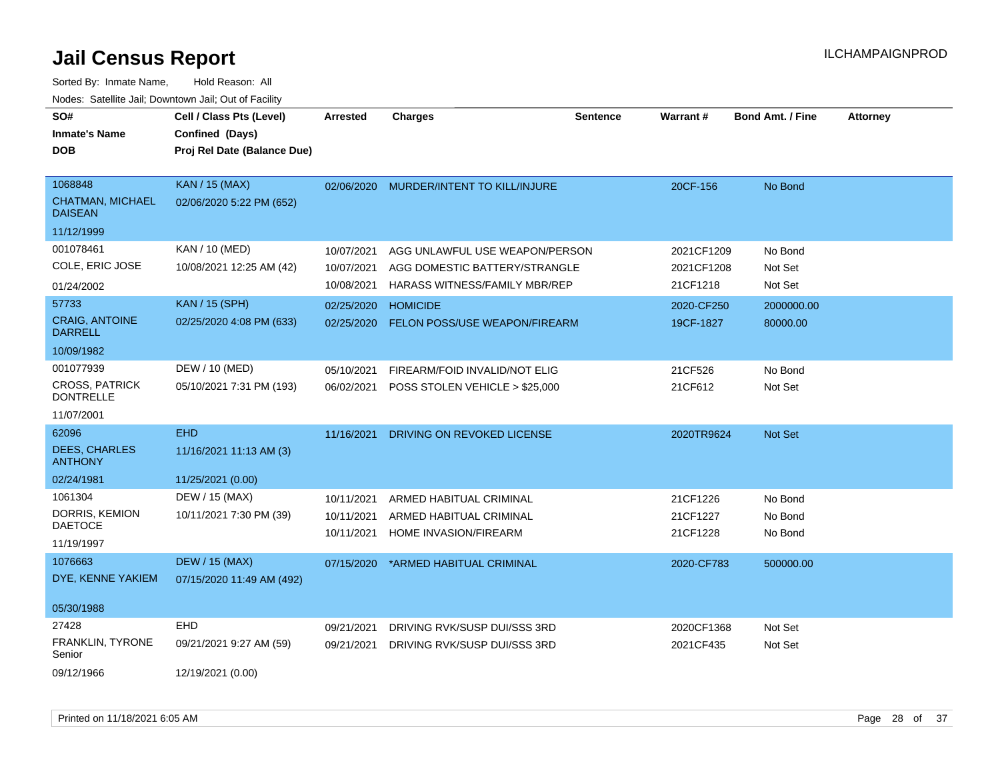| <b>DOB</b>                                                           | Proj Rel Date (Balance Due)                                |                                        |                                                                                                  |                                      |                               |  |
|----------------------------------------------------------------------|------------------------------------------------------------|----------------------------------------|--------------------------------------------------------------------------------------------------|--------------------------------------|-------------------------------|--|
|                                                                      |                                                            |                                        |                                                                                                  |                                      |                               |  |
| 1068848<br><b>CHATMAN, MICHAEL</b><br><b>DAISEAN</b>                 | <b>KAN / 15 (MAX)</b><br>02/06/2020 5:22 PM (652)          | 02/06/2020                             | MURDER/INTENT TO KILL/INJURE                                                                     | 20CF-156                             | No Bond                       |  |
| 11/12/1999                                                           |                                                            |                                        |                                                                                                  |                                      |                               |  |
| 001078461<br>COLE, ERIC JOSE<br>01/24/2002                           | KAN / 10 (MED)<br>10/08/2021 12:25 AM (42)                 | 10/07/2021<br>10/07/2021<br>10/08/2021 | AGG UNLAWFUL USE WEAPON/PERSON<br>AGG DOMESTIC BATTERY/STRANGLE<br>HARASS WITNESS/FAMILY MBR/REP | 2021CF1209<br>2021CF1208<br>21CF1218 | No Bond<br>Not Set<br>Not Set |  |
| 57733<br><b>CRAIG, ANTOINE</b><br><b>DARRELL</b><br>10/09/1982       | <b>KAN / 15 (SPH)</b><br>02/25/2020 4:08 PM (633)          | 02/25/2020<br>02/25/2020               | <b>HOMICIDE</b><br>FELON POSS/USE WEAPON/FIREARM                                                 | 2020-CF250<br>19CF-1827              | 2000000.00<br>80000.00        |  |
| 001077939<br><b>CROSS, PATRICK</b><br><b>DONTRELLE</b><br>11/07/2001 | DEW / 10 (MED)<br>05/10/2021 7:31 PM (193)                 | 05/10/2021<br>06/02/2021               | FIREARM/FOID INVALID/NOT ELIG<br>POSS STOLEN VEHICLE > \$25,000                                  | 21CF526<br>21CF612                   | No Bond<br>Not Set            |  |
| 62096<br><b>DEES, CHARLES</b><br><b>ANTHONY</b><br>02/24/1981        | <b>EHD</b><br>11/16/2021 11:13 AM (3)<br>11/25/2021 (0.00) | 11/16/2021                             | DRIVING ON REVOKED LICENSE                                                                       | 2020TR9624                           | Not Set                       |  |
| 1061304<br>DORRIS, KEMION<br><b>DAETOCE</b><br>11/19/1997            | DEW / 15 (MAX)<br>10/11/2021 7:30 PM (39)                  | 10/11/2021<br>10/11/2021<br>10/11/2021 | ARMED HABITUAL CRIMINAL<br>ARMED HABITUAL CRIMINAL<br>HOME INVASION/FIREARM                      | 21CF1226<br>21CF1227<br>21CF1228     | No Bond<br>No Bond<br>No Bond |  |
| 1076663<br>DYE, KENNE YAKIEM<br>05/30/1988                           | <b>DEW / 15 (MAX)</b><br>07/15/2020 11:49 AM (492)         | 07/15/2020                             | *ARMED HABITUAL CRIMINAL                                                                         | 2020-CF783                           | 500000.00                     |  |
| 27428<br>FRANKLIN, TYRONE<br>Senior<br>09/12/1966                    | <b>EHD</b><br>09/21/2021 9:27 AM (59)<br>12/19/2021 (0.00) | 09/21/2021<br>09/21/2021               | DRIVING RVK/SUSP DUI/SSS 3RD<br>DRIVING RVK/SUSP DUI/SSS 3RD                                     | 2020CF1368<br>2021CF435              | Not Set<br>Not Set            |  |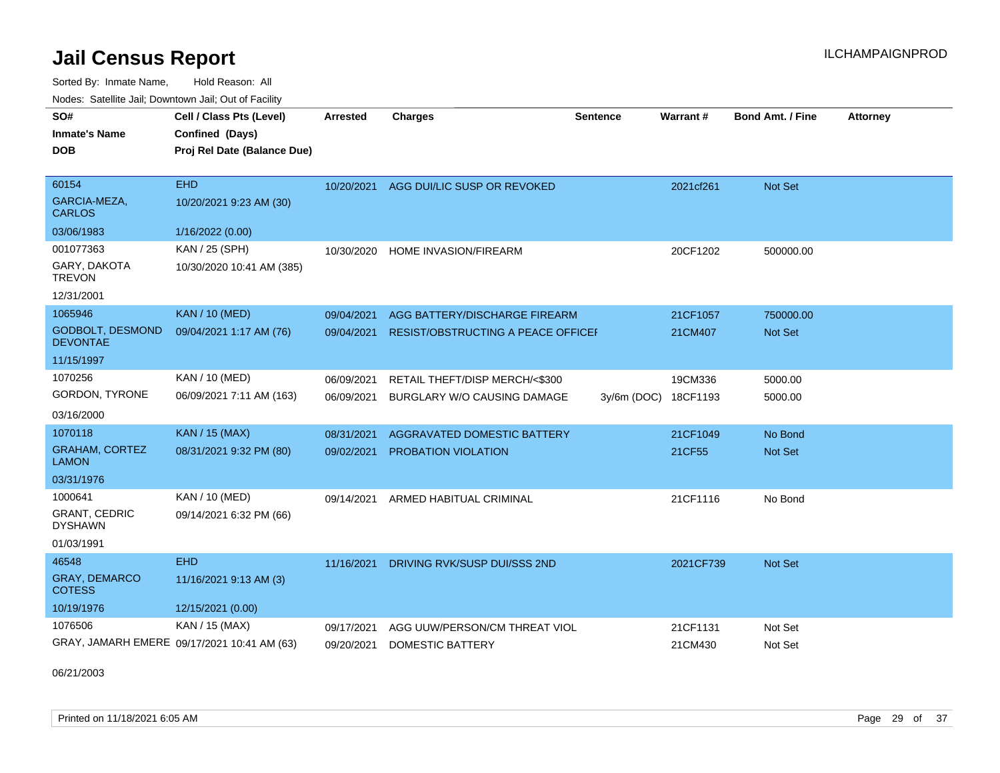Sorted By: Inmate Name, Hold Reason: All

| Nodes: Satellite Jail; Downtown Jail; Out of Facility |                                             |                 |                                           |                 |                 |                         |                 |  |  |  |
|-------------------------------------------------------|---------------------------------------------|-----------------|-------------------------------------------|-----------------|-----------------|-------------------------|-----------------|--|--|--|
| SO#                                                   | Cell / Class Pts (Level)                    | <b>Arrested</b> | <b>Charges</b>                            | <b>Sentence</b> | <b>Warrant#</b> | <b>Bond Amt. / Fine</b> | <b>Attorney</b> |  |  |  |
| <b>Inmate's Name</b>                                  | Confined (Days)                             |                 |                                           |                 |                 |                         |                 |  |  |  |
| <b>DOB</b>                                            | Proj Rel Date (Balance Due)                 |                 |                                           |                 |                 |                         |                 |  |  |  |
|                                                       |                                             |                 |                                           |                 |                 |                         |                 |  |  |  |
| 60154                                                 | <b>EHD</b>                                  | 10/20/2021      | AGG DUI/LIC SUSP OR REVOKED               |                 | 2021cf261       | Not Set                 |                 |  |  |  |
| GARCIA-MEZA,<br><b>CARLOS</b>                         | 10/20/2021 9:23 AM (30)                     |                 |                                           |                 |                 |                         |                 |  |  |  |
| 03/06/1983                                            | 1/16/2022 (0.00)                            |                 |                                           |                 |                 |                         |                 |  |  |  |
| 001077363                                             | KAN / 25 (SPH)                              | 10/30/2020      | HOME INVASION/FIREARM                     |                 | 20CF1202        | 500000.00               |                 |  |  |  |
| GARY, DAKOTA<br><b>TREVON</b>                         | 10/30/2020 10:41 AM (385)                   |                 |                                           |                 |                 |                         |                 |  |  |  |
| 12/31/2001                                            |                                             |                 |                                           |                 |                 |                         |                 |  |  |  |
| 1065946                                               | <b>KAN / 10 (MED)</b>                       | 09/04/2021      | AGG BATTERY/DISCHARGE FIREARM             |                 | 21CF1057        | 750000.00               |                 |  |  |  |
| <b>GODBOLT, DESMOND</b><br><b>DEVONTAE</b>            | 09/04/2021 1:17 AM (76)                     | 09/04/2021      | <b>RESIST/OBSTRUCTING A PEACE OFFICEF</b> |                 | 21CM407         | Not Set                 |                 |  |  |  |
| 11/15/1997                                            |                                             |                 |                                           |                 |                 |                         |                 |  |  |  |
| 1070256                                               | KAN / 10 (MED)                              | 06/09/2021      | RETAIL THEFT/DISP MERCH/<\$300            |                 | 19CM336         | 5000.00                 |                 |  |  |  |
| GORDON, TYRONE                                        | 06/09/2021 7:11 AM (163)                    | 06/09/2021      | BURGLARY W/O CAUSING DAMAGE               | $3y/6m$ (DOC)   | 18CF1193        | 5000.00                 |                 |  |  |  |
| 03/16/2000                                            |                                             |                 |                                           |                 |                 |                         |                 |  |  |  |
| 1070118                                               | <b>KAN / 15 (MAX)</b>                       | 08/31/2021      | AGGRAVATED DOMESTIC BATTERY               |                 | 21CF1049        | No Bond                 |                 |  |  |  |
| <b>GRAHAM, CORTEZ</b><br><b>LAMON</b>                 | 08/31/2021 9:32 PM (80)                     | 09/02/2021      | PROBATION VIOLATION                       |                 | 21CF55          | <b>Not Set</b>          |                 |  |  |  |
| 03/31/1976                                            |                                             |                 |                                           |                 |                 |                         |                 |  |  |  |
| 1000641                                               | KAN / 10 (MED)                              | 09/14/2021      | ARMED HABITUAL CRIMINAL                   |                 | 21CF1116        | No Bond                 |                 |  |  |  |
| <b>GRANT, CEDRIC</b><br><b>DYSHAWN</b>                | 09/14/2021 6:32 PM (66)                     |                 |                                           |                 |                 |                         |                 |  |  |  |
| 01/03/1991                                            |                                             |                 |                                           |                 |                 |                         |                 |  |  |  |
| 46548                                                 | <b>EHD</b>                                  | 11/16/2021      | DRIVING RVK/SUSP DUI/SSS 2ND              |                 | 2021CF739       | Not Set                 |                 |  |  |  |
| <b>GRAY, DEMARCO</b><br><b>COTESS</b>                 | 11/16/2021 9:13 AM (3)                      |                 |                                           |                 |                 |                         |                 |  |  |  |
| 10/19/1976                                            | 12/15/2021 (0.00)                           |                 |                                           |                 |                 |                         |                 |  |  |  |
| 1076506                                               | KAN / 15 (MAX)                              | 09/17/2021      | AGG UUW/PERSON/CM THREAT VIOL             |                 | 21CF1131        | Not Set                 |                 |  |  |  |
|                                                       | GRAY, JAMARH EMERE 09/17/2021 10:41 AM (63) | 09/20/2021      | <b>DOMESTIC BATTERY</b>                   |                 | 21CM430         | Not Set                 |                 |  |  |  |

06/21/2003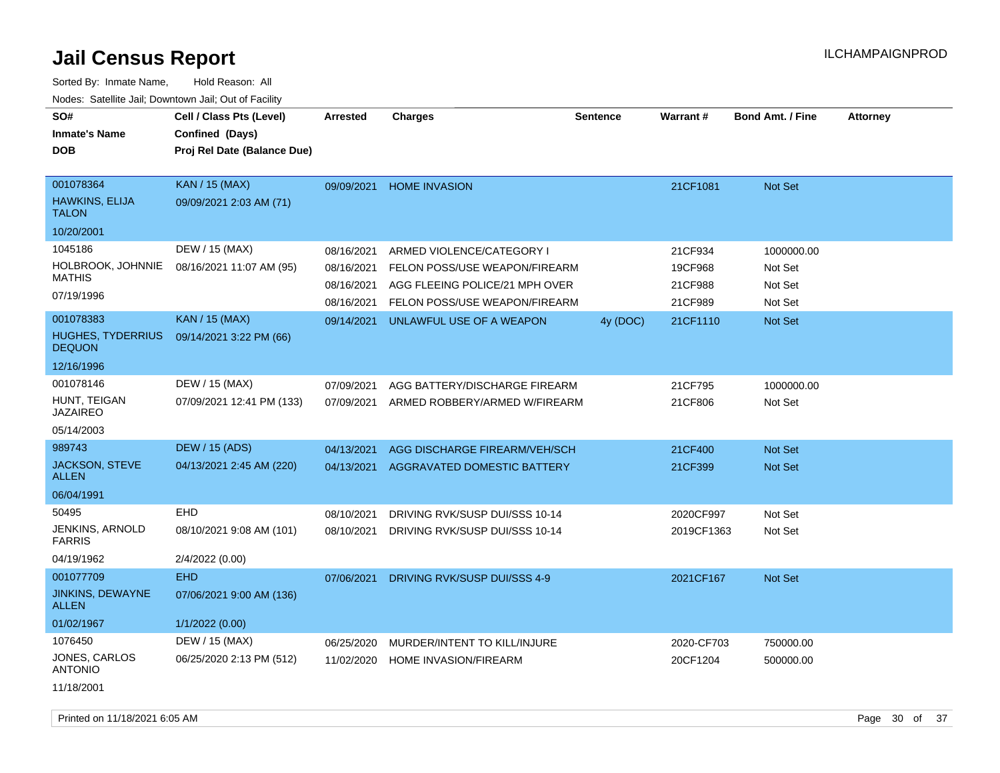| SO#<br><b>Inmate's Name</b><br><b>DOB</b>          | Cell / Class Pts (Level)<br>Confined (Days)<br>Proj Rel Date (Balance Due) | <b>Arrested</b> | <b>Charges</b>                 | <b>Sentence</b> | Warrant#   | <b>Bond Amt. / Fine</b> | <b>Attorney</b> |
|----------------------------------------------------|----------------------------------------------------------------------------|-----------------|--------------------------------|-----------------|------------|-------------------------|-----------------|
| 001078364<br><b>HAWKINS, ELIJA</b><br><b>TALON</b> | <b>KAN / 15 (MAX)</b><br>09/09/2021 2:03 AM (71)                           | 09/09/2021      | <b>HOME INVASION</b>           |                 | 21CF1081   | Not Set                 |                 |
| 10/20/2001                                         |                                                                            |                 |                                |                 |            |                         |                 |
| 1045186                                            | DEW / 15 (MAX)                                                             | 08/16/2021      | ARMED VIOLENCE/CATEGORY I      |                 | 21CF934    | 1000000.00              |                 |
| <b>HOLBROOK, JOHNNIE</b><br><b>MATHIS</b>          | 08/16/2021 11:07 AM (95)                                                   | 08/16/2021      | FELON POSS/USE WEAPON/FIREARM  |                 | 19CF968    | Not Set                 |                 |
| 07/19/1996                                         |                                                                            | 08/16/2021      | AGG FLEEING POLICE/21 MPH OVER |                 | 21CF988    | Not Set                 |                 |
|                                                    |                                                                            | 08/16/2021      | FELON POSS/USE WEAPON/FIREARM  |                 | 21CF989    | Not Set                 |                 |
| 001078383                                          | <b>KAN / 15 (MAX)</b>                                                      | 09/14/2021      | UNLAWFUL USE OF A WEAPON       | 4y (DOC)        | 21CF1110   | Not Set                 |                 |
| <b>HUGHES, TYDERRIUS</b><br><b>DEQUON</b>          | 09/14/2021 3:22 PM (66)                                                    |                 |                                |                 |            |                         |                 |
| 12/16/1996                                         |                                                                            |                 |                                |                 |            |                         |                 |
| 001078146                                          | DEW / 15 (MAX)                                                             | 07/09/2021      | AGG BATTERY/DISCHARGE FIREARM  |                 | 21CF795    | 1000000.00              |                 |
| HUNT, TEIGAN<br><b>JAZAIREO</b>                    | 07/09/2021 12:41 PM (133)                                                  | 07/09/2021      | ARMED ROBBERY/ARMED W/FIREARM  |                 | 21CF806    | Not Set                 |                 |
| 05/14/2003                                         |                                                                            |                 |                                |                 |            |                         |                 |
| 989743                                             | <b>DEW / 15 (ADS)</b>                                                      | 04/13/2021      | AGG DISCHARGE FIREARM/VEH/SCH  |                 | 21CF400    | Not Set                 |                 |
| JACKSON, STEVE<br><b>ALLEN</b>                     | 04/13/2021 2:45 AM (220)                                                   | 04/13/2021      | AGGRAVATED DOMESTIC BATTERY    |                 | 21CF399    | Not Set                 |                 |
| 06/04/1991                                         |                                                                            |                 |                                |                 |            |                         |                 |
| 50495                                              | <b>EHD</b>                                                                 | 08/10/2021      | DRIVING RVK/SUSP DUI/SSS 10-14 |                 | 2020CF997  | Not Set                 |                 |
| JENKINS, ARNOLD<br><b>FARRIS</b>                   | 08/10/2021 9:08 AM (101)                                                   | 08/10/2021      | DRIVING RVK/SUSP DUI/SSS 10-14 |                 | 2019CF1363 | Not Set                 |                 |
| 04/19/1962                                         | 2/4/2022 (0.00)                                                            |                 |                                |                 |            |                         |                 |
| 001077709                                          | <b>EHD</b>                                                                 | 07/06/2021      | DRIVING RVK/SUSP DUI/SSS 4-9   |                 | 2021CF167  | Not Set                 |                 |
| JINKINS, DEWAYNE<br><b>ALLEN</b>                   | 07/06/2021 9:00 AM (136)                                                   |                 |                                |                 |            |                         |                 |
| 01/02/1967                                         | 1/1/2022 (0.00)                                                            |                 |                                |                 |            |                         |                 |
| 1076450                                            | DEW / 15 (MAX)                                                             | 06/25/2020      | MURDER/INTENT TO KILL/INJURE   |                 | 2020-CF703 | 750000.00               |                 |
| <b>JONES, CARLOS</b><br><b>ANTONIO</b>             | 06/25/2020 2:13 PM (512)                                                   | 11/02/2020      | <b>HOME INVASION/FIREARM</b>   |                 | 20CF1204   | 500000.00               |                 |
| 11/18/2001                                         |                                                                            |                 |                                |                 |            |                         |                 |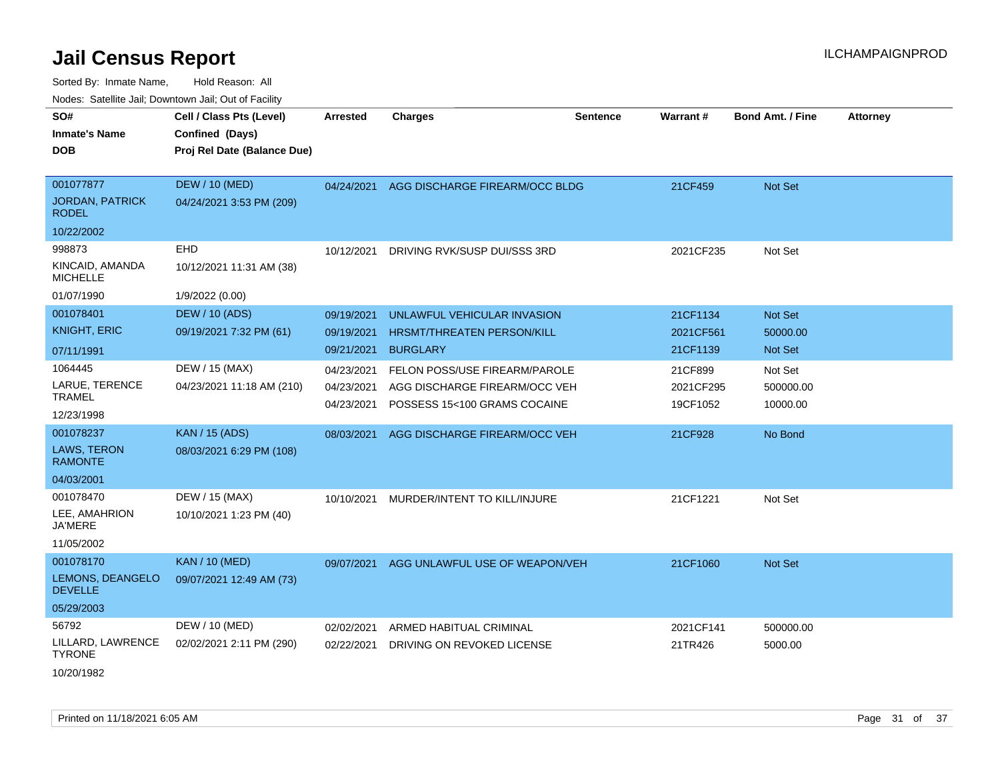| ivouss. Saleline Jali, Downtown Jali, Out of Facility |                             |                 |                                      |                 |           |                         |                 |
|-------------------------------------------------------|-----------------------------|-----------------|--------------------------------------|-----------------|-----------|-------------------------|-----------------|
| SO#                                                   | Cell / Class Pts (Level)    | <b>Arrested</b> | <b>Charges</b>                       | <b>Sentence</b> | Warrant#  | <b>Bond Amt. / Fine</b> | <b>Attorney</b> |
| <b>Inmate's Name</b>                                  | Confined (Days)             |                 |                                      |                 |           |                         |                 |
| <b>DOB</b>                                            | Proj Rel Date (Balance Due) |                 |                                      |                 |           |                         |                 |
|                                                       |                             |                 |                                      |                 |           |                         |                 |
| 001077877                                             | <b>DEW / 10 (MED)</b>       | 04/24/2021      | AGG DISCHARGE FIREARM/OCC BLDG       |                 | 21CF459   | Not Set                 |                 |
| <b>JORDAN, PATRICK</b><br><b>RODEL</b>                | 04/24/2021 3:53 PM (209)    |                 |                                      |                 |           |                         |                 |
| 10/22/2002                                            |                             |                 |                                      |                 |           |                         |                 |
| 998873                                                | <b>EHD</b>                  | 10/12/2021      | DRIVING RVK/SUSP DUI/SSS 3RD         |                 | 2021CF235 | Not Set                 |                 |
| KINCAID, AMANDA<br><b>MICHELLE</b>                    | 10/12/2021 11:31 AM (38)    |                 |                                      |                 |           |                         |                 |
| 01/07/1990                                            | 1/9/2022 (0.00)             |                 |                                      |                 |           |                         |                 |
| 001078401                                             | <b>DEW / 10 (ADS)</b>       | 09/19/2021      | UNLAWFUL VEHICULAR INVASION          |                 | 21CF1134  | Not Set                 |                 |
| <b>KNIGHT, ERIC</b>                                   | 09/19/2021 7:32 PM (61)     | 09/19/2021      | <b>HRSMT/THREATEN PERSON/KILL</b>    |                 | 2021CF561 | 50000.00                |                 |
| 07/11/1991                                            |                             | 09/21/2021      | <b>BURGLARY</b>                      |                 | 21CF1139  | Not Set                 |                 |
| 1064445                                               | DEW / 15 (MAX)              | 04/23/2021      | <b>FELON POSS/USE FIREARM/PAROLE</b> |                 | 21CF899   | Not Set                 |                 |
| LARUE, TERENCE                                        | 04/23/2021 11:18 AM (210)   | 04/23/2021      | AGG DISCHARGE FIREARM/OCC VEH        |                 | 2021CF295 | 500000.00               |                 |
| <b>TRAMEL</b>                                         |                             | 04/23/2021      | POSSESS 15<100 GRAMS COCAINE         |                 | 19CF1052  | 10000.00                |                 |
| 12/23/1998                                            |                             |                 |                                      |                 |           |                         |                 |
| 001078237                                             | <b>KAN / 15 (ADS)</b>       | 08/03/2021      | AGG DISCHARGE FIREARM/OCC VEH        |                 | 21CF928   | No Bond                 |                 |
| <b>LAWS, TERON</b><br><b>RAMONTE</b>                  | 08/03/2021 6:29 PM (108)    |                 |                                      |                 |           |                         |                 |
| 04/03/2001                                            |                             |                 |                                      |                 |           |                         |                 |
| 001078470                                             | DEW / 15 (MAX)              | 10/10/2021      | MURDER/INTENT TO KILL/INJURE         |                 | 21CF1221  | Not Set                 |                 |
| LEE, AMAHRION<br><b>JA'MERE</b>                       | 10/10/2021 1:23 PM (40)     |                 |                                      |                 |           |                         |                 |
| 11/05/2002                                            |                             |                 |                                      |                 |           |                         |                 |
| 001078170                                             | <b>KAN / 10 (MED)</b>       | 09/07/2021      | AGG UNLAWFUL USE OF WEAPON/VEH       |                 | 21CF1060  | Not Set                 |                 |
| LEMONS, DEANGELO<br><b>DEVELLE</b>                    | 09/07/2021 12:49 AM (73)    |                 |                                      |                 |           |                         |                 |
| 05/29/2003                                            |                             |                 |                                      |                 |           |                         |                 |
| 56792                                                 | DEW / 10 (MED)              | 02/02/2021      | ARMED HABITUAL CRIMINAL              |                 | 2021CF141 | 500000.00               |                 |
| LILLARD, LAWRENCE<br><b>TYRONE</b>                    | 02/02/2021 2:11 PM (290)    | 02/22/2021      | DRIVING ON REVOKED LICENSE           |                 | 21TR426   | 5000.00                 |                 |
| 10/20/1982                                            |                             |                 |                                      |                 |           |                         |                 |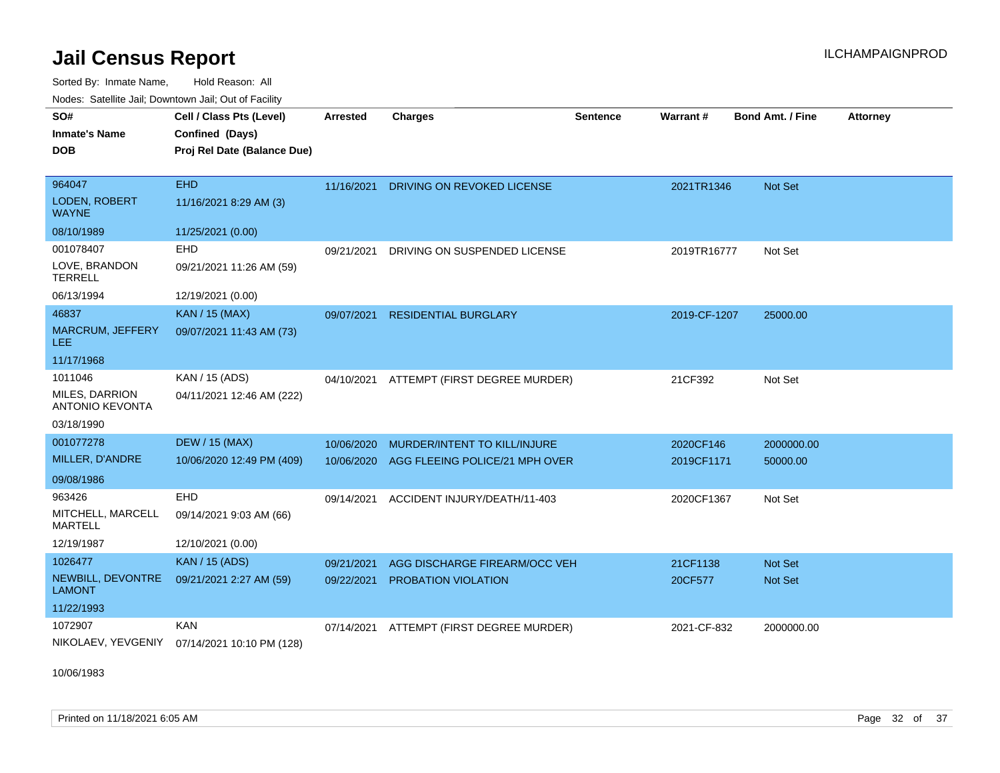Sorted By: Inmate Name, Hold Reason: All Nodes: Satellite Jail; Downtown Jail; Out of Facility

| SO#                                      | Cell / Class Pts (Level)    | <b>Arrested</b> | <b>Charges</b>                            | Sentence | Warrant#     | <b>Bond Amt. / Fine</b> | <b>Attorney</b> |
|------------------------------------------|-----------------------------|-----------------|-------------------------------------------|----------|--------------|-------------------------|-----------------|
| <b>Inmate's Name</b>                     | Confined (Days)             |                 |                                           |          |              |                         |                 |
| <b>DOB</b>                               | Proj Rel Date (Balance Due) |                 |                                           |          |              |                         |                 |
|                                          |                             |                 |                                           |          |              |                         |                 |
| 964047                                   | <b>EHD</b>                  | 11/16/2021      | DRIVING ON REVOKED LICENSE                |          | 2021TR1346   | Not Set                 |                 |
| <b>LODEN, ROBERT</b><br><b>WAYNE</b>     | 11/16/2021 8:29 AM (3)      |                 |                                           |          |              |                         |                 |
| 08/10/1989                               | 11/25/2021 (0.00)           |                 |                                           |          |              |                         |                 |
| 001078407                                | EHD                         | 09/21/2021      | DRIVING ON SUSPENDED LICENSE              |          | 2019TR16777  | Not Set                 |                 |
| LOVE, BRANDON<br><b>TERRELL</b>          | 09/21/2021 11:26 AM (59)    |                 |                                           |          |              |                         |                 |
| 06/13/1994                               | 12/19/2021 (0.00)           |                 |                                           |          |              |                         |                 |
| 46837                                    | <b>KAN / 15 (MAX)</b>       | 09/07/2021      | <b>RESIDENTIAL BURGLARY</b>               |          | 2019-CF-1207 | 25000.00                |                 |
| <b>MARCRUM, JEFFERY</b><br>LEE           | 09/07/2021 11:43 AM (73)    |                 |                                           |          |              |                         |                 |
| 11/17/1968                               |                             |                 |                                           |          |              |                         |                 |
| 1011046                                  | KAN / 15 (ADS)              |                 | 04/10/2021 ATTEMPT (FIRST DEGREE MURDER)  |          | 21CF392      | Not Set                 |                 |
| MILES, DARRION<br><b>ANTONIO KEVONTA</b> | 04/11/2021 12:46 AM (222)   |                 |                                           |          |              |                         |                 |
| 03/18/1990                               |                             |                 |                                           |          |              |                         |                 |
| 001077278                                | <b>DEW / 15 (MAX)</b>       | 10/06/2020      | MURDER/INTENT TO KILL/INJURE              |          | 2020CF146    | 2000000.00              |                 |
| MILLER, D'ANDRE                          | 10/06/2020 12:49 PM (409)   |                 | 10/06/2020 AGG FLEEING POLICE/21 MPH OVER |          | 2019CF1171   | 50000.00                |                 |
| 09/08/1986                               |                             |                 |                                           |          |              |                         |                 |
| 963426                                   | <b>EHD</b>                  | 09/14/2021      | ACCIDENT INJURY/DEATH/11-403              |          | 2020CF1367   | Not Set                 |                 |
| MITCHELL, MARCELL<br><b>MARTELL</b>      | 09/14/2021 9:03 AM (66)     |                 |                                           |          |              |                         |                 |
| 12/19/1987                               | 12/10/2021 (0.00)           |                 |                                           |          |              |                         |                 |
| 1026477                                  | <b>KAN / 15 (ADS)</b>       | 09/21/2021      | AGG DISCHARGE FIREARM/OCC VEH             |          | 21CF1138     | <b>Not Set</b>          |                 |
| NEWBILL, DEVONTRE<br><b>LAMONT</b>       | 09/21/2021 2:27 AM (59)     | 09/22/2021      | <b>PROBATION VIOLATION</b>                |          | 20CF577      | <b>Not Set</b>          |                 |
| 11/22/1993                               |                             |                 |                                           |          |              |                         |                 |
| 1072907                                  | <b>KAN</b>                  | 07/14/2021      | ATTEMPT (FIRST DEGREE MURDER)             |          | 2021-CF-832  | 2000000.00              |                 |
| NIKOLAEV, YEVGENIY                       | 07/14/2021 10:10 PM (128)   |                 |                                           |          |              |                         |                 |

10/06/1983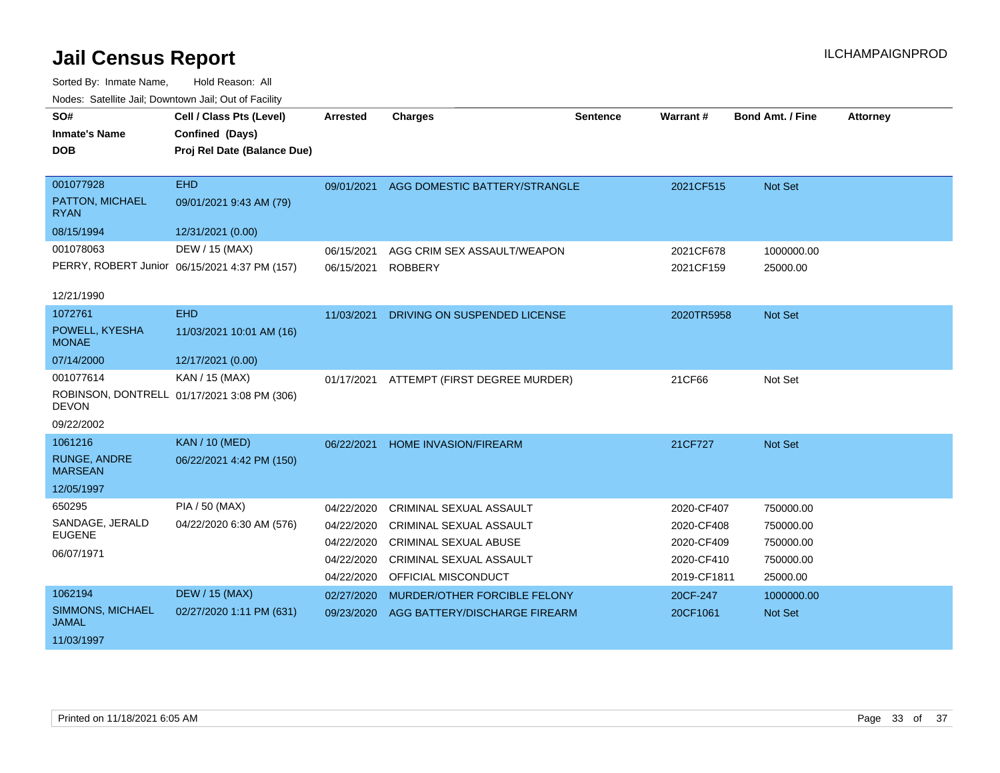| SO#                                   | Cell / Class Pts (Level)                      | <b>Arrested</b> | <b>Charges</b>                 | <b>Sentence</b> | Warrant #   | Bond Amt. / Fine | <b>Attorney</b> |
|---------------------------------------|-----------------------------------------------|-----------------|--------------------------------|-----------------|-------------|------------------|-----------------|
| <b>Inmate's Name</b>                  | Confined (Days)                               |                 |                                |                 |             |                  |                 |
| <b>DOB</b>                            | Proj Rel Date (Balance Due)                   |                 |                                |                 |             |                  |                 |
|                                       |                                               |                 |                                |                 |             |                  |                 |
| 001077928                             | <b>EHD</b>                                    | 09/01/2021      | AGG DOMESTIC BATTERY/STRANGLE  |                 | 2021CF515   | Not Set          |                 |
| PATTON, MICHAEL<br><b>RYAN</b>        | 09/01/2021 9:43 AM (79)                       |                 |                                |                 |             |                  |                 |
| 08/15/1994                            | 12/31/2021 (0.00)                             |                 |                                |                 |             |                  |                 |
| 001078063                             | DEW / 15 (MAX)                                | 06/15/2021      | AGG CRIM SEX ASSAULT/WEAPON    |                 | 2021CF678   | 1000000.00       |                 |
|                                       | PERRY, ROBERT Junior 06/15/2021 4:37 PM (157) | 06/15/2021      | <b>ROBBERY</b>                 |                 | 2021CF159   | 25000.00         |                 |
| 12/21/1990                            |                                               |                 |                                |                 |             |                  |                 |
| 1072761                               | <b>EHD</b>                                    | 11/03/2021      | DRIVING ON SUSPENDED LICENSE   |                 | 2020TR5958  | Not Set          |                 |
| POWELL, KYESHA<br><b>MONAE</b>        | 11/03/2021 10:01 AM (16)                      |                 |                                |                 |             |                  |                 |
| 07/14/2000                            | 12/17/2021 (0.00)                             |                 |                                |                 |             |                  |                 |
| 001077614                             | KAN / 15 (MAX)                                | 01/17/2021      | ATTEMPT (FIRST DEGREE MURDER)  |                 | 21CF66      | Not Set          |                 |
| <b>DEVON</b>                          | ROBINSON, DONTRELL 01/17/2021 3:08 PM (306)   |                 |                                |                 |             |                  |                 |
| 09/22/2002                            |                                               |                 |                                |                 |             |                  |                 |
| 1061216                               | <b>KAN / 10 (MED)</b>                         | 06/22/2021      | <b>HOME INVASION/FIREARM</b>   |                 | 21CF727     | <b>Not Set</b>   |                 |
| <b>RUNGE, ANDRE</b><br><b>MARSEAN</b> | 06/22/2021 4:42 PM (150)                      |                 |                                |                 |             |                  |                 |
| 12/05/1997                            |                                               |                 |                                |                 |             |                  |                 |
| 650295                                | PIA / 50 (MAX)                                | 04/22/2020      | <b>CRIMINAL SEXUAL ASSAULT</b> |                 | 2020-CF407  | 750000.00        |                 |
| SANDAGE, JERALD                       | 04/22/2020 6:30 AM (576)                      | 04/22/2020      | CRIMINAL SEXUAL ASSAULT        |                 | 2020-CF408  | 750000.00        |                 |
| <b>EUGENE</b>                         |                                               | 04/22/2020      | <b>CRIMINAL SEXUAL ABUSE</b>   |                 | 2020-CF409  | 750000.00        |                 |
| 06/07/1971                            |                                               | 04/22/2020      | <b>CRIMINAL SEXUAL ASSAULT</b> |                 | 2020-CF410  | 750000.00        |                 |
|                                       |                                               | 04/22/2020      | OFFICIAL MISCONDUCT            |                 | 2019-CF1811 | 25000.00         |                 |
| 1062194                               | <b>DEW / 15 (MAX)</b>                         | 02/27/2020      | MURDER/OTHER FORCIBLE FELONY   |                 | 20CF-247    | 1000000.00       |                 |
| SIMMONS, MICHAEL<br><b>JAMAL</b>      | 02/27/2020 1:11 PM (631)                      | 09/23/2020      | AGG BATTERY/DISCHARGE FIREARM  |                 | 20CF1061    | Not Set          |                 |
| 11/03/1997                            |                                               |                 |                                |                 |             |                  |                 |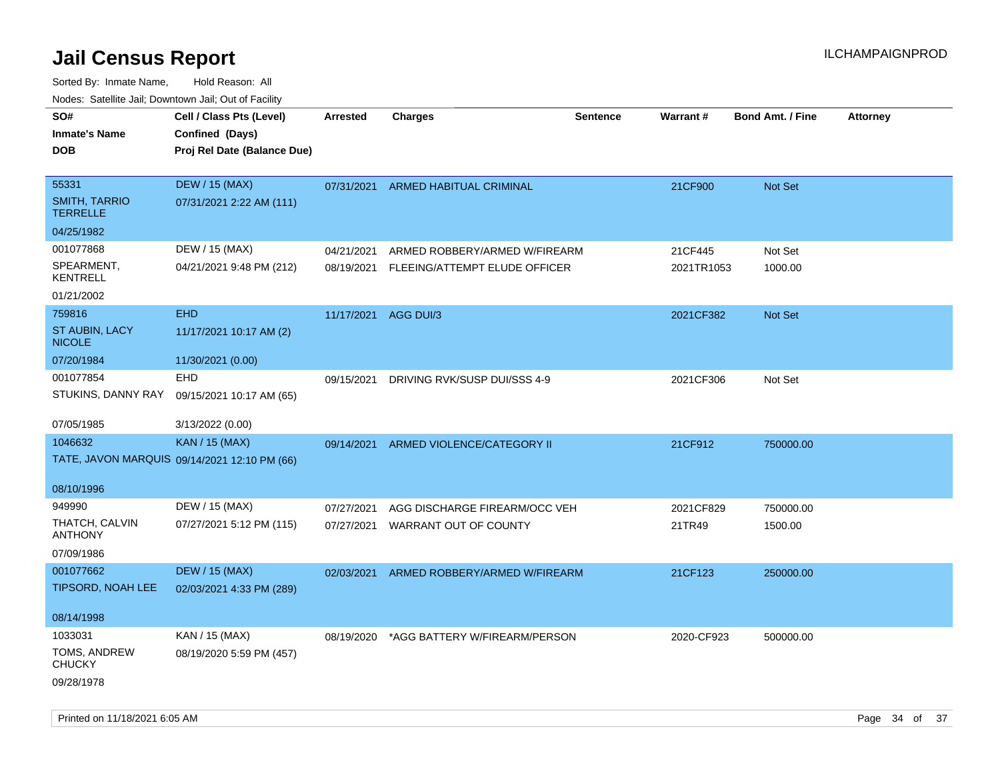| rougs. Calcing Jan, Downtown Jan, Out of Facility |                                              |                      |                                    |                 |                 |                         |                 |
|---------------------------------------------------|----------------------------------------------|----------------------|------------------------------------|-----------------|-----------------|-------------------------|-----------------|
| SO#                                               | Cell / Class Pts (Level)                     | <b>Arrested</b>      | <b>Charges</b>                     | <b>Sentence</b> | <b>Warrant#</b> | <b>Bond Amt. / Fine</b> | <b>Attorney</b> |
| <b>Inmate's Name</b>                              | Confined (Days)                              |                      |                                    |                 |                 |                         |                 |
| <b>DOB</b>                                        | Proj Rel Date (Balance Due)                  |                      |                                    |                 |                 |                         |                 |
|                                                   |                                              |                      |                                    |                 |                 |                         |                 |
| 55331                                             | <b>DEW / 15 (MAX)</b>                        |                      | 07/31/2021 ARMED HABITUAL CRIMINAL |                 | 21CF900         | Not Set                 |                 |
| <b>SMITH, TARRIO</b><br><b>TERRELLE</b>           | 07/31/2021 2:22 AM (111)                     |                      |                                    |                 |                 |                         |                 |
| 04/25/1982                                        |                                              |                      |                                    |                 |                 |                         |                 |
| 001077868                                         | DEW / 15 (MAX)                               | 04/21/2021           | ARMED ROBBERY/ARMED W/FIREARM      |                 | 21CF445         | Not Set                 |                 |
| SPEARMENT,<br>KENTRELL                            | 04/21/2021 9:48 PM (212)                     | 08/19/2021           | FLEEING/ATTEMPT ELUDE OFFICER      |                 | 2021TR1053      | 1000.00                 |                 |
| 01/21/2002                                        |                                              |                      |                                    |                 |                 |                         |                 |
| 759816                                            | <b>EHD</b>                                   | 11/17/2021 AGG DUI/3 |                                    |                 | 2021CF382       | <b>Not Set</b>          |                 |
| ST AUBIN, LACY<br><b>NICOLE</b>                   | 11/17/2021 10:17 AM (2)                      |                      |                                    |                 |                 |                         |                 |
| 07/20/1984                                        | 11/30/2021 (0.00)                            |                      |                                    |                 |                 |                         |                 |
| 001077854                                         | <b>EHD</b>                                   | 09/15/2021           | DRIVING RVK/SUSP DUI/SSS 4-9       |                 | 2021CF306       | Not Set                 |                 |
| STUKINS, DANNY RAY                                | 09/15/2021 10:17 AM (65)                     |                      |                                    |                 |                 |                         |                 |
| 07/05/1985                                        | 3/13/2022 (0.00)                             |                      |                                    |                 |                 |                         |                 |
| 1046632                                           | <b>KAN / 15 (MAX)</b>                        | 09/14/2021           | ARMED VIOLENCE/CATEGORY II         |                 | 21CF912         | 750000.00               |                 |
|                                                   | TATE, JAVON MARQUIS 09/14/2021 12:10 PM (66) |                      |                                    |                 |                 |                         |                 |
| 08/10/1996                                        |                                              |                      |                                    |                 |                 |                         |                 |
| 949990                                            | DEW / 15 (MAX)                               | 07/27/2021           | AGG DISCHARGE FIREARM/OCC VEH      |                 | 2021CF829       | 750000.00               |                 |
| THATCH, CALVIN                                    | 07/27/2021 5:12 PM (115)                     | 07/27/2021           | <b>WARRANT OUT OF COUNTY</b>       |                 | 21TR49          | 1500.00                 |                 |
| <b>ANTHONY</b>                                    |                                              |                      |                                    |                 |                 |                         |                 |
| 07/09/1986                                        |                                              |                      |                                    |                 |                 |                         |                 |
| 001077662                                         | <b>DEW / 15 (MAX)</b>                        | 02/03/2021           | ARMED ROBBERY/ARMED W/FIREARM      |                 | 21CF123         | 250000.00               |                 |
| TIPSORD, NOAH LEE                                 | 02/03/2021 4:33 PM (289)                     |                      |                                    |                 |                 |                         |                 |
| 08/14/1998                                        |                                              |                      |                                    |                 |                 |                         |                 |
| 1033031                                           | KAN / 15 (MAX)                               | 08/19/2020           | *AGG BATTERY W/FIREARM/PERSON      |                 | 2020-CF923      | 500000.00               |                 |
| TOMS, ANDREW<br><b>CHUCKY</b>                     | 08/19/2020 5:59 PM (457)                     |                      |                                    |                 |                 |                         |                 |
| 09/28/1978                                        |                                              |                      |                                    |                 |                 |                         |                 |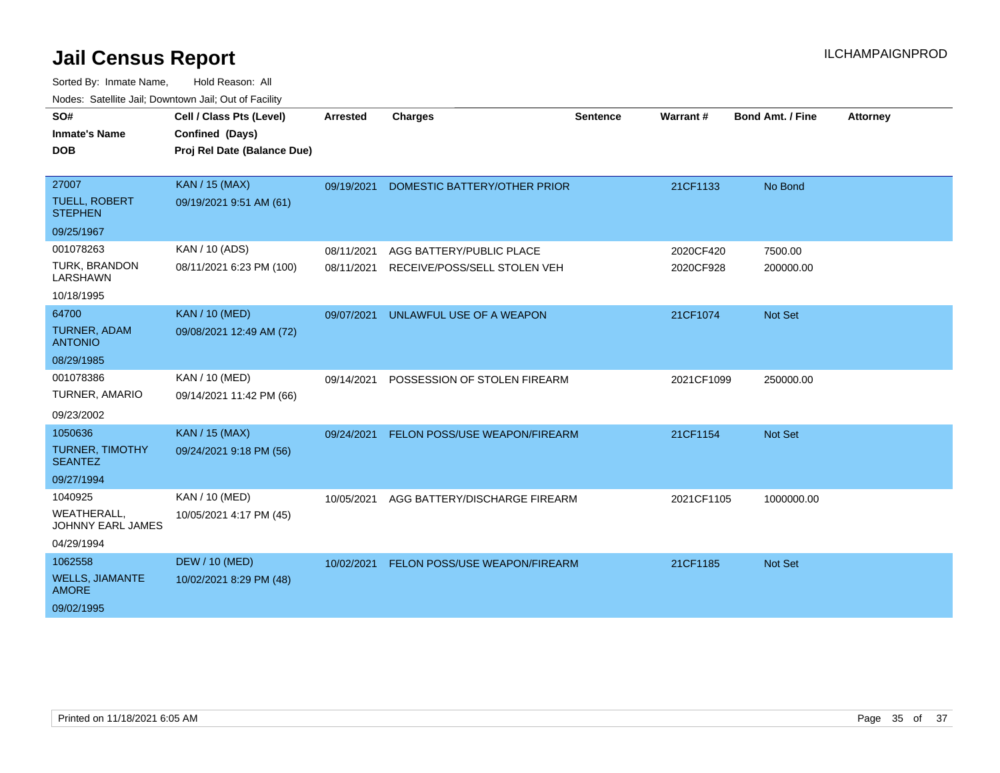| SO#                                            | Cell / Class Pts (Level)    | <b>Arrested</b> | <b>Charges</b>                       | <b>Sentence</b> | Warrant#   | <b>Bond Amt. / Fine</b> | <b>Attorney</b> |
|------------------------------------------------|-----------------------------|-----------------|--------------------------------------|-----------------|------------|-------------------------|-----------------|
| <b>Inmate's Name</b>                           | Confined (Days)             |                 |                                      |                 |            |                         |                 |
| <b>DOB</b>                                     | Proj Rel Date (Balance Due) |                 |                                      |                 |            |                         |                 |
|                                                |                             |                 |                                      |                 |            |                         |                 |
| 27007                                          | <b>KAN / 15 (MAX)</b>       | 09/19/2021      | DOMESTIC BATTERY/OTHER PRIOR         |                 | 21CF1133   | No Bond                 |                 |
| <b>TUELL, ROBERT</b><br><b>STEPHEN</b>         | 09/19/2021 9:51 AM (61)     |                 |                                      |                 |            |                         |                 |
| 09/25/1967                                     |                             |                 |                                      |                 |            |                         |                 |
| 001078263                                      | KAN / 10 (ADS)              | 08/11/2021      | AGG BATTERY/PUBLIC PLACE             |                 | 2020CF420  | 7500.00                 |                 |
| <b>TURK, BRANDON</b><br>LARSHAWN               | 08/11/2021 6:23 PM (100)    | 08/11/2021      | RECEIVE/POSS/SELL STOLEN VEH         |                 | 2020CF928  | 200000.00               |                 |
| 10/18/1995                                     |                             |                 |                                      |                 |            |                         |                 |
| 64700                                          | <b>KAN / 10 (MED)</b>       | 09/07/2021      | UNLAWFUL USE OF A WEAPON             |                 | 21CF1074   | Not Set                 |                 |
| <b>TURNER, ADAM</b><br><b>ANTONIO</b>          | 09/08/2021 12:49 AM (72)    |                 |                                      |                 |            |                         |                 |
| 08/29/1985                                     |                             |                 |                                      |                 |            |                         |                 |
| 001078386                                      | KAN / 10 (MED)              | 09/14/2021      | POSSESSION OF STOLEN FIREARM         |                 | 2021CF1099 | 250000.00               |                 |
| <b>TURNER, AMARIO</b>                          | 09/14/2021 11:42 PM (66)    |                 |                                      |                 |            |                         |                 |
| 09/23/2002                                     |                             |                 |                                      |                 |            |                         |                 |
| 1050636                                        | <b>KAN / 15 (MAX)</b>       | 09/24/2021      | <b>FELON POSS/USE WEAPON/FIREARM</b> |                 | 21CF1154   | <b>Not Set</b>          |                 |
| <b>TURNER, TIMOTHY</b><br><b>SEANTEZ</b>       | 09/24/2021 9:18 PM (56)     |                 |                                      |                 |            |                         |                 |
| 09/27/1994                                     |                             |                 |                                      |                 |            |                         |                 |
| 1040925                                        | KAN / 10 (MED)              | 10/05/2021      | AGG BATTERY/DISCHARGE FIREARM        |                 | 2021CF1105 | 1000000.00              |                 |
| <b>WEATHERALL,</b><br><b>JOHNNY EARL JAMES</b> | 10/05/2021 4:17 PM (45)     |                 |                                      |                 |            |                         |                 |
| 04/29/1994                                     |                             |                 |                                      |                 |            |                         |                 |
| 1062558                                        | <b>DEW / 10 (MED)</b>       | 10/02/2021      | FELON POSS/USE WEAPON/FIREARM        |                 | 21CF1185   | <b>Not Set</b>          |                 |
| <b>WELLS, JIAMANTE</b><br><b>AMORE</b>         | 10/02/2021 8:29 PM (48)     |                 |                                      |                 |            |                         |                 |
| 09/02/1995                                     |                             |                 |                                      |                 |            |                         |                 |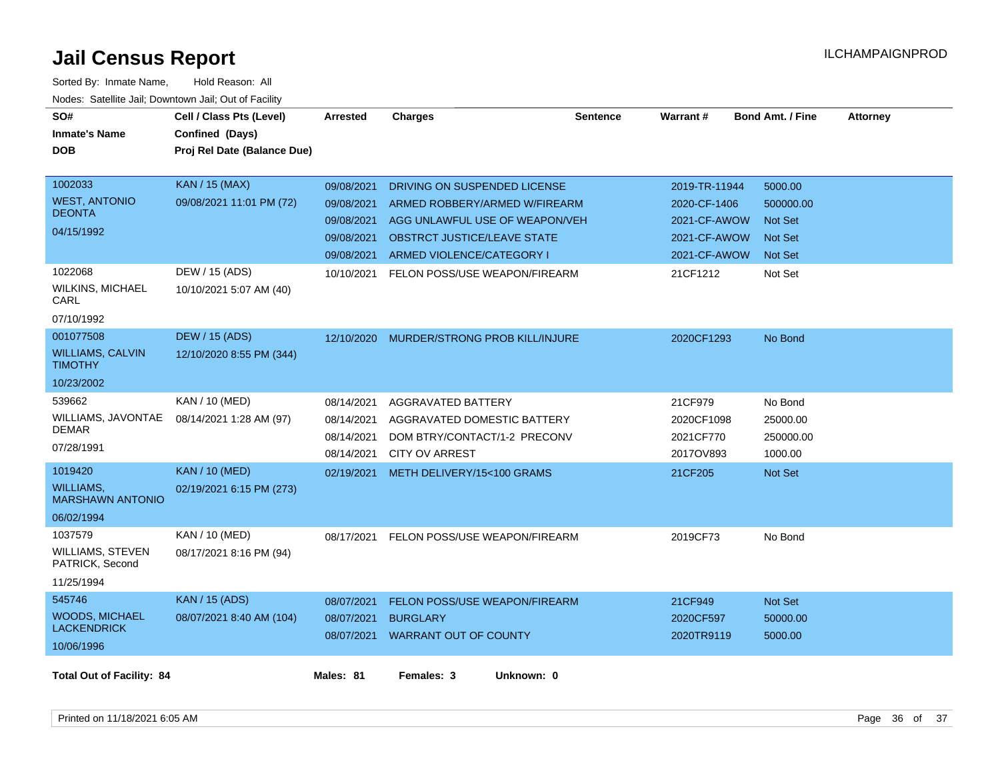| SO#<br><b>Inmate's Name</b><br><b>DOB</b>                            | Cell / Class Pts (Level)<br>Confined (Days)<br>Proj Rel Date (Balance Due) | <b>Arrested</b>                                                    | <b>Charges</b>                                                                                                                                                     | <b>Sentence</b> | Warrant#                                                                      | <b>Bond Amt. / Fine</b>                                                    | <b>Attorney</b> |
|----------------------------------------------------------------------|----------------------------------------------------------------------------|--------------------------------------------------------------------|--------------------------------------------------------------------------------------------------------------------------------------------------------------------|-----------------|-------------------------------------------------------------------------------|----------------------------------------------------------------------------|-----------------|
| 1002033<br><b>WEST, ANTONIO</b><br><b>DEONTA</b><br>04/15/1992       | <b>KAN / 15 (MAX)</b><br>09/08/2021 11:01 PM (72)                          | 09/08/2021<br>09/08/2021<br>09/08/2021<br>09/08/2021<br>09/08/2021 | DRIVING ON SUSPENDED LICENSE<br>ARMED ROBBERY/ARMED W/FIREARM<br>AGG UNLAWFUL USE OF WEAPON/VEH<br><b>OBSTRCT JUSTICE/LEAVE STATE</b><br>ARMED VIOLENCE/CATEGORY I |                 | 2019-TR-11944<br>2020-CF-1406<br>2021-CF-AWOW<br>2021-CF-AWOW<br>2021-CF-AWOW | 5000.00<br>500000.00<br><b>Not Set</b><br><b>Not Set</b><br><b>Not Set</b> |                 |
| 1022068<br><b>WILKINS, MICHAEL</b><br>CARL<br>07/10/1992             | DEW / 15 (ADS)<br>10/10/2021 5:07 AM (40)                                  | 10/10/2021                                                         | FELON POSS/USE WEAPON/FIREARM                                                                                                                                      |                 | 21CF1212                                                                      | Not Set                                                                    |                 |
| 001077508<br><b>WILLIAMS, CALVIN</b><br><b>TIMOTHY</b><br>10/23/2002 | <b>DEW / 15 (ADS)</b><br>12/10/2020 8:55 PM (344)                          | 12/10/2020                                                         | <b>MURDER/STRONG PROB KILL/INJURE</b>                                                                                                                              |                 | 2020CF1293                                                                    | No Bond                                                                    |                 |
| 539662<br>WILLIAMS, JAVONTAE<br><b>DEMAR</b><br>07/28/1991           | KAN / 10 (MED)<br>08/14/2021 1:28 AM (97)                                  | 08/14/2021<br>08/14/2021<br>08/14/2021<br>08/14/2021               | AGGRAVATED BATTERY<br>AGGRAVATED DOMESTIC BATTERY<br>DOM BTRY/CONTACT/1-2 PRECONV<br><b>CITY OV ARREST</b>                                                         |                 | 21CF979<br>2020CF1098<br>2021CF770<br>2017OV893                               | No Bond<br>25000.00<br>250000.00<br>1000.00                                |                 |
| 1019420<br><b>WILLIAMS.</b><br><b>MARSHAWN ANTONIO</b><br>06/02/1994 | <b>KAN / 10 (MED)</b><br>02/19/2021 6:15 PM (273)                          | 02/19/2021                                                         | METH DELIVERY/15<100 GRAMS                                                                                                                                         |                 | 21CF205                                                                       | Not Set                                                                    |                 |
| 1037579<br><b>WILLIAMS, STEVEN</b><br>PATRICK, Second<br>11/25/1994  | KAN / 10 (MED)<br>08/17/2021 8:16 PM (94)                                  | 08/17/2021                                                         | FELON POSS/USE WEAPON/FIREARM                                                                                                                                      |                 | 2019CF73                                                                      | No Bond                                                                    |                 |
| 545746<br><b>WOODS, MICHAEL</b><br><b>LACKENDRICK</b><br>10/06/1996  | <b>KAN / 15 (ADS)</b><br>08/07/2021 8:40 AM (104)                          | 08/07/2021<br>08/07/2021<br>08/07/2021                             | FELON POSS/USE WEAPON/FIREARM<br><b>BURGLARY</b><br><b>WARRANT OUT OF COUNTY</b>                                                                                   |                 | 21CF949<br>2020CF597<br>2020TR9119                                            | Not Set<br>50000.00<br>5000.00                                             |                 |
| <b>Total Out of Facility: 84</b>                                     |                                                                            | Males: 81                                                          | Females: 3<br>Unknown: 0                                                                                                                                           |                 |                                                                               |                                                                            |                 |